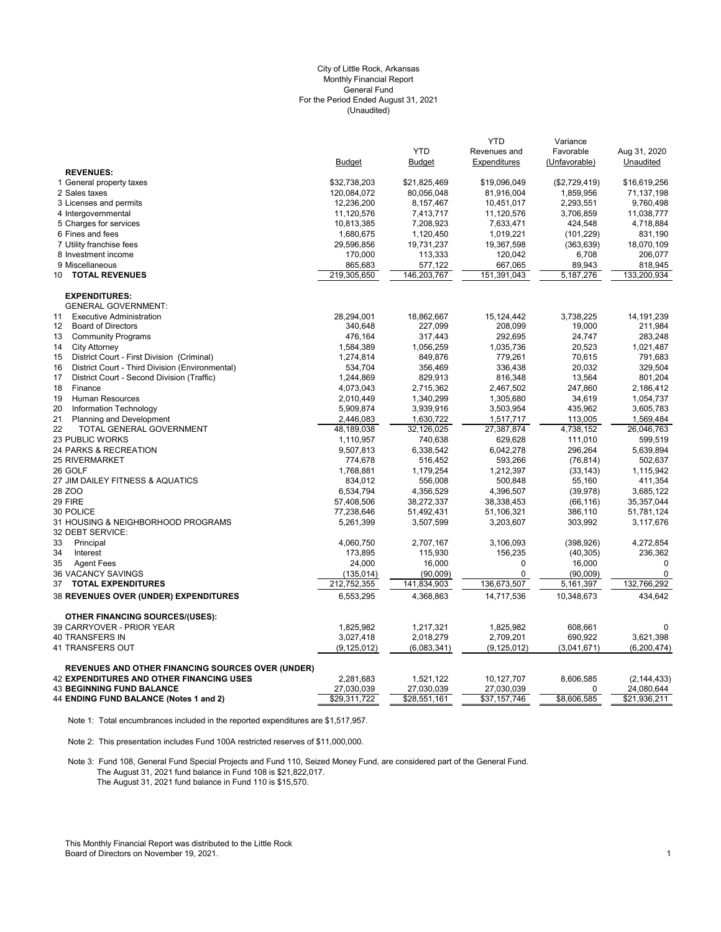#### (Unaudited) City of Little Rock, Arkansas Monthly Financial Report General Fund For the Period Ended August 31, 2021

|                                                                                                             | <b>Budget</b>           | <b>YTD</b><br><b>Budget</b> | <b>YTD</b><br>Revenues and<br>Expenditures | Variance<br>Favorable<br>(Unfavorable) | Aug 31, 2020<br>Unaudited   |
|-------------------------------------------------------------------------------------------------------------|-------------------------|-----------------------------|--------------------------------------------|----------------------------------------|-----------------------------|
| <b>REVENUES:</b>                                                                                            |                         |                             |                                            |                                        |                             |
| 1 General property taxes                                                                                    | \$32,738,203            | \$21,825,469                | \$19,096,049                               | (\$2,729,419)                          | \$16,619,256                |
| 2 Sales taxes                                                                                               | 120,084,072             | 80,056,048                  | 81,916,004                                 | 1,859,956                              | 71,137,198                  |
| 3 Licenses and permits                                                                                      | 12,236,200              | 8,157,467                   | 10,451,017                                 | 2,293,551                              | 9,760,498                   |
| 4 Intergovernmental                                                                                         | 11,120,576              | 7,413,717                   | 11,120,576                                 | 3,706,859                              | 11,038,777                  |
| 5 Charges for services                                                                                      | 10,813,385              | 7,208,923                   | 7,633,471                                  | 424,548                                | 4,718,884                   |
| 6 Fines and fees                                                                                            | 1,680,675               | 1,120,450                   | 1,019,221                                  | (101, 229)                             | 831,190                     |
| 7 Utility franchise fees                                                                                    | 29,596,856              | 19,731,237                  | 19,367,598                                 | (363, 639)                             | 18,070,109                  |
| 8 Investment income                                                                                         | 170,000                 | 113,333                     | 120,042                                    | 6,708                                  | 206,077                     |
| 9 Miscellaneous                                                                                             | 865,683                 | 577,122                     | 667,065                                    | 89,943                                 | 818,945                     |
| <b>TOTAL REVENUES</b><br>10                                                                                 | 219,305,650             | 146,203,767                 | 151,391,043                                | 5, 187, 276                            | 133,200,934                 |
| <b>EXPENDITURES:</b>                                                                                        |                         |                             |                                            |                                        |                             |
| <b>GENERAL GOVERNMENT:</b>                                                                                  |                         |                             |                                            |                                        |                             |
| 11<br><b>Executive Administration</b>                                                                       | 28,294,001              | 18,862,667                  | 15, 124, 442                               | 3,738,225                              | 14, 191, 239                |
| $12 \overline{ }$<br><b>Board of Directors</b>                                                              | 340,648                 | 227,099                     | 208,099                                    | 19,000                                 | 211,984                     |
| 13<br><b>Community Programs</b>                                                                             | 476,164                 | 317,443                     | 292,695                                    | 24,747                                 | 283,248                     |
| 14<br><b>City Attorney</b>                                                                                  | 1,584,389               | 1,056,259                   | 1,035,736                                  | 20,523                                 | 1,021,487                   |
| District Court - First Division (Criminal)<br>15                                                            | 1,274,814               | 849,876                     | 779,261                                    | 70,615                                 | 791,683                     |
| District Court - Third Division (Environmental)<br>16                                                       | 534,704                 | 356,469                     | 336,438                                    | 20,032                                 | 329,504                     |
| 17<br>District Court - Second Division (Traffic)                                                            | 1,244,869               | 829,913                     | 816,348                                    | 13,564                                 | 801,204                     |
| Finance<br>18                                                                                               | 4,073,043               | 2,715,362                   | 2,467,502                                  | 247,860                                | 2,186,412                   |
| 19<br>Human Resources                                                                                       | 2,010,449               | 1,340,299                   | 1,305,680                                  | 34,619                                 | 1,054,737                   |
| 20<br>Information Technology                                                                                | 5,909,874               | 3,939,916                   | 3,503,954                                  | 435,962                                | 3,605,783                   |
| 21<br>Planning and Development                                                                              | 2,446,083               | 1,630,722                   | 1,517,717                                  | 113,005                                | 1,569,484                   |
| 22<br>TOTAL GENERAL GOVERNMENT                                                                              | 48,189,038              | 32,126,025                  | 27,387,874                                 | 4,738,152                              | 26,046,763                  |
| <b>23 PUBLIC WORKS</b>                                                                                      | 1,110,957               | 740,638                     | 629,628                                    | 111,010                                | 599,519                     |
| 24 PARKS & RECREATION                                                                                       | 9,507,813               | 6,338,542                   | 6,042,278                                  | 296,264                                | 5,639,894                   |
| <b>25 RIVERMARKET</b>                                                                                       | 774,678                 | 516,452                     | 593,266                                    | (76, 814)                              | 502,637                     |
| 26 GOLF                                                                                                     | 1,768,881               | 1,179,254                   | 1,212,397                                  | (33, 143)                              | 1,115,942                   |
| 27 JIM DAILEY FITNESS & AQUATICS                                                                            | 834,012                 | 556,008                     | 500,848                                    | 55,160                                 | 411,354                     |
| 28 ZOO<br>29 FIRE                                                                                           | 6,534,794               | 4,356,529                   | 4,396,507                                  | (39, 978)                              | 3,685,122                   |
| 30 POLICE                                                                                                   | 57,408,506              | 38,272,337                  | 38,338,453                                 | (66, 116)                              | 35,357,044                  |
| 31 HOUSING & NEIGHBORHOOD PROGRAMS                                                                          | 77,238,646              | 51,492,431                  | 51,106,321                                 | 386,110<br>303,992                     | 51,781,124                  |
| 32 DEBT SERVICE:                                                                                            | 5,261,399               | 3,507,599                   | 3,203,607                                  |                                        | 3,117,676                   |
| 33<br>Principal                                                                                             | 4,060,750               | 2,707,167                   | 3,106,093                                  | (398, 926)                             | 4,272,854                   |
| 34<br>Interest                                                                                              | 173,895                 | 115,930                     | 156,235                                    | (40, 305)                              | 236,362                     |
| 35<br><b>Agent Fees</b>                                                                                     | 24,000                  | 16,000                      | 0                                          | 16,000                                 | $\mathbf 0$                 |
| 36 VACANCY SAVINGS                                                                                          | (135, 014)              | (90,009)                    | 0                                          | (90,009)                               | $\mathbf 0$                 |
| 37<br><b>TOTAL EXPENDITURES</b>                                                                             | 212,752,355             | 141,834,903                 | 136,673,507                                | 5,161,397                              | 132,766,292                 |
| <b>38 REVENUES OVER (UNDER) EXPENDITURES</b>                                                                | 6,553,295               | 4,368,863                   | 14,717,536                                 | 10,348,673                             | 434,642                     |
| <b>OTHER FINANCING SOURCES/(USES):</b>                                                                      |                         |                             |                                            |                                        |                             |
| 39 CARRYOVER - PRIOR YEAR                                                                                   | 1,825,982               | 1,217,321                   | 1,825,982                                  | 608,661                                | 0                           |
| <b>40 TRANSFERS IN</b>                                                                                      | 3,027,418               | 2,018,279                   | 2,709,201                                  | 690,922                                | 3,621,398                   |
| 41 TRANSFERS OUT                                                                                            | (9, 125, 012)           | (6,083,341)                 | (9, 125, 012)                              | (3,041,671)                            | (6, 200, 474)               |
| <b>REVENUES AND OTHER FINANCING SOURCES OVER (UNDER)</b><br><b>42 EXPENDITURES AND OTHER FINANCING USES</b> |                         |                             |                                            |                                        |                             |
| <b>43 BEGINNING FUND BALANCE</b>                                                                            | 2,281,683<br>27,030,039 | 1,521,122<br>27,030,039     | 10,127,707<br>27,030,039                   | 8,606,585<br>0                         | (2, 144, 433)<br>24,080,644 |
| 44 ENDING FUND BALANCE (Notes 1 and 2)                                                                      | \$29,311,722            | \$28,551,161                | \$37,157,746                               | \$8,606,585                            | \$21,936,211                |
|                                                                                                             |                         |                             |                                            |                                        |                             |

Note 1: Total encumbrances included in the reported expenditures are \$1,517,957.

Note 2: This presentation includes Fund 100A restricted reserves of \$11,000,000.

Note 3: Fund 108, General Fund Special Projects and Fund 110, Seized Money Fund, are considered part of the General Fund. The August 31, 2021 fund balance in Fund 108 is \$21,822,017. The August 31, 2021 fund balance in Fund 110 is \$15,570.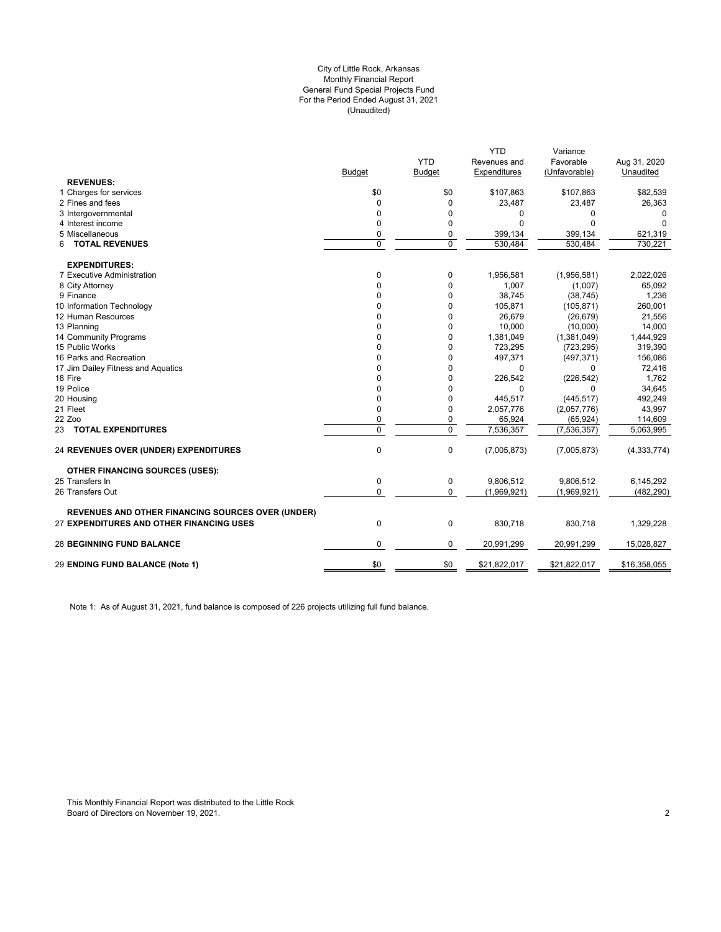# (Unaudited) City of Little Rock, Arkansas Monthly Financial Report General Fund Special Projects Fund For the Period Ended August 31, 2021

|                                                          |               |                | <b>YTD</b>   | Variance      |               |
|----------------------------------------------------------|---------------|----------------|--------------|---------------|---------------|
|                                                          |               | <b>YTD</b>     | Revenues and | Favorable     | Aug 31, 2020  |
|                                                          | <b>Budget</b> | <b>Budget</b>  | Expenditures | (Unfavorable) | Unaudited     |
| <b>REVENUES:</b>                                         |               |                |              |               |               |
| 1 Charges for services                                   | \$0           | \$0            | \$107,863    | \$107,863     | \$82,539      |
| 2 Fines and fees                                         | $\Omega$      | $\mathbf 0$    | 23,487       | 23,487        | 26,363        |
| 3 Intergovernmental                                      | $\Omega$      | 0              | 0            | 0             | 0             |
| 4 Interest income                                        | 0             | $\mathbf 0$    | $\Omega$     | $\Omega$      | $\Omega$      |
| 5 Miscellaneous                                          | 0             | $\mathbf 0$    | 399,134      | 399,134       | 621,319       |
| <b>TOTAL REVENUES</b><br>6                               | $\Omega$      | $\mathbf 0$    | 530,484      | 530.484       | 730.221       |
| <b>EXPENDITURES:</b>                                     |               |                |              |               |               |
| 7 Executive Administration                               | 0             | 0              | 1,956,581    | (1,956,581)   | 2,022,026     |
| 8 City Attorney                                          | 0             | $\mathbf 0$    | 1,007        | (1,007)       | 65,092        |
| 9 Finance                                                | $\Omega$      | $\mathbf 0$    | 38,745       | (38, 745)     | 1,236         |
| 10 Information Technology                                | 0             | 0              | 105,871      | (105, 871)    | 260,001       |
| 12 Human Resources                                       | $\Omega$      | 0              | 26,679       | (26, 679)     | 21,556        |
| 13 Planning                                              | 0             | 0              | 10,000       | (10,000)      | 14,000        |
| 14 Community Programs                                    | 0             | 0              | 1,381,049    | (1,381,049)   | 1,444,929     |
| 15 Public Works                                          | 0             | $\mathbf 0$    | 723,295      | (723, 295)    | 319,390       |
| 16 Parks and Recreation                                  | 0             | 0              | 497,371      | (497, 371)    | 156,086       |
| 17 Jim Dailey Fitness and Aquatics                       | 0             | 0              | 0            | $\Omega$      | 72,416        |
| 18 Fire                                                  | 0             | 0              | 226,542      | (226, 542)    | 1,762         |
| 19 Police                                                | 0             | $\mathbf 0$    | $\Omega$     | 0             | 34,645        |
| 20 Housing                                               | 0             | 0              | 445,517      | (445, 517)    | 492,249       |
| 21 Fleet                                                 | 0             | 0              | 2,057,776    | (2,057,776)   | 43,997        |
| 22 Zoo                                                   | 0             | $\mathbf 0$    | 65,924       | (65, 924)     | 114,609       |
| 23 TOTAL EXPENDITURES                                    | $\Omega$      | $\overline{0}$ | 7,536,357    | (7,536,357)   | 5,063,995     |
| <b>24 REVENUES OVER (UNDER) EXPENDITURES</b>             | $\pmb{0}$     | $\mathbf 0$    | (7,005,873)  | (7,005,873)   | (4, 333, 774) |
| <b>OTHER FINANCING SOURCES (USES):</b>                   |               |                |              |               |               |
| 25 Transfers In                                          | 0             | 0              | 9,806,512    | 9,806,512     | 6,145,292     |
| 26 Transfers Out                                         | 0             | $\mathbf 0$    | (1,969,921)  | (1,969,921)   | (482, 290)    |
| <b>REVENUES AND OTHER FINANCING SOURCES OVER (UNDER)</b> |               |                |              |               |               |
| 27 EXPENDITURES AND OTHER FINANCING USES                 | $\mathbf 0$   | $\mathbf 0$    | 830,718      | 830,718       | 1,329,228     |
| <b>28 BEGINNING FUND BALANCE</b>                         | 0             | 0              | 20,991,299   | 20,991,299    | 15,028,827    |
| 29 ENDING FUND BALANCE (Note 1)                          | \$0           | \$0            | \$21,822,017 | \$21,822,017  | \$16,358,055  |
|                                                          |               |                |              |               |               |

Note 1: As of August 31, 2021, fund balance is composed of 226 projects utilizing full fund balance.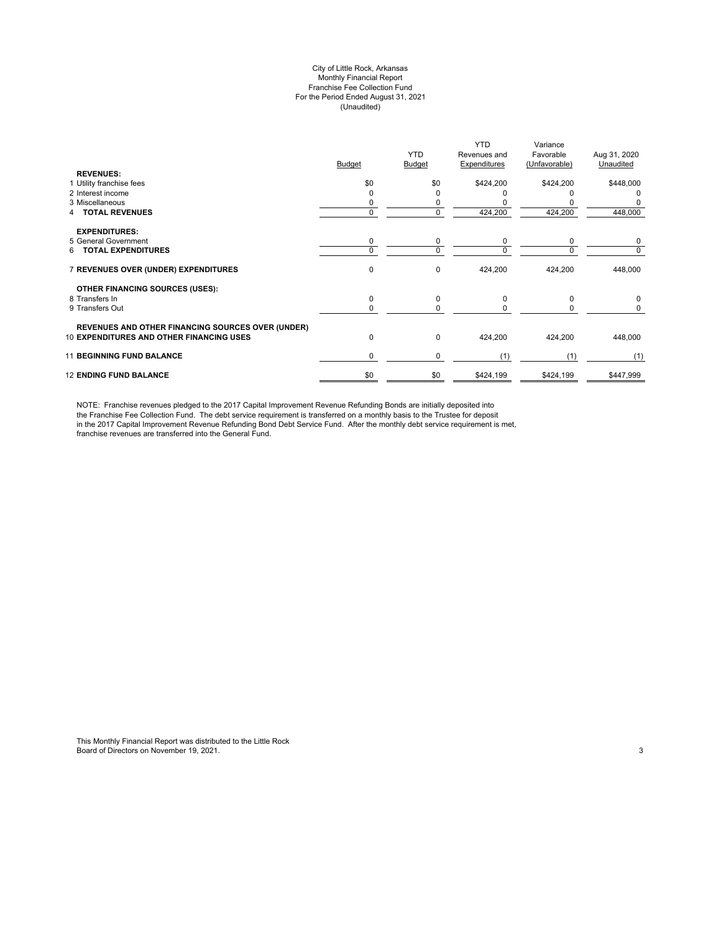# City of Little Rock, Arkansas Monthly Financial Report Franchise Fee Collection Fund For the Period Ended August 31, 2021 (Unaudited)

| <b>REVENUES:</b>                                                                                            | <b>Budget</b> | <b>YTD</b><br><b>Budget</b> | <b>YTD</b><br>Revenues and<br>Expenditures | Variance<br>Favorable<br>(Unfavorable) | Aug 31, 2020<br>Unaudited |
|-------------------------------------------------------------------------------------------------------------|---------------|-----------------------------|--------------------------------------------|----------------------------------------|---------------------------|
| 1 Utility franchise fees                                                                                    | \$0           | \$0                         | \$424,200                                  | \$424,200                              | \$448,000                 |
| 2 Interest income                                                                                           |               | ი                           |                                            |                                        |                           |
| 3 Miscellaneous                                                                                             |               | 0                           |                                            |                                        |                           |
| <b>TOTAL REVENUES</b>                                                                                       | $\Omega$      | 0                           | 424,200                                    | 424,200                                | 448,000                   |
| <b>EXPENDITURES:</b>                                                                                        |               |                             |                                            |                                        |                           |
| 5 General Government                                                                                        | 0             | 0                           | 0                                          | 0                                      | 0                         |
| <b>TOTAL EXPENDITURES</b><br>6.                                                                             | $\Omega$      | 0                           | $\Omega$                                   | $\Omega$                               | 0                         |
| 7 REVENUES OVER (UNDER) EXPENDITURES                                                                        | 0             | 0                           | 424,200                                    | 424,200                                | 448,000                   |
| OTHER FINANCING SOURCES (USES):                                                                             |               |                             |                                            |                                        |                           |
| 8 Transfers In                                                                                              | 0             | 0                           | $\Omega$                                   | $\Omega$                               | 0                         |
| 9 Transfers Out                                                                                             | $\Omega$      | 0                           | $\Omega$                                   | <sup>0</sup>                           | 0                         |
|                                                                                                             |               |                             |                                            |                                        |                           |
| <b>REVENUES AND OTHER FINANCING SOURCES OVER (UNDER)</b><br><b>10 EXPENDITURES AND OTHER FINANCING USES</b> | 0             | 0                           | 424,200                                    | 424,200                                | 448,000                   |
| <b>11 BEGINNING FUND BALANCE</b>                                                                            | 0             | 0                           | (1)                                        | (1)                                    | (1)                       |
| <b>12 ENDING FUND BALANCE</b>                                                                               | \$0           | \$0                         | \$424,199                                  | \$424,199                              | \$447,999                 |

NOTE: Franchise revenues pledged to the 2017 Capital Improvement Revenue Refunding Bonds are initially deposited into the Franchise Fee Collection Fund. The debt service requirement is transferred on a monthly basis to the Trustee for deposit in the 2017 Capital Improvement Revenue Refunding Bond Debt Service Fund. After the monthly debt service requirement is met, franchise revenues are transferred into the General Fund.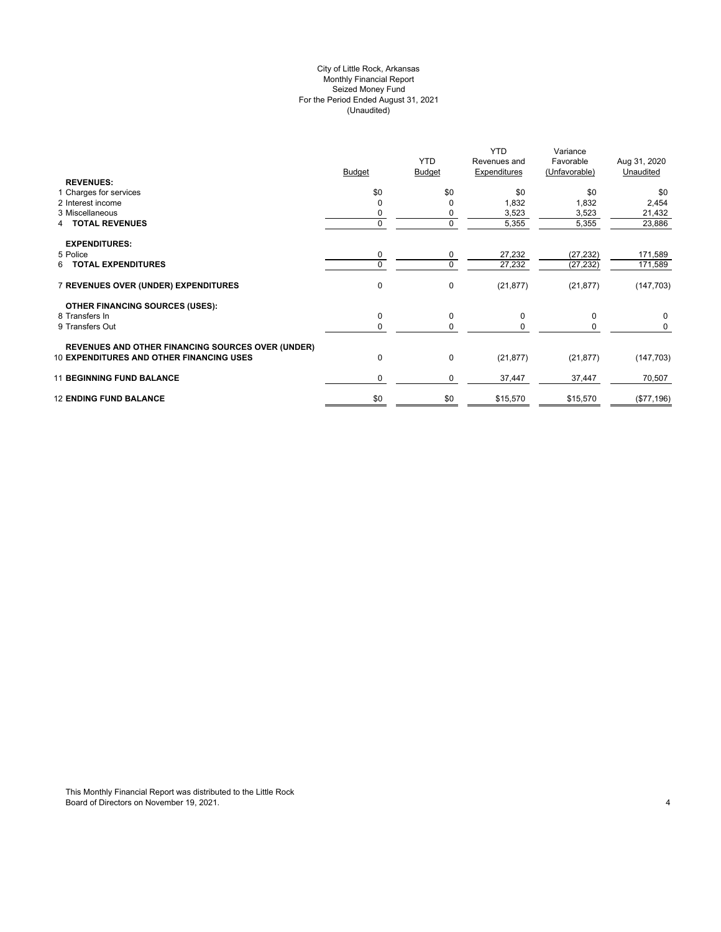# City of Little Rock, Arkansas (Unaudited) For the Period Ended August 31, 2021 Seized Money Fund Monthly Financial Report

| <b>REVENUES:</b>                                         | <b>Budget</b> | <b>YTD</b><br><b>Budget</b> | <b>YTD</b><br>Revenues and<br>Expenditures | Variance<br>Favorable<br>(Unfavorable) | Aug 31, 2020<br>Unaudited |
|----------------------------------------------------------|---------------|-----------------------------|--------------------------------------------|----------------------------------------|---------------------------|
| 1 Charges for services                                   | \$0           | \$0                         | \$0                                        | \$0                                    | \$0                       |
| 2 Interest income                                        |               | 0                           | 1,832                                      | 1,832                                  | 2,454                     |
| 3 Miscellaneous                                          |               | 0                           | 3,523                                      | 3,523                                  | 21,432                    |
| <b>4 TOTAL REVENUES</b>                                  | 0             | 0                           | 5,355                                      | 5,355                                  | 23,886                    |
| <b>EXPENDITURES:</b>                                     |               |                             |                                            |                                        |                           |
| 5 Police                                                 | 0             | 0                           | 27,232                                     | (27, 232)                              | 171,589                   |
| 6 TOTAL EXPENDITURES                                     |               | 0                           | 27,232                                     | (27, 232)                              | 171,589                   |
| 7 REVENUES OVER (UNDER) EXPENDITURES                     | $\mathbf 0$   | 0                           | (21, 877)                                  | (21, 877)                              | (147, 703)                |
| <b>OTHER FINANCING SOURCES (USES):</b>                   |               |                             |                                            |                                        |                           |
| 8 Transfers In                                           | $\mathbf 0$   | 0                           | 0                                          | $\mathbf 0$                            | 0                         |
| 9 Transfers Out                                          |               | 0                           | 0                                          | 0                                      | 0                         |
| <b>REVENUES AND OTHER FINANCING SOURCES OVER (UNDER)</b> |               |                             |                                            |                                        |                           |
| <b>10 EXPENDITURES AND OTHER FINANCING USES</b>          | $\mathbf 0$   | 0                           | (21, 877)                                  | (21, 877)                              | (147, 703)                |
| <b>11 BEGINNING FUND BALANCE</b>                         | $\Omega$      | 0                           | 37,447                                     | 37,447                                 | 70,507                    |
| <b>12 ENDING FUND BALANCE</b>                            | \$0           | \$0                         | \$15,570                                   | \$15,570                               | (\$77,196)                |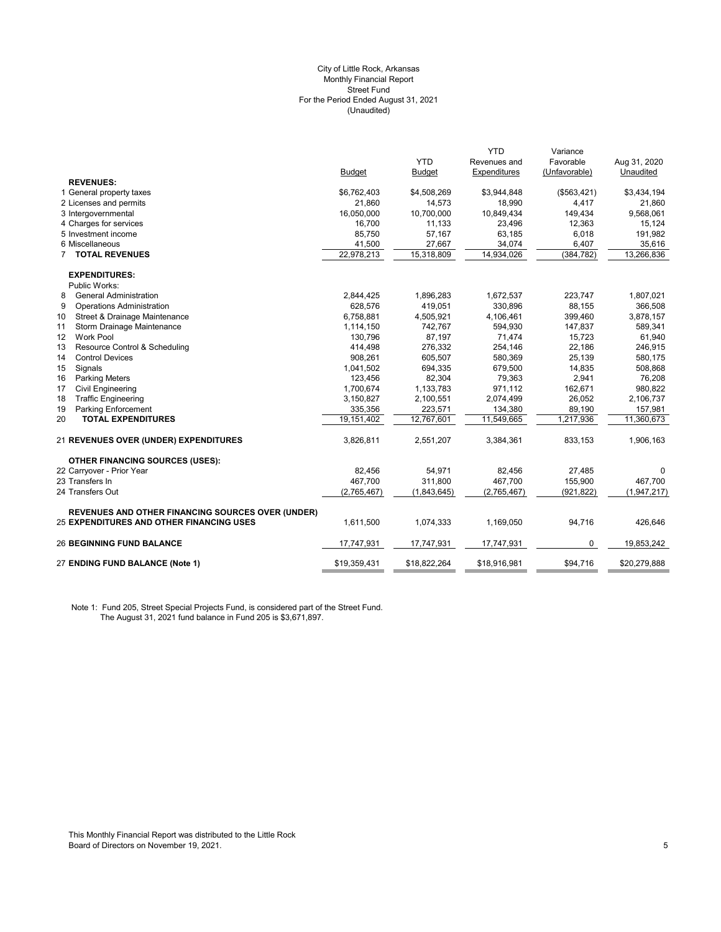#### (Unaudited) City of Little Rock, Arkansas Monthly Financial Report Street Fund For the Period Ended August 31, 2021

|                                                          |               |               | <b>YTD</b>   | Variance      |              |
|----------------------------------------------------------|---------------|---------------|--------------|---------------|--------------|
|                                                          |               | <b>YTD</b>    | Revenues and | Favorable     | Aug 31, 2020 |
|                                                          | <b>Budget</b> | <b>Budget</b> | Expenditures | (Unfavorable) | Unaudited    |
| <b>REVENUES:</b>                                         |               |               |              |               |              |
| 1 General property taxes                                 | \$6,762,403   | \$4,508,269   | \$3,944,848  | (\$563,421)   | \$3,434,194  |
| 2 Licenses and permits                                   | 21,860        | 14,573        | 18,990       | 4,417         | 21,860       |
| 3 Intergovernmental                                      | 16,050,000    | 10,700,000    | 10,849,434   | 149,434       | 9,568,061    |
| 4 Charges for services                                   | 16,700        | 11,133        | 23,496       | 12,363        | 15,124       |
| 5 Investment income                                      | 85,750        | 57,167        | 63,185       | 6,018         | 191,982      |
| 6 Miscellaneous                                          | 41,500        | 27,667        | 34,074       | 6,407         | 35,616       |
| <b>TOTAL REVENUES</b>                                    | 22,978,213    | 15,318,809    | 14,934,026   | (384, 782)    | 13,266,836   |
| <b>EXPENDITURES:</b>                                     |               |               |              |               |              |
| Public Works:                                            |               |               |              |               |              |
| 8<br><b>General Administration</b>                       | 2,844,425     | 1,896,283     | 1,672,537    | 223,747       | 1,807,021    |
| 9<br><b>Operations Administration</b>                    | 628,576       | 419,051       | 330,896      | 88,155        | 366,508      |
| 10<br>Street & Drainage Maintenance                      | 6,758,881     | 4,505,921     | 4,106,461    | 399,460       | 3,878,157    |
| 11<br>Storm Drainage Maintenance                         | 1,114,150     | 742,767       | 594,930      | 147,837       | 589,341      |
| 12<br><b>Work Pool</b>                                   | 130,796       | 87,197        | 71,474       | 15,723        | 61,940       |
| 13<br>Resource Control & Scheduling                      | 414,498       | 276,332       | 254,146      | 22,186        | 246,915      |
| 14<br><b>Control Devices</b>                             | 908,261       | 605,507       | 580,369      | 25,139        | 580,175      |
| 15<br>Signals                                            | 1,041,502     | 694,335       | 679,500      | 14,835        | 508,868      |
| 16<br><b>Parking Meters</b>                              | 123,456       | 82,304        | 79,363       | 2,941         | 76,208       |
| 17<br><b>Civil Engineering</b>                           | 1,700,674     | 1,133,783     | 971,112      | 162,671       | 980,822      |
| 18<br><b>Traffic Engineering</b>                         | 3,150,827     | 2,100,551     | 2,074,499    | 26,052        | 2,106,737    |
| 19<br><b>Parking Enforcement</b>                         | 335,356       | 223,571       | 134,380      | 89,190        | 157,981      |
| 20<br><b>TOTAL EXPENDITURES</b>                          | 19,151,402    | 12,767,601    | 11,549,665   | 1,217,936     | 11,360,673   |
| 21 REVENUES OVER (UNDER) EXPENDITURES                    | 3,826,811     | 2,551,207     | 3,384,361    | 833,153       | 1,906,163    |
| <b>OTHER FINANCING SOURCES (USES):</b>                   |               |               |              |               |              |
| 22 Carryover - Prior Year                                | 82,456        | 54,971        | 82,456       | 27,485        | 0            |
| 23 Transfers In                                          | 467,700       | 311,800       | 467,700      | 155,900       | 467,700      |
| 24 Transfers Out                                         | (2,765,467)   | (1,843,645)   | (2,765,467)  | (921, 822)    | (1,947,217)  |
| <b>REVENUES AND OTHER FINANCING SOURCES OVER (UNDER)</b> |               |               |              |               |              |
| 25 EXPENDITURES AND OTHER FINANCING USES                 | 1,611,500     | 1,074,333     | 1,169,050    | 94,716        | 426,646      |
| <b>26 BEGINNING FUND BALANCE</b>                         | 17,747,931    | 17,747,931    | 17,747,931   | 0             | 19,853,242   |
| 27 ENDING FUND BALANCE (Note 1)                          | \$19,359,431  | \$18,822,264  | \$18,916,981 | \$94,716      | \$20,279,888 |

Note 1: Fund 205, Street Special Projects Fund, is considered part of the Street Fund. The August 31, 2021 fund balance in Fund 205 is \$3,671,897.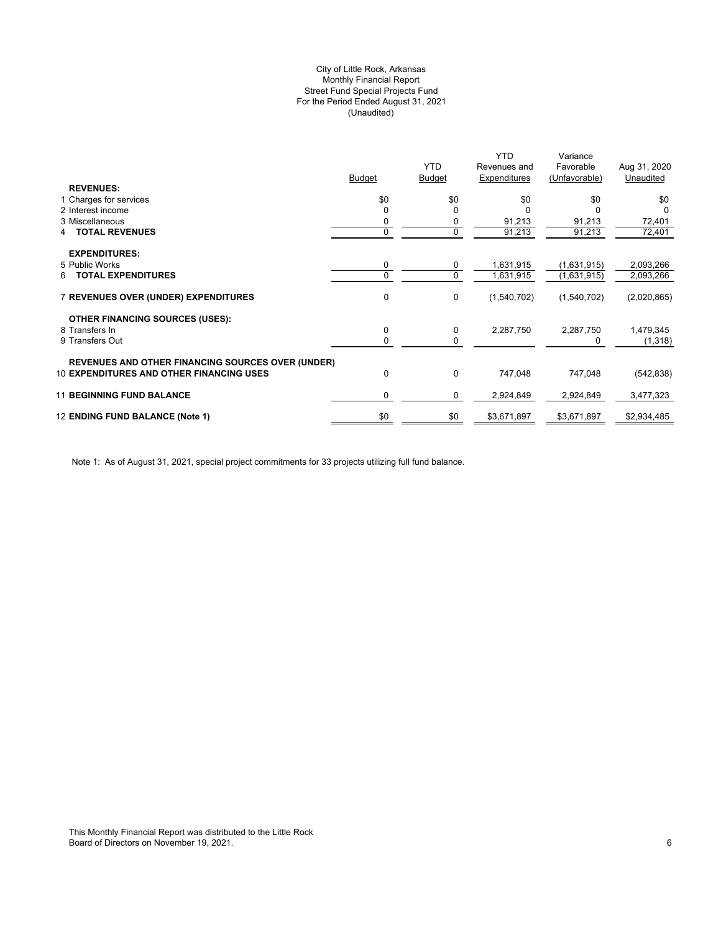# (Unaudited) City of Little Rock, Arkansas Monthly Financial Report Street Fund Special Projects Fund For the Period Ended August 31, 2021

|                                                          |               | <b>YTD</b>    | <b>YTD</b><br>Revenues and | Variance<br>Favorable | Aug 31, 2020 |
|----------------------------------------------------------|---------------|---------------|----------------------------|-----------------------|--------------|
|                                                          | <b>Budget</b> | <b>Budget</b> | Expenditures               | (Unfavorable)         | Unaudited    |
| <b>REVENUES:</b>                                         |               |               |                            |                       |              |
| 1 Charges for services                                   | \$0           | \$0           | \$0                        | \$0                   | \$0          |
| 2 Interest income                                        |               | $\Omega$      |                            |                       | $\Omega$     |
| 3 Miscellaneous                                          |               | 0             | 91,213                     | 91,213                | 72,401       |
| <b>TOTAL REVENUES</b><br>4                               | 0             | 0             | 91,213                     | 91,213                | 72,401       |
| <b>EXPENDITURES:</b>                                     |               |               |                            |                       |              |
| 5 Public Works                                           | 0             | 0             | 1,631,915                  | (1,631,915)           | 2,093,266    |
| <b>TOTAL EXPENDITURES</b><br>6.                          |               | 0             | 1,631,915                  | (1,631,915)           | 2,093,266    |
| <b>7 REVENUES OVER (UNDER) EXPENDITURES</b>              | 0             | 0             | (1,540,702)                | (1,540,702)           | (2,020,865)  |
| <b>OTHER FINANCING SOURCES (USES):</b>                   |               |               |                            |                       |              |
| 8 Transfers In                                           | 0             | 0             | 2,287,750                  | 2,287,750             | 1,479,345    |
| 9 Transfers Out                                          | 0             | 0             |                            |                       | (1,318)      |
| <b>REVENUES AND OTHER FINANCING SOURCES OVER (UNDER)</b> |               |               |                            |                       |              |
| <b>10 EXPENDITURES AND OTHER FINANCING USES</b>          | 0             | 0             | 747,048                    | 747,048               | (542, 838)   |
| <b>11 BEGINNING FUND BALANCE</b>                         | 0             | 0             | 2,924,849                  | 2,924,849             | 3,477,323    |
| 12 ENDING FUND BALANCE (Note 1)                          | \$0           | \$0           | \$3,671,897                | \$3,671,897           | \$2,934,485  |
|                                                          |               |               |                            |                       |              |

Note 1: As of August 31, 2021, special project commitments for 33 projects utilizing full fund balance.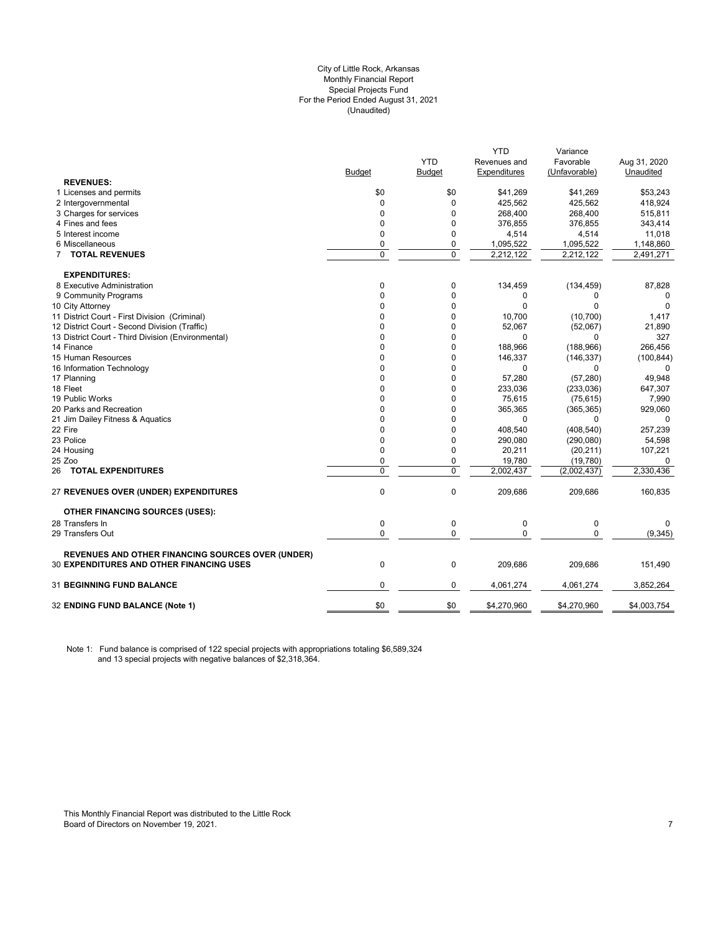# City of Little Rock, Arkansas (Unaudited) For the Period Ended August 31, 2021 Special Projects Fund Monthly Financial Report

|                                                          |                |            | YTD          | Variance      |              |
|----------------------------------------------------------|----------------|------------|--------------|---------------|--------------|
|                                                          |                | <b>YTD</b> | Revenues and | Favorable     | Aug 31, 2020 |
|                                                          | <b>Budget</b>  | Budget     | Expenditures | (Unfavorable) | Unaudited    |
| <b>REVENUES:</b>                                         |                |            |              |               |              |
| 1 Licenses and permits                                   | \$0            | \$0        | \$41,269     | \$41,269      | \$53,243     |
| 2 Intergovernmental                                      | 0              | 0          | 425,562      | 425,562       | 418,924      |
| 3 Charges for services                                   | $\mathbf 0$    | 0          | 268,400      | 268,400       | 515,811      |
| 4 Fines and fees                                         | $\mathbf 0$    | 0          | 376,855      | 376,855       | 343,414      |
| 5 Interest income                                        | $\mathbf 0$    | 0          | 4,514        | 4,514         | 11,018       |
| 6 Miscellaneous                                          | $\mathbf 0$    | 0          | 1,095,522    | 1,095,522     | 1,148,860    |
| 7 TOTAL REVENUES                                         | $\overline{0}$ | 0          | 2,212,122    | 2,212,122     | 2,491,271    |
| <b>EXPENDITURES:</b>                                     |                |            |              |               |              |
| 8 Executive Administration                               | 0              | 0          | 134,459      | (134, 459)    | 87,828       |
| 9 Community Programs                                     | $\mathbf 0$    | 0          | 0            | 0             | 0            |
| 10 City Attorney                                         | $\Omega$       | 0          | $\Omega$     | $\Omega$      | $\Omega$     |
| 11 District Court - First Division (Criminal)            | 0              | 0          | 10,700       | (10, 700)     | 1,417        |
| 12 District Court - Second Division (Traffic)            | 0              | 0          | 52,067       | (52,067)      | 21,890       |
| 13 District Court - Third Division (Environmental)       | 0              | 0          | 0            | $\Omega$      | 327          |
| 14 Finance                                               | $\Omega$       | 0          | 188,966      | (188, 966)    | 266,456      |
| 15 Human Resources                                       | 0              | 0          | 146,337      | (146, 337)    | (100, 844)   |
| 16 Information Technology                                | $\Omega$       | $\Omega$   | $\Omega$     | 0             |              |
| 17 Planning                                              | 0              | 0          | 57,280       | (57, 280)     | 49,948       |
| 18 Fleet                                                 | $\Omega$       | 0          | 233,036      | (233,036)     | 647,307      |
| 19 Public Works                                          | 0              | 0          | 75,615       | (75, 615)     | 7,990        |
| 20 Parks and Recreation                                  | $\Omega$       | 0          | 365,365      | (365, 365)    | 929,060      |
| 21 Jim Dailey Fitness & Aquatics                         | $\Omega$       | 0          | $\mathbf 0$  | $\Omega$      | $\Omega$     |
| 22 Fire                                                  | $\mathbf 0$    | 0          | 408,540      | (408, 540)    | 257,239      |
| 23 Police                                                | 0              | 0          | 290,080      | (290,080)     | 54,598       |
| 24 Housing                                               | $\mathbf{0}$   | 0          | 20,211       | (20, 211)     | 107,221      |
| 25 Zoo                                                   | $\mathbf 0$    | 0          | 19,780       | (19,780)      | 0            |
| 26 TOTAL EXPENDITURES                                    | $\mathbf 0$    | 0          | 2,002,437    | (2,002,437)   | 2,330,436    |
| 27 REVENUES OVER (UNDER) EXPENDITURES                    | $\mathbf 0$    | 0          | 209,686      | 209,686       | 160,835      |
| <b>OTHER FINANCING SOURCES (USES):</b>                   |                |            |              |               |              |
| 28 Transfers In                                          | $\mathbf 0$    | 0          | $\mathbf 0$  | $\mathbf 0$   | 0            |
| 29 Transfers Out                                         | $\mathbf 0$    | 0          | $\mathbf{0}$ | 0             | (9, 345)     |
| <b>REVENUES AND OTHER FINANCING SOURCES OVER (UNDER)</b> |                |            |              |               |              |
| <b>30 EXPENDITURES AND OTHER FINANCING USES</b>          | $\mathbf 0$    | 0          | 209,686      | 209,686       | 151,490      |
| <b>31 BEGINNING FUND BALANCE</b>                         | $\mathbf 0$    | 0          | 4,061,274    | 4,061,274     | 3,852,264    |
| 32 ENDING FUND BALANCE (Note 1)                          | \$0            | \$0        | \$4,270,960  | \$4,270,960   | \$4,003,754  |
|                                                          |                |            |              |               |              |

Note 1: Fund balance is comprised of 122 special projects with appropriations totaling \$6,589,324 and 13 special projects with negative balances of \$2,318,364.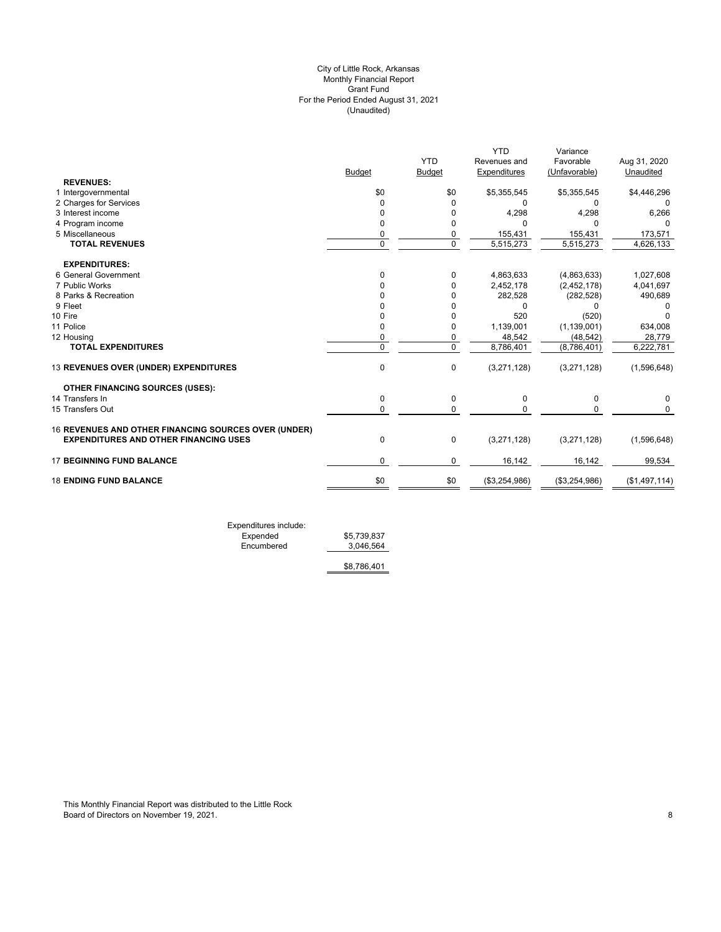# (Unaudited) City of Little Rock, Arkansas Monthly Financial Report Grant Fund For the Period Ended August 31, 2021

|                                                      | <b>Budget</b> | <b>YTD</b><br><b>Budget</b> | <b>YTD</b><br>Revenues and<br>Expenditures | Variance<br>Favorable<br>(Unfavorable) | Aug 31, 2020<br>Unaudited |
|------------------------------------------------------|---------------|-----------------------------|--------------------------------------------|----------------------------------------|---------------------------|
| <b>REVENUES:</b>                                     |               |                             |                                            |                                        |                           |
| 1 Intergovernmental                                  | \$0           | \$0                         | \$5,355,545                                | \$5,355,545                            | \$4,446,296               |
| 2 Charges for Services                               | $\Omega$      | $\Omega$                    | 0                                          | 0                                      | 0                         |
| 3 Interest income                                    | $\Omega$      | 0                           | 4,298                                      | 4,298                                  | 6,266                     |
| 4 Program income                                     | 0             | 0                           |                                            | ŋ                                      |                           |
| 5 Miscellaneous                                      | 0             | 0                           | 155,431                                    | 155,431                                | 173,571                   |
| <b>TOTAL REVENUES</b>                                | $\Omega$      | $\mathbf 0$                 | 5,515,273                                  | 5,515,273                              | 4,626,133                 |
| <b>EXPENDITURES:</b>                                 |               |                             |                                            |                                        |                           |
| 6 General Government                                 | $\Omega$      | 0                           | 4,863,633                                  | (4,863,633)                            | 1,027,608                 |
| 7 Public Works                                       |               | 0                           | 2,452,178                                  | (2,452,178)                            | 4,041,697                 |
| 8 Parks & Recreation                                 |               | 0                           | 282,528                                    | (282, 528)                             | 490,689                   |
| 9 Fleet                                              |               | 0                           | U                                          | 0                                      |                           |
| 10 Fire                                              |               | 0                           | 520                                        | (520)                                  |                           |
| 11 Police                                            | $\Omega$      | 0                           | 1,139,001                                  | (1, 139, 001)                          | 634,008                   |
| 12 Housing                                           | 0             | 0                           | 48,542                                     | (48, 542)                              | 28,779                    |
| <b>TOTAL EXPENDITURES</b>                            | $\Omega$      | $\mathbf 0$                 | 8,786,401                                  | (8,786,401)                            | 6,222,781                 |
| 13 REVENUES OVER (UNDER) EXPENDITURES                | 0             | 0                           | (3,271,128)                                | (3,271,128)                            | (1,596,648)               |
| <b>OTHER FINANCING SOURCES (USES):</b>               |               |                             |                                            |                                        |                           |
| 14 Transfers In                                      | $\mathbf{0}$  | 0                           | 0                                          | 0                                      | 0                         |
| 15 Transfers Out                                     | $\Omega$      | 0                           | U                                          | $\Omega$                               | $\Omega$                  |
| 16 REVENUES AND OTHER FINANCING SOURCES OVER (UNDER) |               |                             |                                            |                                        |                           |
| <b>EXPENDITURES AND OTHER FINANCING USES</b>         | $\mathbf{0}$  | $\mathbf 0$                 | (3,271,128)                                | (3,271,128)                            | (1,596,648)               |
| <b>17 BEGINNING FUND BALANCE</b>                     | $\mathbf 0$   | 0                           | 16,142                                     | 16,142                                 | 99,534                    |
| <b>18 ENDING FUND BALANCE</b>                        | \$0           | \$0                         | (\$3,254,986)                              | (\$3,254,986)                          | (\$1,497,114)             |
|                                                      |               |                             |                                            |                                        |                           |

Expenditures include: Expended \$5,739,837 Expended \$5,739,837<br>Encumbered 3,046,564

\$8,786,401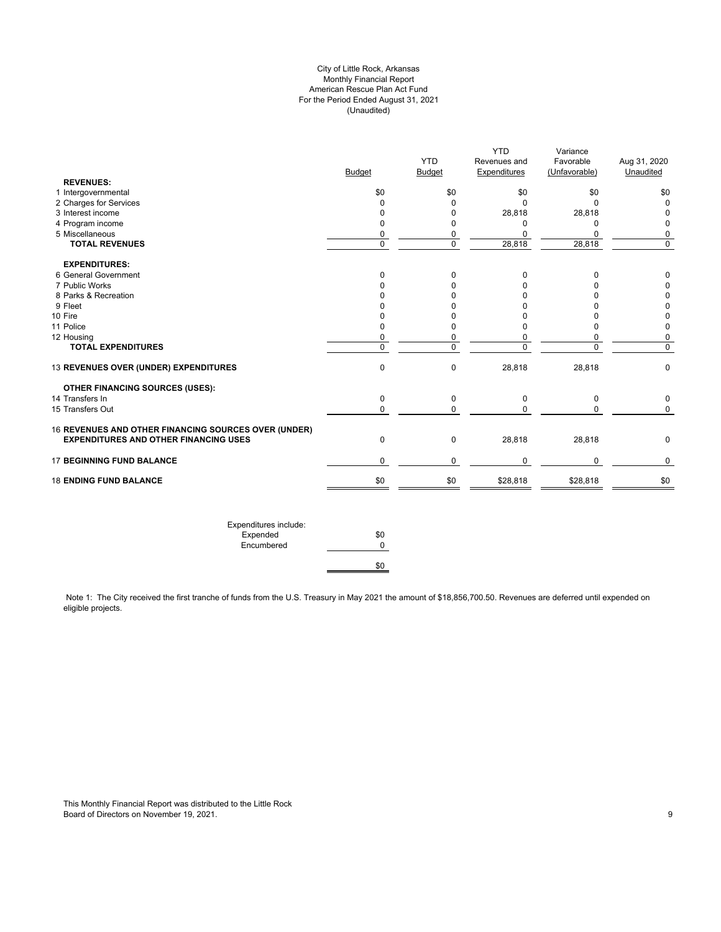# City of Little Rock, Arkansas Monthly Financial Report American Rescue Plan Act Fund For the Period Ended August 31, 2021 (Unaudited)

| <b>Budget</b>  | <b>YTD</b><br><b>Budget</b>   | Revenues and                  | Favorable                  | Aug 31, 2020               |
|----------------|-------------------------------|-------------------------------|----------------------------|----------------------------|
|                |                               |                               |                            |                            |
|                |                               | Expenditures                  | (Unfavorable)              | Unaudited                  |
|                |                               |                               |                            |                            |
| \$0            | \$0                           | \$0                           | \$0                        | \$0                        |
| $\mathbf 0$    | $\mathbf 0$                   | $\Omega$                      | $\Omega$                   | $\mathbf 0$                |
|                |                               |                               |                            | 0                          |
|                |                               |                               |                            | $\mathbf 0$                |
|                |                               |                               |                            | 0                          |
|                |                               |                               |                            | $\overline{0}$             |
|                |                               |                               |                            |                            |
| 0              | 0                             | 0                             | 0                          | 0                          |
| $\Omega$       | 0                             | $\Omega$                      | $\Omega$                   | 0                          |
| 0              | 0                             | 0                             | 0                          | 0                          |
| n              | $\Omega$                      | U                             | $\Omega$                   | $\pmb{0}$                  |
| 0              | $\Omega$                      | O                             | $\Omega$                   | 0                          |
| $\Omega$       | 0                             | $\Omega$                      | $\Omega$                   | $\mathbf 0$                |
| 0              | 0                             | $\mathbf 0$                   | 0                          | $\mathbf 0$                |
| $\overline{0}$ | $\overline{0}$                | $\overline{0}$                | $\Omega$                   | $\overline{0}$             |
| $\mathbf 0$    | 0                             | 28,818                        | 28,818                     | $\mathbf 0$                |
|                |                               |                               |                            |                            |
| $\mathbf 0$    | 0                             | $\mathbf 0$                   | 0                          | $\mathbf 0$                |
| 0              | $\pmb{0}$                     | $\Omega$                      | 0                          | $\mathsf{O}$               |
|                |                               |                               |                            |                            |
| $\mathbf 0$    | 0                             | 28,818                        | 28,818                     | 0                          |
| 0              | 0                             | $\mathbf{0}$                  | $\mathbf 0$                | 0                          |
| \$0            | \$0                           | \$28,818                      | \$28,818                   | \$0                        |
|                | 0<br>0<br>0<br>$\overline{0}$ | 0<br>0<br>0<br>$\overline{0}$ | 28,818<br>0<br>0<br>28,818 | 28,818<br>0<br>0<br>28,818 |

Note 1: The City received the first tranche of funds from the U.S. Treasury in May 2021 the amount of \$18,856,700.50. Revenues are deferred until expended on eligible projects.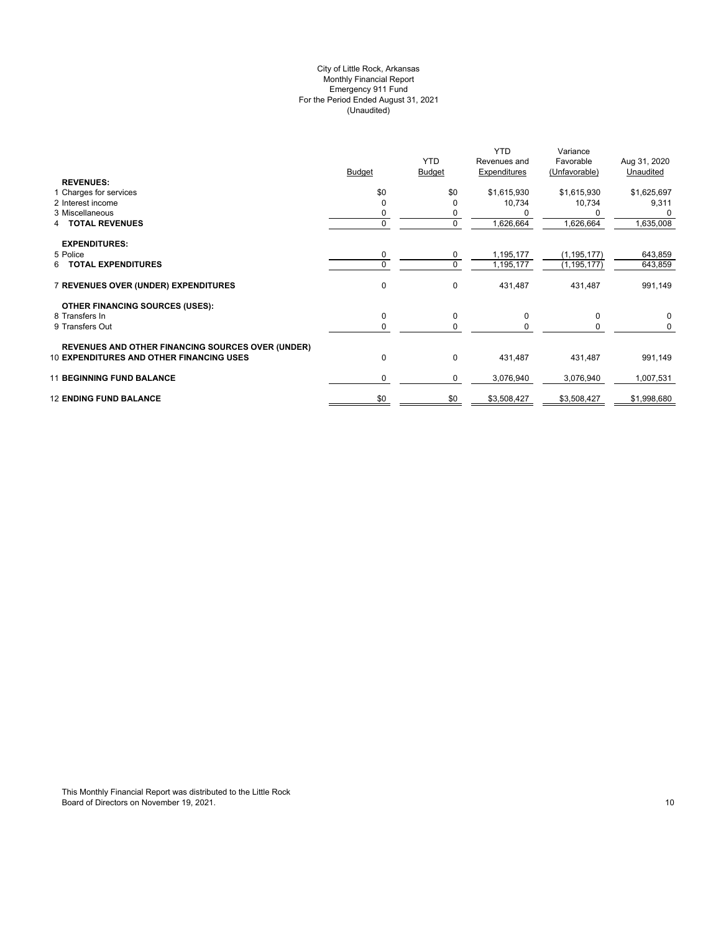# (Unaudited) City of Little Rock, Arkansas Monthly Financial Report Emergency 911 Fund For the Period Ended August 31, 2021

| <b>REVENUES:</b>                                         | <b>Budget</b> | <b>YTD</b><br><b>Budget</b> | <b>YTD</b><br>Revenues and<br>Expenditures | Variance<br>Favorable<br>(Unfavorable) | Aug 31, 2020<br>Unaudited |
|----------------------------------------------------------|---------------|-----------------------------|--------------------------------------------|----------------------------------------|---------------------------|
| 1 Charges for services                                   | \$0           | \$0                         | \$1,615,930                                | \$1,615,930                            | \$1,625,697               |
| 2 Interest income                                        | $\Omega$      |                             | 10,734                                     | 10,734                                 | 9,311                     |
| 3 Miscellaneous                                          | 0             | 0                           |                                            |                                        |                           |
| <b>TOTAL REVENUES</b><br>4                               | $\Omega$      | $\mathbf 0$                 | 1,626,664                                  | 1,626,664                              | 1,635,008                 |
| <b>EXPENDITURES:</b>                                     |               |                             |                                            |                                        |                           |
| 5 Police                                                 | 0             | 0                           | 1,195,177                                  | (1, 195, 177)                          | 643,859                   |
| <b>TOTAL EXPENDITURES</b><br>6.                          | $\Omega$      | $\mathbf 0$                 | 1,195,177                                  | (1, 195, 177)                          | 643,859                   |
| 7 REVENUES OVER (UNDER) EXPENDITURES                     | 0             | 0                           | 431,487                                    | 431,487                                | 991,149                   |
| <b>OTHER FINANCING SOURCES (USES):</b>                   |               |                             |                                            |                                        |                           |
| 8 Transfers In                                           | 0             | 0                           | 0                                          | 0                                      | $\mathbf 0$               |
| 9 Transfers Out                                          | 0             | $\Omega$                    |                                            |                                        | 0                         |
| <b>REVENUES AND OTHER FINANCING SOURCES OVER (UNDER)</b> |               |                             |                                            |                                        |                           |
| <b>10 EXPENDITURES AND OTHER FINANCING USES</b>          | 0             | 0                           | 431,487                                    | 431,487                                | 991,149                   |
| <b>11 BEGINNING FUND BALANCE</b>                         | 0             | 0                           | 3,076,940                                  | 3,076,940                              | 1,007,531                 |
| <b>12 ENDING FUND BALANCE</b>                            | \$0           | \$0                         | \$3,508,427                                | \$3,508,427                            | \$1,998,680               |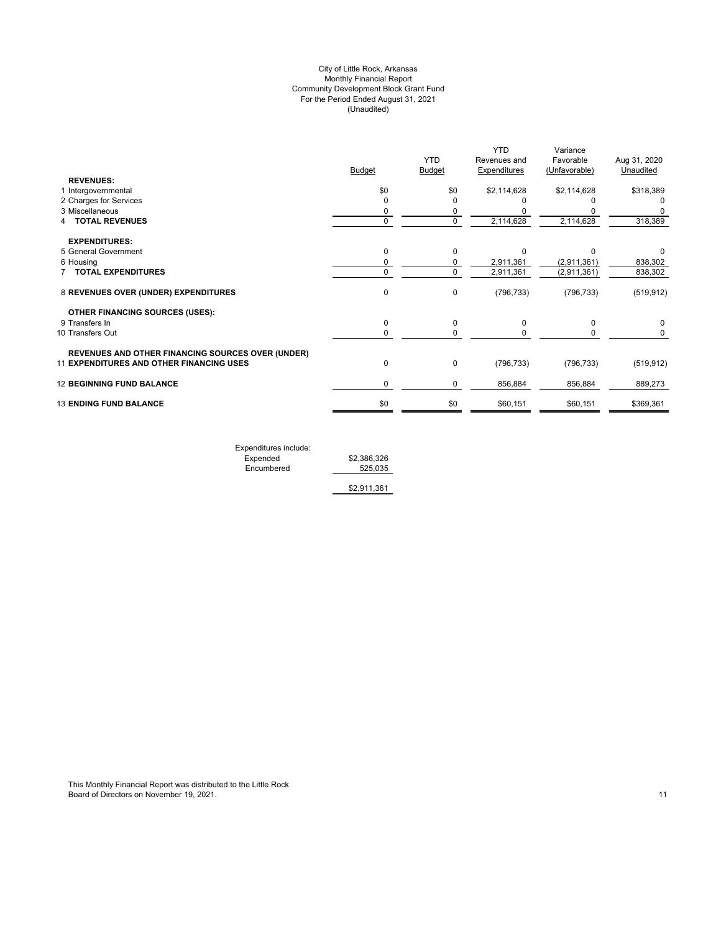# (Unaudited) City of Little Rock, Arkansas Monthly Financial Report Community Development Block Grant Fund For the Period Ended August 31, 2021

|                                                          |               | <b>YTD</b>    | <b>YTD</b><br>Revenues and | Variance<br>Favorable | Aug 31, 2020 |
|----------------------------------------------------------|---------------|---------------|----------------------------|-----------------------|--------------|
|                                                          | <b>Budget</b> | <b>Budget</b> | <b>Expenditures</b>        | (Unfavorable)         | Unaudited    |
| <b>REVENUES:</b>                                         |               |               |                            |                       |              |
| 1 Intergovernmental                                      | \$0           | \$0           | \$2,114,628                | \$2,114,628           | \$318,389    |
| 2 Charges for Services                                   | $\Omega$      |               |                            |                       |              |
| 3 Miscellaneous                                          | 0             | 0             |                            |                       |              |
| <b>TOTAL REVENUES</b>                                    | $\mathbf 0$   | $\mathbf 0$   | 2,114,628                  | 2,114,628             | 318,389      |
| <b>EXPENDITURES:</b>                                     |               |               |                            |                       |              |
| 5 General Government                                     | 0             | $\Omega$      | $\Omega$                   |                       | 0            |
| 6 Housing                                                | 0             | 0             | 2,911,361                  | (2,911,361)           | 838,302      |
| <b>TOTAL EXPENDITURES</b>                                | 0             | $\Omega$      | 2,911,361                  | (2,911,361)           | 838,302      |
| 8 REVENUES OVER (UNDER) EXPENDITURES                     | 0             | 0             | (796, 733)                 | (796, 733)            | (519, 912)   |
| <b>OTHER FINANCING SOURCES (USES):</b>                   |               |               |                            |                       |              |
| 9 Transfers In                                           | 0             | $\Omega$      | $\Omega$                   | 0                     |              |
| 10 Transfers Out                                         | 0             | 0             |                            | 0                     | 0            |
| <b>REVENUES AND OTHER FINANCING SOURCES OVER (UNDER)</b> |               |               |                            |                       |              |
| <b>11 EXPENDITURES AND OTHER FINANCING USES</b>          | 0             | 0             | (796, 733)                 | (796, 733)            | (519, 912)   |
| <b>12 BEGINNING FUND BALANCE</b>                         | 0             | 0             | 856,884                    | 856,884               | 889,273      |
| <b>13 ENDING FUND BALANCE</b>                            | \$0           | \$0           | \$60,151                   | \$60,151              | \$369,361    |
|                                                          |               |               |                            |                       |              |

Expenditures include: Expended \$2,386,326 Encumbered 525,035

\$2,911,361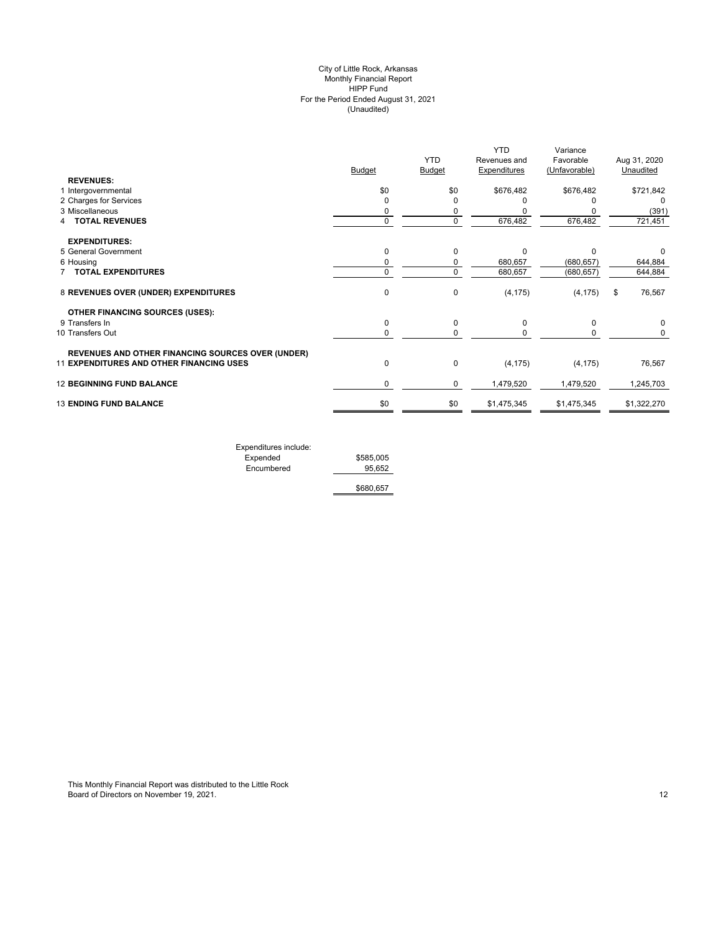#### (Unaudited) City of Little Rock, Arkansas Monthly Financial Report HIPP Fund For the Period Ended August 31, 2021

|                                                          | <b>Budget</b> | <b>YTD</b><br>Budget | <b>YTD</b><br>Revenues and<br><b>Expenditures</b> | Variance<br>Favorable<br>(Unfavorable) | Aug 31, 2020<br>Unaudited |
|----------------------------------------------------------|---------------|----------------------|---------------------------------------------------|----------------------------------------|---------------------------|
| <b>REVENUES:</b>                                         |               |                      |                                                   |                                        |                           |
| 1 Intergovernmental                                      | \$0           | \$0                  | \$676,482                                         | \$676,482                              | \$721,842                 |
| 2 Charges for Services                                   | 0             | $\Omega$             |                                                   |                                        | 0                         |
| 3 Miscellaneous                                          | 0             | 0                    |                                                   |                                        | (391)                     |
| <b>TOTAL REVENUES</b>                                    | $\mathbf 0$   | $\mathbf 0$          | 676,482                                           | 676,482                                | 721,451                   |
| <b>EXPENDITURES:</b>                                     |               |                      |                                                   |                                        |                           |
| 5 General Government                                     | $\mathbf 0$   | $\Omega$             | $\Omega$                                          | $\Omega$                               | O                         |
| 6 Housing                                                | 0             | 0                    | 680,657                                           | (680, 657)                             | 644,884                   |
| <b>TOTAL EXPENDITURES</b>                                | 0             | $\Omega$             | 680,657                                           | (680, 657)                             | 644,884                   |
| 8 REVENUES OVER (UNDER) EXPENDITURES                     | $\mathbf 0$   | 0                    | (4, 175)                                          | (4, 175)                               | \$<br>76,567              |
| <b>OTHER FINANCING SOURCES (USES):</b>                   |               |                      |                                                   |                                        |                           |
| 9 Transfers In                                           | 0             | 0                    | 0                                                 | $\Omega$                               | 0                         |
| 10 Transfers Out                                         | 0             | 0                    |                                                   | O                                      | 0                         |
| <b>REVENUES AND OTHER FINANCING SOURCES OVER (UNDER)</b> |               |                      |                                                   |                                        |                           |
| 11 EXPENDITURES AND OTHER FINANCING USES                 | $\mathbf 0$   | $\mathbf 0$          | (4, 175)                                          | (4, 175)                               | 76,567                    |
| <b>12 BEGINNING FUND BALANCE</b>                         | 0             | 0                    | 1,479,520                                         | 1,479,520                              | 1,245,703                 |
| <b>13 ENDING FUND BALANCE</b>                            | \$0           | \$0                  | \$1,475,345                                       | \$1,475,345                            | \$1,322,270               |
|                                                          |               |                      |                                                   |                                        |                           |

| Expenditures include: |           |
|-----------------------|-----------|
| Expended              | \$585,005 |
| Encumbered            | 95.652    |
|                       |           |

\$680,657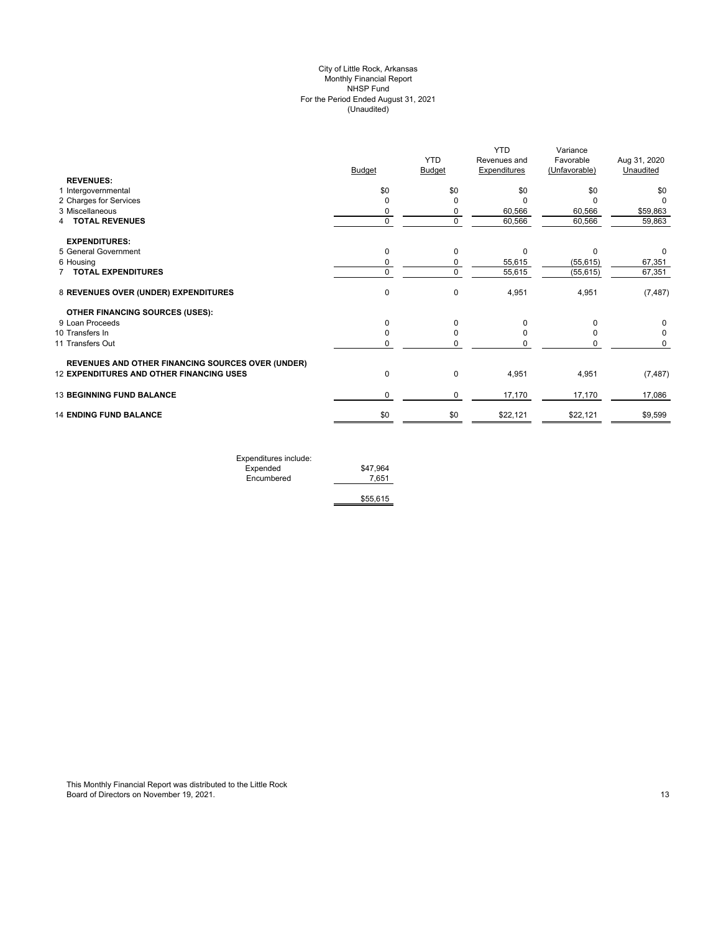# (Unaudited) City of Little Rock, Arkansas Monthly Financial Report NHSP Fund For the Period Ended August 31, 2021

|                                                          |               | <b>YTD</b>    | <b>YTD</b><br>Revenues and | Variance<br>Favorable | Aug 31, 2020 |
|----------------------------------------------------------|---------------|---------------|----------------------------|-----------------------|--------------|
|                                                          | <b>Budget</b> | <b>Budget</b> | <b>Expenditures</b>        | (Unfavorable)         | Unaudited    |
| <b>REVENUES:</b>                                         |               |               |                            |                       |              |
| 1 Intergovernmental                                      | \$0           | \$0           | \$0                        | \$0                   | \$0          |
| 2 Charges for Services                                   | $\mathbf 0$   | O             | $\Omega$                   | $\Omega$              | <sup>0</sup> |
| 3 Miscellaneous                                          | 0             | 0             | 60,566                     | 60,566                | \$59,863     |
| <b>TOTAL REVENUES</b><br>4                               | $\mathbf 0$   | $\mathbf 0$   | 60,566                     | 60,566                | 59,863       |
| <b>EXPENDITURES:</b>                                     |               |               |                            |                       |              |
| 5 General Government                                     | 0             | 0             | $\Omega$                   | $\Omega$              | 0            |
| 6 Housing                                                | 0             | 0             | 55,615                     | (55, 615)             | 67,351       |
| 7 TOTAL EXPENDITURES                                     | 0             | $\mathbf 0$   | 55,615                     | (55, 615)             | 67,351       |
| 8 REVENUES OVER (UNDER) EXPENDITURES                     | $\pmb{0}$     | $\mathbf 0$   | 4,951                      | 4,951                 | (7, 487)     |
| <b>OTHER FINANCING SOURCES (USES):</b>                   |               |               |                            |                       |              |
| 9 Loan Proceeds                                          | 0             | $\Omega$      | O                          |                       | 0            |
| 10 Transfers In                                          | 0             | $\Omega$      |                            |                       | 0            |
| 11 Transfers Out                                         | 0             |               |                            |                       | 0            |
| <b>REVENUES AND OTHER FINANCING SOURCES OVER (UNDER)</b> |               |               |                            |                       |              |
| 12 EXPENDITURES AND OTHER FINANCING USES                 | $\pmb{0}$     | $\mathbf 0$   | 4,951                      | 4,951                 | (7, 487)     |
| <b>13 BEGINNING FUND BALANCE</b>                         | 0             | 0             | 17,170                     | 17,170                | 17,086       |
| <b>14 ENDING FUND BALANCE</b>                            | \$0           | \$0           | \$22,121                   | \$22,121              | \$9,599      |
|                                                          |               |               |                            |                       |              |

| Expenditures include: |          |
|-----------------------|----------|
| Expended              | \$47.964 |
| Encumbered            | 7.651    |
|                       |          |
|                       | \$55,615 |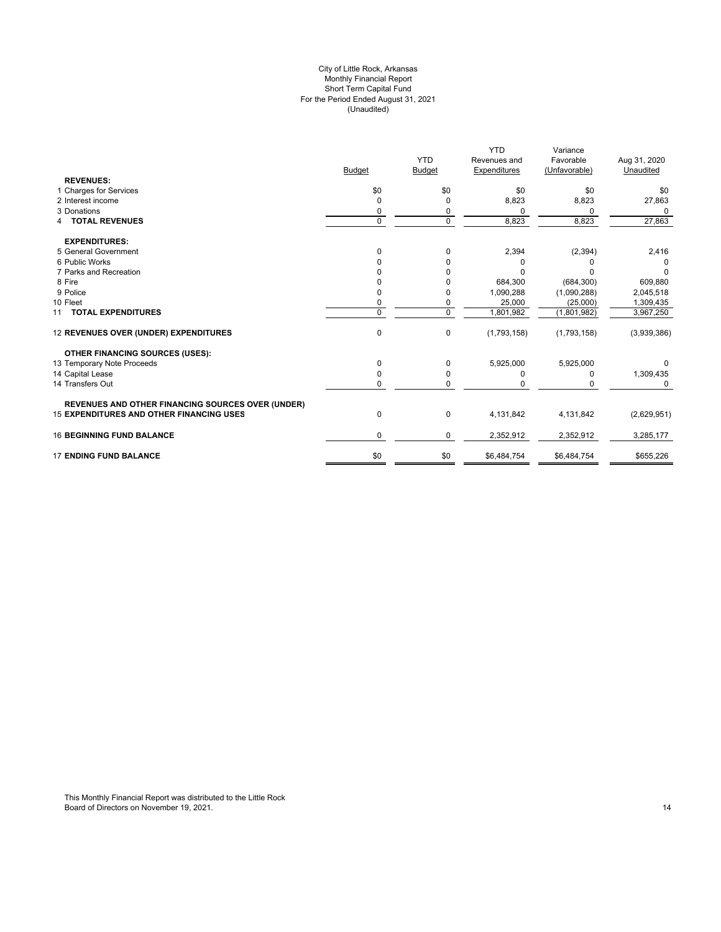# For the Period Ended August 31, 2021 (Unaudited) City of Little Rock, Arkansas Monthly Financial Report Short Term Capital Fund

|                                                   |               |             | <b>YTD</b>          | Variance      |              |
|---------------------------------------------------|---------------|-------------|---------------------|---------------|--------------|
|                                                   |               | <b>YTD</b>  | Revenues and        | Favorable     | Aug 31, 2020 |
|                                                   | <b>Budget</b> | Budget      | <b>Expenditures</b> | (Unfavorable) | Unaudited    |
| <b>REVENUES:</b>                                  |               |             |                     |               |              |
| 1 Charges for Services                            | \$0           | \$0         | \$0                 | \$0           | \$0          |
| 2 Interest income                                 | $\Omega$      | $\mathbf 0$ | 8,823               | 8,823         | 27,863       |
| 3 Donations                                       | 0             | 0           | 0                   | 0             | 0            |
| <b>4 TOTAL REVENUES</b>                           | $\mathbf 0$   | $\mathbf 0$ | 8,823               | 8,823         | 27,863       |
| <b>EXPENDITURES:</b>                              |               |             |                     |               |              |
| 5 General Government                              | $\mathbf 0$   | $\mathbf 0$ | 2,394               | (2, 394)      | 2,416        |
| 6 Public Works                                    |               | 0           | $\Omega$            |               |              |
| 7 Parks and Recreation                            |               |             | $\Omega$            |               | 0            |
| 8 Fire                                            |               |             | 684,300             | (684, 300)    | 609,880      |
| 9 Police                                          |               | 0           | 1,090,288           | (1,090,288)   | 2,045,518    |
| 10 Fleet                                          | 0             | 0           | 25,000              | (25,000)      | 1,309,435    |
| 11 TOTAL EXPENDITURES                             | $\Omega$      | $\mathbf 0$ | 1,801,982           | (1,801,982)   | 3,967,250    |
| 12 REVENUES OVER (UNDER) EXPENDITURES             | $\mathbf 0$   | 0           | (1,793,158)         | (1,793,158)   | (3,939,386)  |
| <b>OTHER FINANCING SOURCES (USES):</b>            |               |             |                     |               |              |
| 13 Temporary Note Proceeds                        | 0             | $\Omega$    | 5,925,000           | 5,925,000     |              |
| 14 Capital Lease                                  | 0             | 0           | 0                   | 0             | 1,309,435    |
| 14 Transfers Out                                  | 0             | 0           | 0                   |               | 0            |
| REVENUES AND OTHER FINANCING SOURCES OVER (UNDER) |               |             |                     |               |              |
| 15 EXPENDITURES AND OTHER FINANCING USES          | 0             | 0           | 4,131,842           | 4,131,842     | (2,629,951)  |
| <b>16 BEGINNING FUND BALANCE</b>                  | 0             | 0           | 2,352,912           | 2,352,912     | 3,285,177    |
| <b>17 ENDING FUND BALANCE</b>                     | \$0           | \$0         | \$6,484,754         | \$6,484,754   | \$655,226    |

This Monthly Financial Report was distributed to the Little Rock Board of Directors on November 19, 2021. The control of the control of the control of the control of the control of the control of the control of the control of the control of the control of the control of the control of t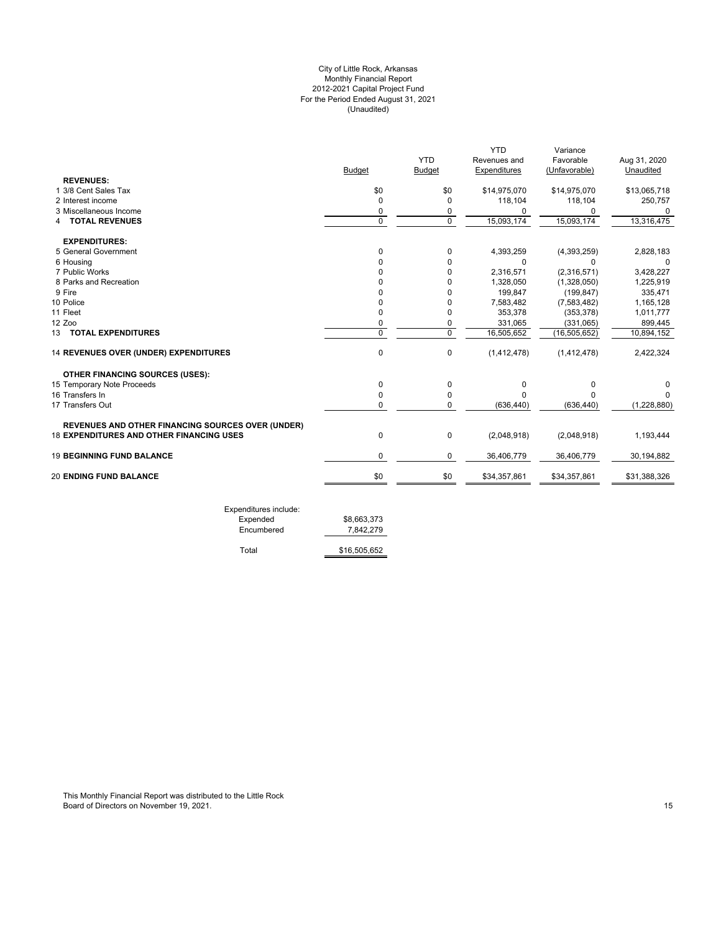# For the Period Ended August 31, 2021 (Unaudited) City of Little Rock, Arkansas Monthly Financial Report 2012-2021 Capital Project Fund

|                                                          |             |                | <b>YTD</b>   | Variance       |              |
|----------------------------------------------------------|-------------|----------------|--------------|----------------|--------------|
|                                                          |             | <b>YTD</b>     | Revenues and | Favorable      | Aug 31, 2020 |
|                                                          | Budget      | <b>Budget</b>  | Expenditures | (Unfavorable)  | Unaudited    |
| <b>REVENUES:</b>                                         |             |                |              |                |              |
| 1 3/8 Cent Sales Tax                                     | \$0         | \$0            | \$14,975,070 | \$14,975,070   | \$13,065,718 |
| 2 Interest income                                        | $\mathbf 0$ | $\Omega$       | 118,104      | 118,104        | 250,757      |
| 3 Miscellaneous Income                                   | 0           | 0              | 0            | <sup>0</sup>   |              |
| <b>4 TOTAL REVENUES</b>                                  | $\mathbf 0$ | $\mathbf 0$    | 15,093,174   | 15,093,174     | 13,316,475   |
| <b>EXPENDITURES:</b>                                     |             |                |              |                |              |
| 5 General Government                                     | 0           | 0              | 4,393,259    | (4,393,259)    | 2,828,183    |
| 6 Housing                                                | $\Omega$    | $\Omega$       | $\Omega$     | 0              | $\Omega$     |
| 7 Public Works                                           | 0           | 0              | 2,316,571    | (2,316,571)    | 3,428,227    |
| 8 Parks and Recreation                                   | $\Omega$    | 0              | 1,328,050    | (1,328,050)    | 1,225,919    |
| 9 Fire                                                   | O           | $\Omega$       | 199,847      | (199, 847)     | 335,471      |
| 10 Police                                                | $\Omega$    | $\Omega$       | 7,583,482    | (7,583,482)    | 1,165,128    |
| 11 Fleet                                                 | 0           | 0              | 353,378      | (353, 378)     | 1,011,777    |
| 12 Zoo                                                   | 0           | 0              | 331,065      | (331,065)      | 899,445      |
| <b>13 TOTAL EXPENDITURES</b>                             | $\mathbf 0$ | $\overline{0}$ | 16,505,652   | (16, 505, 652) | 10,894,152   |
| 14 REVENUES OVER (UNDER) EXPENDITURES                    | 0           | 0              | (1,412,478)  | (1,412,478)    | 2,422,324    |
| <b>OTHER FINANCING SOURCES (USES):</b>                   |             |                |              |                |              |
| 15 Temporary Note Proceeds                               | $\mathbf 0$ | 0              | 0            | 0              |              |
| 16 Transfers In                                          | $\Omega$    | 0              | $\Omega$     | $\Omega$       |              |
| 17 Transfers Out                                         | 0           | 0              | (636, 440)   | (636, 440)     | (1,228,880)  |
| <b>REVENUES AND OTHER FINANCING SOURCES OVER (UNDER)</b> |             |                |              |                |              |
| <b>18 EXPENDITURES AND OTHER FINANCING USES</b>          | 0           | 0              | (2,048,918)  | (2,048,918)    | 1,193,444    |
| <b>19 BEGINNING FUND BALANCE</b>                         | $\mathbf 0$ | $\mathbf 0$    | 36,406,779   | 36,406,779     | 30,194,882   |
|                                                          | \$0         | \$0            | \$34,357,861 | \$34,357,861   | \$31,388,326 |

| Expended   | \$8.663.373  |
|------------|--------------|
| Encumbered | 7,842,279    |
| Total      | \$16,505,652 |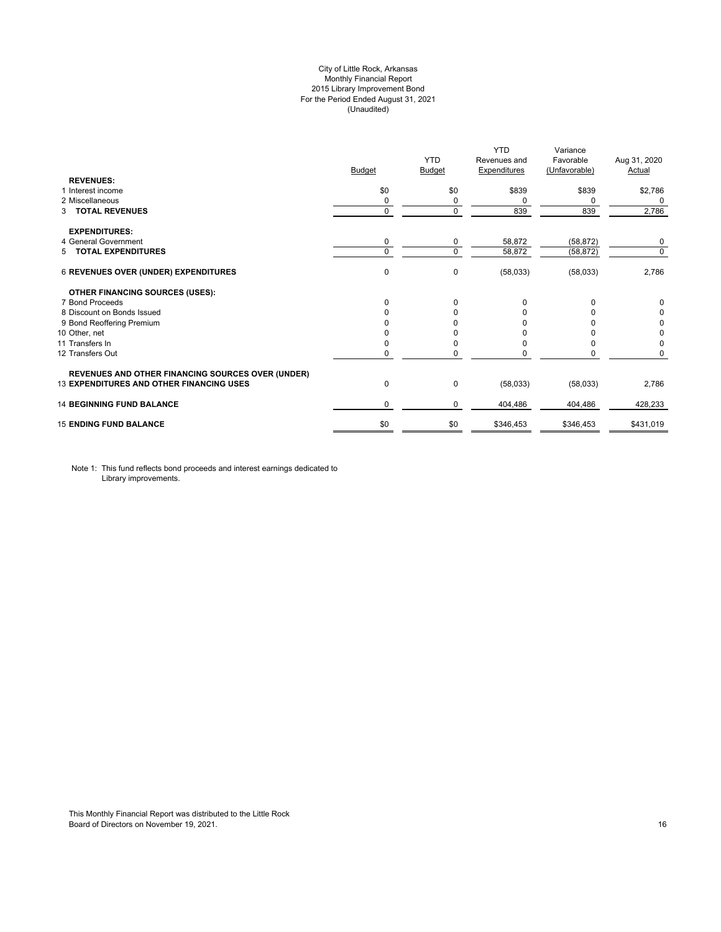# City of Little Rock, Arkansas Monthly Financial Report 2015 Library Improvement Bond For the Period Ended August 31, 2021 (Unaudited)

| <b>REVENUES:</b><br>1 Interest income                    | <b>Budget</b><br>\$0 | Budget        | <b>Expenditures</b> | (Unfavorable) | Actual      |
|----------------------------------------------------------|----------------------|---------------|---------------------|---------------|-------------|
|                                                          |                      |               |                     |               |             |
|                                                          |                      |               |                     |               |             |
|                                                          |                      | \$0           | \$839               | \$839         | \$2,786     |
| 2 Miscellaneous                                          | 0                    | 0<br>$\Omega$ | 0                   | 0             | 0           |
| 3 TOTAL REVENUES                                         | $\mathbf 0$          |               | 839                 | 839           | 2,786       |
| <b>EXPENDITURES:</b>                                     |                      |               |                     |               |             |
| 4 General Government                                     | 0                    | 0             | 58,872              | (58, 872)     | 0           |
| 5 TOTAL EXPENDITURES                                     | $\mathbf 0$          | $\Omega$      | 58,872              | (58, 872)     | $\mathbf 0$ |
| <b>6 REVENUES OVER (UNDER) EXPENDITURES</b>              | 0                    | 0             | (58,033)            | (58,033)      | 2,786       |
| <b>OTHER FINANCING SOURCES (USES):</b>                   |                      |               |                     |               |             |
| 7 Bond Proceeds                                          | 0                    | $\Omega$      | 0                   | <sup>0</sup>  | 0           |
| 8 Discount on Bonds Issued                               | <sup>0</sup>         | O             | <sup>0</sup>        |               | 0           |
| 9 Bond Reoffering Premium                                |                      |               |                     |               | 0           |
| 10 Other, net                                            |                      |               |                     |               | 0           |
| 11 Transfers In                                          | 0                    |               | <sup>0</sup>        |               | 0           |
| 12 Transfers Out                                         | 0                    |               |                     | 0             | 0           |
| <b>REVENUES AND OTHER FINANCING SOURCES OVER (UNDER)</b> |                      |               |                     |               |             |
| <b>13 EXPENDITURES AND OTHER FINANCING USES</b>          | 0                    | 0             | (58,033)            | (58,033)      | 2,786       |
| <b>14 BEGINNING FUND BALANCE</b>                         | 0                    | $\Omega$      | 404,486             | 404,486       | 428,233     |
| <b>15 ENDING FUND BALANCE</b>                            | \$0                  | \$0           | \$346,453           | \$346,453     | \$431,019   |

Note 1: This fund reflects bond proceeds and interest earnings dedicated to Library improvements.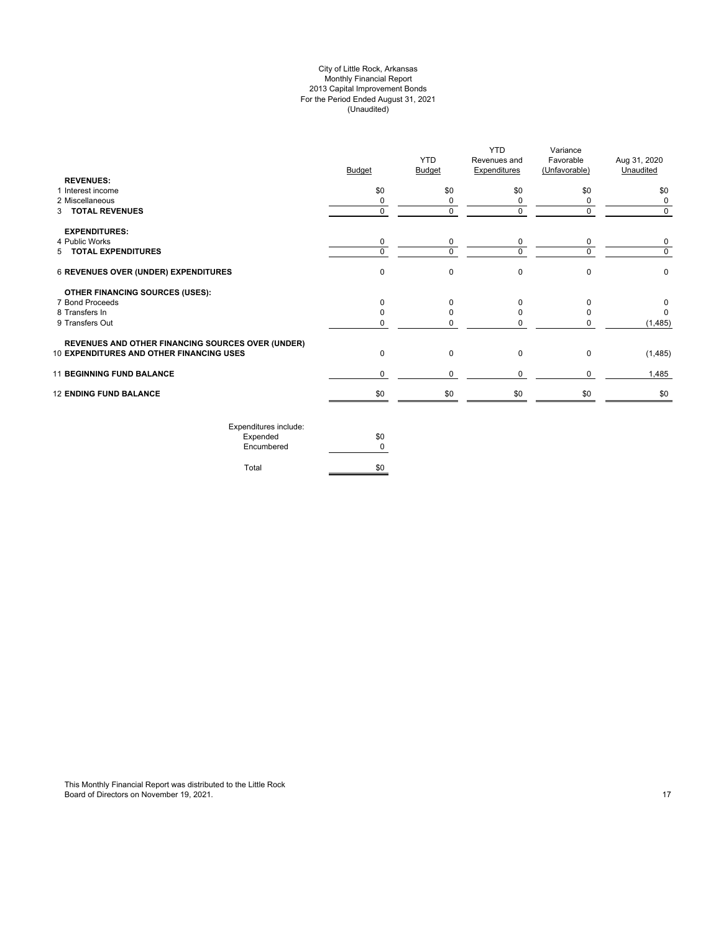# City of Little Rock, Arkansas Monthly Financial Report 2013 Capital Improvement Bonds For the Period Ended August 31, 2021 (Unaudited)

| <b>REVENUES:</b>                                         | <b>Budget</b> | <b>YTD</b><br><b>Budget</b> | <b>YTD</b><br>Revenues and<br><b>Expenditures</b> | Variance<br>Favorable<br>(Unfavorable) | Aug 31, 2020<br>Unaudited |
|----------------------------------------------------------|---------------|-----------------------------|---------------------------------------------------|----------------------------------------|---------------------------|
| 1 Interest income                                        | \$0           | \$0                         | \$0                                               | \$0                                    | \$0                       |
| 2 Miscellaneous                                          | 0             | 0                           | 0                                                 | 0                                      | 0                         |
| 3 TOTAL REVENUES                                         | $\Omega$      | $\Omega$                    | $\Omega$                                          | $\Omega$                               | $\Omega$                  |
| <b>EXPENDITURES:</b>                                     |               |                             |                                                   |                                        |                           |
| 4 Public Works                                           | 0             | 0                           | 0                                                 | 0                                      | 0                         |
| 5 TOTAL EXPENDITURES                                     | $\Omega$      | $\Omega$                    | $\Omega$                                          | $\Omega$                               | $\Omega$                  |
| 6 REVENUES OVER (UNDER) EXPENDITURES                     | $\mathbf 0$   | 0                           | $\mathbf 0$                                       | $\Omega$                               | $\mathbf 0$               |
| <b>OTHER FINANCING SOURCES (USES):</b>                   |               |                             |                                                   |                                        |                           |
| 7 Bond Proceeds                                          | $\Omega$      | O                           | $\Omega$                                          | $\Omega$                               | 0                         |
| 8 Transfers In                                           | <sup>0</sup>  | 0                           | 0                                                 | <sup>0</sup>                           | $\Omega$                  |
| 9 Transfers Out                                          | 0             |                             | $\Omega$                                          |                                        | (1, 485)                  |
| <b>REVENUES AND OTHER FINANCING SOURCES OVER (UNDER)</b> |               |                             |                                                   |                                        |                           |
| 10 EXPENDITURES AND OTHER FINANCING USES                 | $\mathbf 0$   | 0                           | 0                                                 | $\mathbf 0$                            | (1, 485)                  |
| <b>11 BEGINNING FUND BALANCE</b>                         | $\Omega$      | 0                           | $\mathbf 0$                                       | $\Omega$                               | 1,485                     |
| <b>12 ENDING FUND BALANCE</b>                            | \$0           | \$0                         | \$0                                               | \$0                                    | \$0                       |
| Expenditures include:                                    |               |                             |                                                   |                                        |                           |

| LAPCHURGICS INCIDE. |     |
|---------------------|-----|
| Expended            | \$0 |
| Encumbered          |     |
|                     |     |
| Total               | \$0 |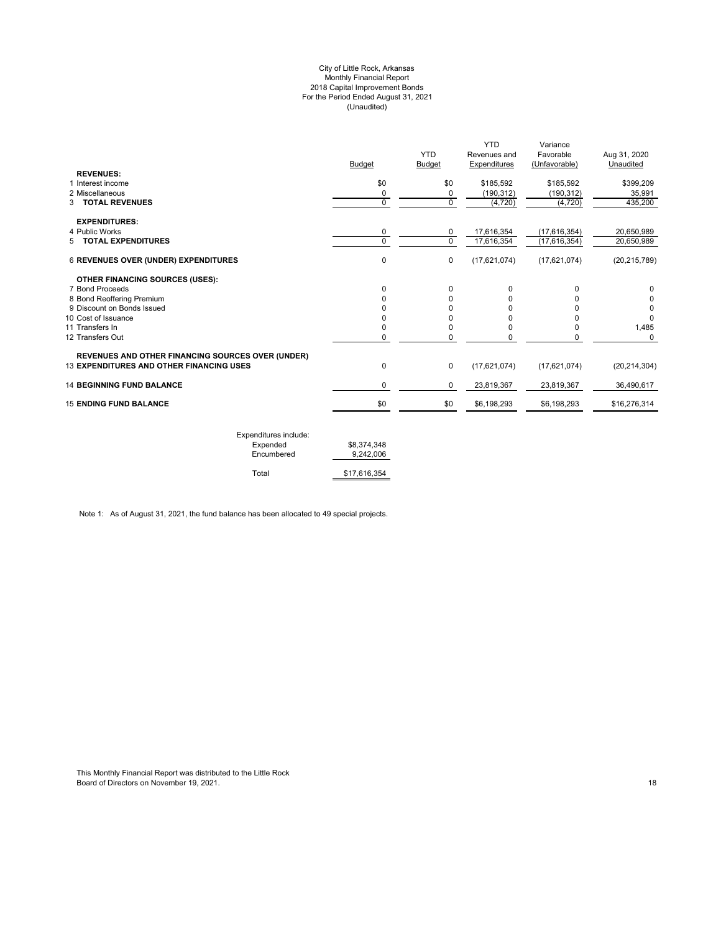#### City of Little Rock, Arkansas Monthly Financial Report 2018 Capital Improvement Bonds For the Period Ended August 31, 2021 (Unaudited)

| \$0<br>\$0<br>0<br>0<br>0<br>0<br>$\Omega$<br>0<br>$\mathbf 0$ | \$185,592<br>(190, 312)<br>$\mathbf 0$<br>(4, 720)<br>17,616,354<br>0<br>$\Omega$<br>17,616,354<br>(17,621,074) | \$185,592<br>(190, 312)<br>(4,720)<br>(17,616,354)<br>(17, 616, 354)<br>(17,621,074) | \$399,209<br>35,991<br>435,200<br>20,650,989<br>20,650,989<br>(20, 215, 789) |
|----------------------------------------------------------------|-----------------------------------------------------------------------------------------------------------------|--------------------------------------------------------------------------------------|------------------------------------------------------------------------------|
|                                                                |                                                                                                                 |                                                                                      |                                                                              |
|                                                                |                                                                                                                 |                                                                                      |                                                                              |
|                                                                |                                                                                                                 |                                                                                      |                                                                              |
|                                                                |                                                                                                                 |                                                                                      |                                                                              |
|                                                                |                                                                                                                 |                                                                                      |                                                                              |
|                                                                |                                                                                                                 |                                                                                      |                                                                              |
|                                                                |                                                                                                                 |                                                                                      |                                                                              |
|                                                                |                                                                                                                 |                                                                                      |                                                                              |
| 0                                                              | $\Omega$<br>0                                                                                                   | $\Omega$                                                                             | 0                                                                            |
| 0                                                              | 0<br>0                                                                                                          | U                                                                                    |                                                                              |
|                                                                | ŋ<br>U                                                                                                          |                                                                                      | 0                                                                            |
| ŋ                                                              | 0<br>U                                                                                                          |                                                                                      |                                                                              |
|                                                                |                                                                                                                 |                                                                                      | 1,485                                                                        |
|                                                                |                                                                                                                 |                                                                                      | $\Omega$                                                                     |
| 0                                                              |                                                                                                                 | (17,621,074)                                                                         | (20, 214, 304)                                                               |
| $\Omega$                                                       | 23,819,367                                                                                                      | 23,819,367                                                                           | 36.490.617                                                                   |
|                                                                | \$6,198,293                                                                                                     | \$6,198,293                                                                          | \$16,276,314                                                                 |
|                                                                | 0<br>0<br>\$0                                                                                                   | 0<br>0<br>0<br>0<br>$\mathbf 0$<br>(17,621,074)<br>0<br>\$0                          | 0<br>0                                                                       |

| Expenditures include: |              |
|-----------------------|--------------|
| Expended              | \$8,374,348  |
| Encumbered            | 9.242.006    |
|                       |              |
| Total                 | \$17,616,354 |

Note 1: As of August 31, 2021, the fund balance has been allocated to 49 special projects.

This Monthly Financial Report was distributed to the Little Rock Board of Directors on November 19, 2021. 18 April 19 and the control of the control of Directors on November 19, 2021.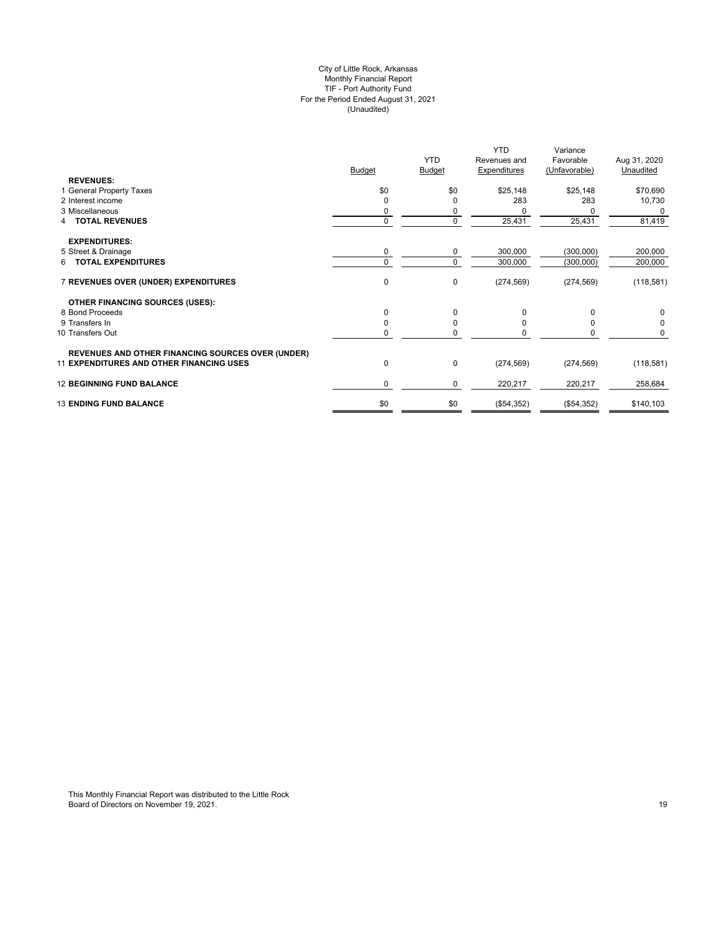#### City of Little Rock, Arkansas Monthly Financial Report TIF - Port Authority Fund For the Period Ended August 31, 2021 (Unaudited)

|                                                          | <b>Budget</b> | <b>YTD</b><br>Budget | <b>YTD</b><br>Revenues and<br><b>Expenditures</b> | Variance<br>Favorable<br>(Unfavorable) | Aug 31, 2020<br>Unaudited |
|----------------------------------------------------------|---------------|----------------------|---------------------------------------------------|----------------------------------------|---------------------------|
| <b>REVENUES:</b>                                         |               |                      |                                                   |                                        |                           |
| 1 General Property Taxes                                 | \$0           | \$0                  | \$25,148                                          | \$25,148                               | \$70,690                  |
| 2 Interest income                                        | $\Omega$      |                      | 283                                               | 283                                    | 10,730                    |
| 3 Miscellaneous                                          | 0             | 0                    |                                                   | <sup>0</sup>                           | 0                         |
| 4 TOTAL REVENUES                                         | $\mathbf 0$   | $\Omega$             | 25,431                                            | 25,431                                 | 81,419                    |
| <b>EXPENDITURES:</b>                                     |               |                      |                                                   |                                        |                           |
| 5 Street & Drainage                                      | 0             | 0                    | 300,000                                           | (300,000)                              | 200,000                   |
| 6 TOTAL EXPENDITURES                                     | $\Omega$      | $\Omega$             | 300,000                                           | (300,000)                              | 200,000                   |
| 7 REVENUES OVER (UNDER) EXPENDITURES                     | $\pmb{0}$     | $\mathbf 0$          | (274, 569)                                        | (274, 569)                             | (118, 581)                |
| <b>OTHER FINANCING SOURCES (USES):</b>                   |               |                      |                                                   |                                        |                           |
| 8 Bond Proceeds                                          | 0             | $\Omega$             | <sup>0</sup>                                      | $\Omega$                               | 0                         |
| 9 Transfers In                                           | 0             | $\Omega$             |                                                   | <sup>0</sup>                           | 0                         |
| 10 Transfers Out                                         | $\Omega$      | $\Omega$             |                                                   | $\Omega$                               | 0                         |
| <b>REVENUES AND OTHER FINANCING SOURCES OVER (UNDER)</b> |               |                      |                                                   |                                        |                           |
| <b>11 EXPENDITURES AND OTHER FINANCING USES</b>          | 0             | $\mathbf 0$          | (274, 569)                                        | (274, 569)                             | (118,581)                 |
| <b>12 BEGINNING FUND BALANCE</b>                         | 0             | 0                    | 220,217                                           | 220,217                                | 258,684                   |
| <b>13 ENDING FUND BALANCE</b>                            | \$0           | \$0                  | (\$54,352)                                        | (\$54,352)                             | \$140,103                 |
|                                                          |               |                      |                                                   |                                        |                           |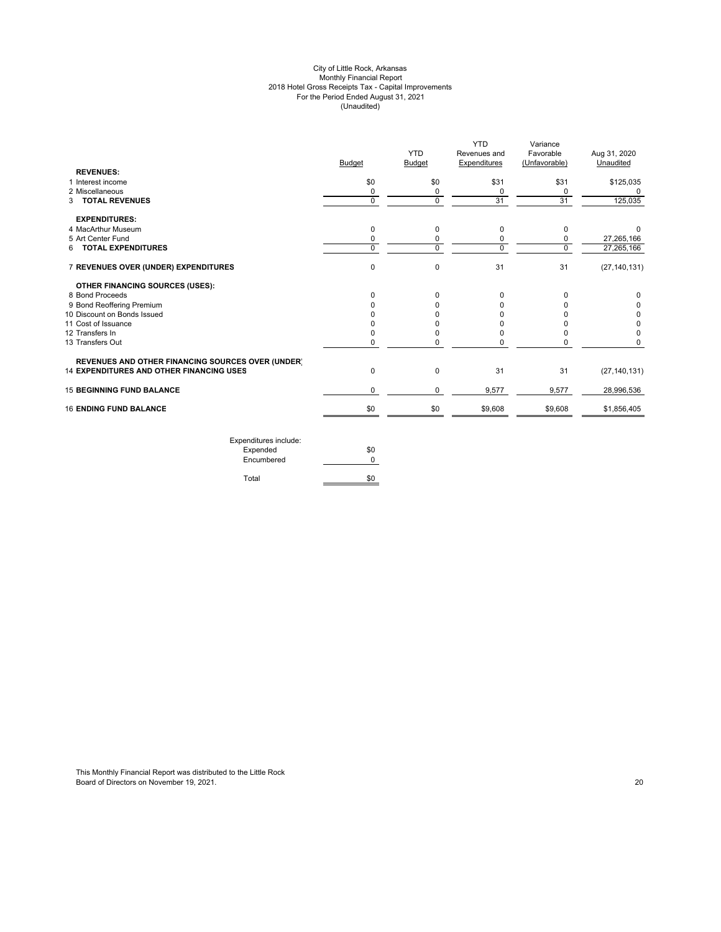#### City of Little Rock, Arkansas Monthly Financial Report 2018 Hotel Gross Receipts Tax - Capital Improvements For the Period Ended August 31, 2021 (Unaudited)

|                                                          |               | <b>YTD</b>    | <b>YTD</b><br>Revenues and | Variance<br>Favorable | Aug 31, 2020   |
|----------------------------------------------------------|---------------|---------------|----------------------------|-----------------------|----------------|
|                                                          | <b>Budget</b> | <b>Budget</b> | Expenditures               | (Unfavorable)         | Unaudited      |
| <b>REVENUES:</b>                                         |               |               |                            |                       |                |
| 1 Interest income                                        | \$0           | \$0           | \$31                       | \$31                  | \$125,035      |
| 2 Miscellaneous                                          | 0             | 0             | 0                          | 0                     |                |
| <b>3 TOTAL REVENUES</b>                                  | $\mathbf 0$   | $\Omega$      | 31                         | 31                    | 125,035        |
| <b>EXPENDITURES:</b>                                     |               |               |                            |                       |                |
| 4 MacArthur Museum                                       | 0             | 0             | 0                          | 0                     | $\Omega$       |
| 5 Art Center Fund                                        | 0             | 0             | 0                          | 0                     | 27,265,166     |
| <b>TOTAL EXPENDITURES</b><br>6                           | $\Omega$      | 0             | 0                          | $\mathbf 0$           | 27,265,166     |
| 7 REVENUES OVER (UNDER) EXPENDITURES                     | 0             | 0             | 31                         | 31                    | (27, 140, 131) |
| OTHER FINANCING SOURCES (USES):                          |               |               |                            |                       |                |
| 8 Bond Proceeds                                          | U             | 0             | 0                          | 0                     | 0              |
| 9 Bond Reoffering Premium                                |               | 0             |                            |                       |                |
| 10 Discount on Bonds Issued                              |               |               |                            |                       | 0              |
| 11 Cost of Issuance                                      |               |               |                            |                       | 0              |
| 12 Transfers In                                          |               |               | O                          |                       | $\Omega$       |
| 13 Transfers Out                                         | 0             | $\Omega$      | $\Omega$                   | 0                     | $\Omega$       |
| <b>REVENUES AND OTHER FINANCING SOURCES OVER (UNDER)</b> |               |               |                            |                       |                |
| <b>14 EXPENDITURES AND OTHER FINANCING USES</b>          | 0             | 0             | 31                         | 31                    | (27, 140, 131) |
| <b>15 BEGINNING FUND BALANCE</b>                         | 0             | 0             | 9,577                      | 9,577                 | 28,996,536     |
| <b>16 ENDING FUND BALANCE</b>                            | \$0           | \$0           | \$9,608                    | \$9,608               | \$1,856,405    |
|                                                          |               |               |                            |                       |                |

Expenditures include: Expended \$0 Encumbered 0 Total \$0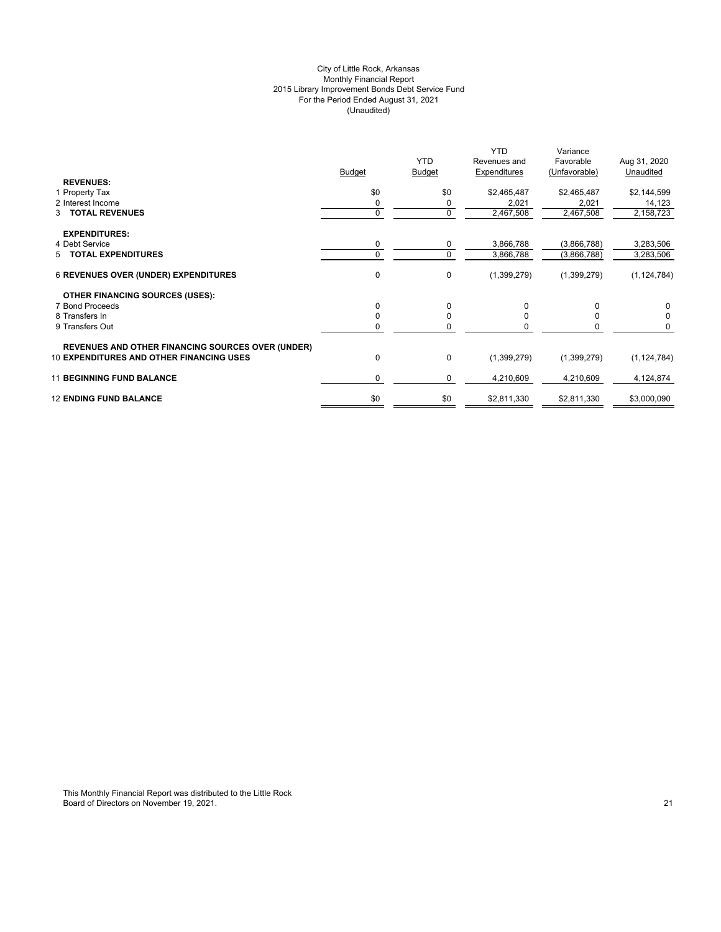# City of Little Rock, Arkansas Monthly Financial Report 2015 Library Improvement Bonds Debt Service Fund For the Period Ended August 31, 2021 (Unaudited)

|                                                          | <b>Budget</b> | <b>YTD</b><br>Budget | <b>YTD</b><br>Revenues and<br>Expenditures | Variance<br>Favorable<br>(Unfavorable) | Aug 31, 2020<br>Unaudited |
|----------------------------------------------------------|---------------|----------------------|--------------------------------------------|----------------------------------------|---------------------------|
| <b>REVENUES:</b>                                         |               |                      |                                            |                                        |                           |
| 1 Property Tax                                           | \$0           | \$0                  | \$2,465,487                                | \$2,465,487                            | \$2,144,599               |
| 2 Interest Income                                        | 0             | 0                    | 2,021                                      | 2,021                                  | 14,123                    |
| 3 TOTAL REVENUES                                         | 0             | 0                    | 2,467,508                                  | 2,467,508                              | 2,158,723                 |
| <b>EXPENDITURES:</b>                                     |               |                      |                                            |                                        |                           |
| 4 Debt Service                                           | 0             | 0                    | 3,866,788                                  | (3,866,788)                            | 3,283,506                 |
| 5 TOTAL EXPENDITURES                                     | $\Omega$      | $\mathbf 0$          | 3,866,788                                  | (3,866,788)                            | 3,283,506                 |
| <b>6 REVENUES OVER (UNDER) EXPENDITURES</b>              | 0             | $\mathbf 0$          | (1,399,279)                                | (1,399,279)                            | (1, 124, 784)             |
| <b>OTHER FINANCING SOURCES (USES):</b>                   |               |                      |                                            |                                        |                           |
| 7 Bond Proceeds                                          | 0             | $\Omega$             | 0                                          |                                        | 0                         |
| 8 Transfers In                                           | 0             | 0                    |                                            |                                        | 0                         |
| 9 Transfers Out                                          | n             | 0                    |                                            |                                        | 0                         |
| <b>REVENUES AND OTHER FINANCING SOURCES OVER (UNDER)</b> |               |                      |                                            |                                        |                           |
| <b>10 EXPENDITURES AND OTHER FINANCING USES</b>          | 0             | $\mathbf 0$          | (1,399,279)                                | (1,399,279)                            | (1, 124, 784)             |
| <b>11 BEGINNING FUND BALANCE</b>                         | $\Omega$      | 0                    | 4,210,609                                  | 4,210,609                              | 4,124,874                 |
| <b>12 ENDING FUND BALANCE</b>                            | \$0           | \$0                  | \$2,811,330                                | \$2,811,330                            | \$3,000,090               |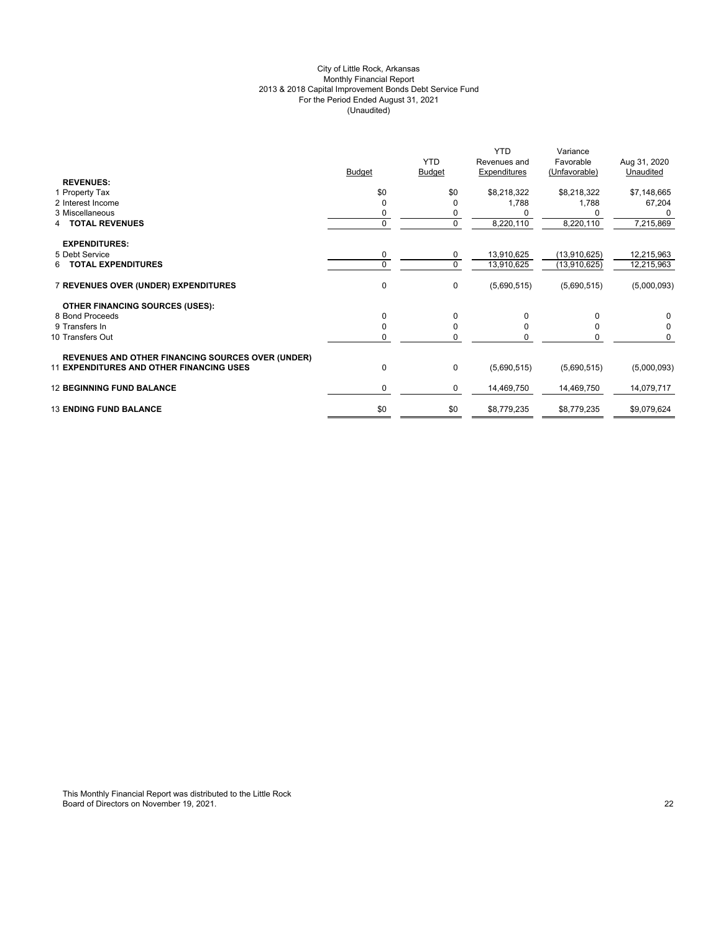# City of Little Rock, Arkansas Monthly Financial Report 2013 & 2018 Capital Improvement Bonds Debt Service Fund For the Period Ended August 31, 2021 (Unaudited)

|                                                          | <b>Budget</b> | <b>YTD</b><br><b>Budget</b> | <b>YTD</b><br>Revenues and<br>Expenditures | Variance<br>Favorable<br>(Unfavorable) | Aug 31, 2020<br>Unaudited |
|----------------------------------------------------------|---------------|-----------------------------|--------------------------------------------|----------------------------------------|---------------------------|
| <b>REVENUES:</b>                                         |               |                             |                                            |                                        |                           |
| 1 Property Tax                                           | \$0           | \$0                         | \$8,218,322                                | \$8,218,322                            | \$7,148,665               |
| 2 Interest Income                                        | $\Omega$      | $\Omega$                    | 1,788                                      | 1,788                                  | 67,204                    |
| 3 Miscellaneous                                          | 0             | 0                           |                                            |                                        |                           |
| <b>TOTAL REVENUES</b>                                    | $\mathbf{0}$  | $\mathbf 0$                 | 8,220,110                                  | 8,220,110                              | 7,215,869                 |
| <b>EXPENDITURES:</b>                                     |               |                             |                                            |                                        |                           |
| 5 Debt Service                                           | 0             | 0                           | 13,910,625                                 | (13,910,625)                           | 12,215,963                |
| <b>TOTAL EXPENDITURES</b><br>6                           | $\Omega$      | $\mathbf 0$                 | 13,910,625                                 | (13,910,625)                           | 12,215,963                |
| 7 REVENUES OVER (UNDER) EXPENDITURES                     | 0             | 0                           | (5,690,515)                                | (5,690,515)                            | (5,000,093)               |
| <b>OTHER FINANCING SOURCES (USES):</b>                   |               |                             |                                            |                                        |                           |
| 8 Bond Proceeds                                          | $\Omega$      | 0                           | 0                                          | $\Omega$                               | 0                         |
| 9 Transfers In                                           | $\Omega$      | 0                           | <sup>0</sup>                               | 0                                      | 0                         |
| 10 Transfers Out                                         | 0             | 0                           |                                            |                                        | 0                         |
| <b>REVENUES AND OTHER FINANCING SOURCES OVER (UNDER)</b> |               |                             |                                            |                                        |                           |
| <b>11 EXPENDITURES AND OTHER FINANCING USES</b>          | $\Omega$      | 0                           | (5,690,515)                                | (5,690,515)                            | (5,000,093)               |
| <b>12 BEGINNING FUND BALANCE</b>                         | $\mathbf 0$   | 0                           | 14,469,750                                 | 14,469,750                             | 14,079,717                |
| <b>13 ENDING FUND BALANCE</b>                            | \$0           | \$0                         | \$8,779,235                                | \$8,779,235                            | \$9,079,624               |
|                                                          |               |                             |                                            |                                        |                           |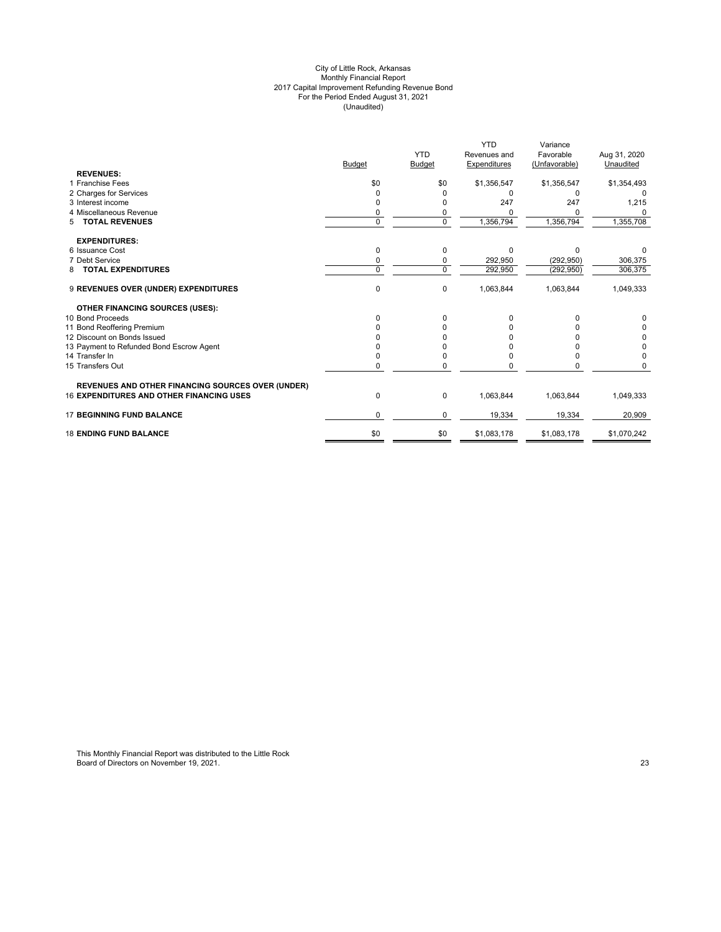#### City of Little Rock, Arkansas Monthly Financial Report 2017 Capital Improvement Refunding Revenue Bond For the Period Ended August 31, 2021 (Unaudited)

|                                                          |               |               | <b>YTD</b>   | Variance      |              |
|----------------------------------------------------------|---------------|---------------|--------------|---------------|--------------|
|                                                          |               | <b>YTD</b>    | Revenues and | Favorable     | Aug 31, 2020 |
|                                                          | <b>Budget</b> | <b>Budget</b> | Expenditures | (Unfavorable) | Unaudited    |
| <b>REVENUES:</b>                                         |               |               |              |               |              |
| 1 Franchise Fees                                         | \$0           | \$0           | \$1,356,547  | \$1,356,547   | \$1,354,493  |
| 2 Charges for Services                                   | O             |               | <sup>0</sup> | O             |              |
| 3 Interest income                                        |               |               | 247          | 247           | 1,215        |
| 4 Miscellaneous Revenue                                  | 0             | 0             |              | O             |              |
| <b>TOTAL REVENUES</b><br>5                               | $\Omega$      | 0             | 1,356,794    | 1,356,794     | 1,355,708    |
| <b>EXPENDITURES:</b>                                     |               |               |              |               |              |
| 6 Issuance Cost                                          | $\Omega$      | 0             | $\Omega$     | $\Omega$      |              |
| 7 Debt Service                                           | 0             | 0             | 292,950      | (292, 950)    | 306,375      |
| <b>TOTAL EXPENDITURES</b><br>8                           | $\Omega$      | 0             | 292,950      | (292, 950)    | 306,375      |
| 9 REVENUES OVER (UNDER) EXPENDITURES                     | $\mathbf 0$   | 0             | 1,063,844    | 1,063,844     | 1,049,333    |
| <b>OTHER FINANCING SOURCES (USES):</b>                   |               |               |              |               |              |
| 10 Bond Proceeds                                         | <sup>0</sup>  | 0             |              |               |              |
| 11 Bond Reoffering Premium                               |               |               |              |               |              |
| 12 Discount on Bonds Issued                              |               |               |              |               |              |
| 13 Payment to Refunded Bond Escrow Agent                 |               |               |              |               | 0            |
| 14 Transfer In                                           |               | 0             |              |               | $\Omega$     |
| 15 Transfers Out                                         | $\Omega$      | O             |              |               |              |
| <b>REVENUES AND OTHER FINANCING SOURCES OVER (UNDER)</b> |               |               |              |               |              |
| <b>16 EXPENDITURES AND OTHER FINANCING USES</b>          | 0             | 0             | 1,063,844    | 1,063,844     | 1,049,333    |
| <b>17 BEGINNING FUND BALANCE</b>                         | $\Omega$      | 0             | 19,334       | 19,334        | 20,909       |
| <b>18 ENDING FUND BALANCE</b>                            | \$0           | \$0           | \$1,083,178  | \$1,083,178   | \$1,070,242  |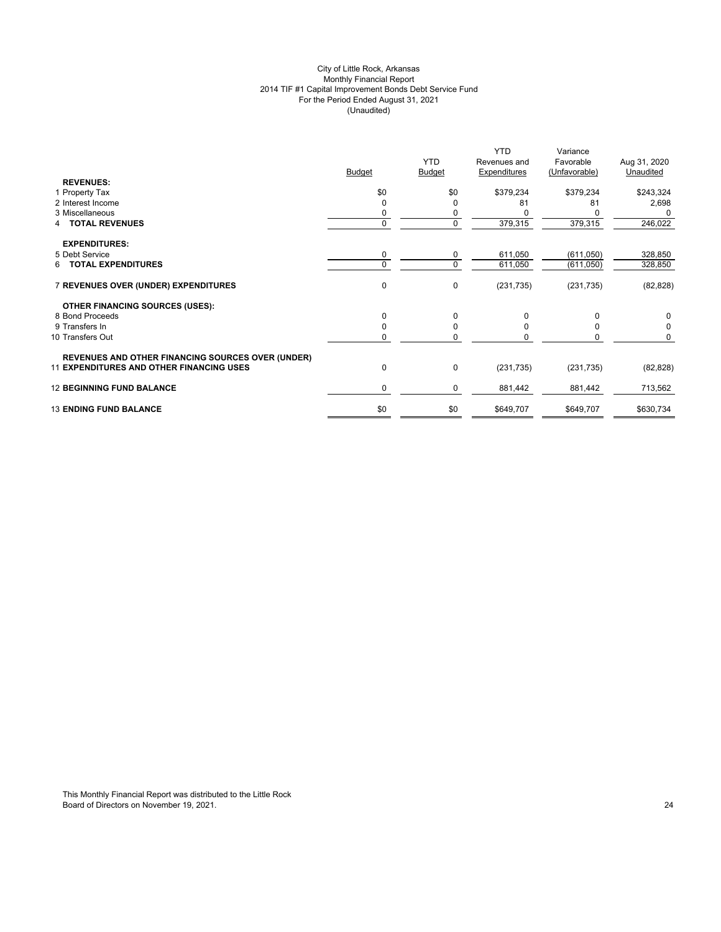# City of Little Rock, Arkansas Monthly Financial Report 2014 TIF #1 Capital Improvement Bonds Debt Service Fund For the Period Ended August 31, 2021 (Unaudited)

|                                                          |               | <b>YTD</b>    | <b>YTD</b><br>Revenues and | Variance<br>Favorable | Aug 31, 2020 |
|----------------------------------------------------------|---------------|---------------|----------------------------|-----------------------|--------------|
|                                                          | <b>Budget</b> | <b>Budget</b> | Expenditures               | (Unfavorable)         | Unaudited    |
| <b>REVENUES:</b>                                         |               |               |                            |                       |              |
| 1 Property Tax                                           | \$0           | \$0           | \$379,234                  | \$379,234             | \$243,324    |
| 2 Interest Income                                        | O             | $\mathbf 0$   | 81                         | 81                    | 2,698        |
| 3 Miscellaneous                                          | 0             | 0             |                            |                       | 0            |
| <b>TOTAL REVENUES</b><br>4                               | $\mathbf{0}$  | 0             | 379,315                    | 379,315               | 246,022      |
| <b>EXPENDITURES:</b>                                     |               |               |                            |                       |              |
| 5 Debt Service                                           | 0             | 0             | 611,050                    | (611, 050)            | 328,850      |
| <b>TOTAL EXPENDITURES</b><br>6.                          | $\Omega$      | $\mathbf 0$   | 611,050                    | (611,050)             | 328,850      |
| 7 REVENUES OVER (UNDER) EXPENDITURES                     | $\mathbf{0}$  | 0             | (231, 735)                 | (231, 735)            | (82, 828)    |
| <b>OTHER FINANCING SOURCES (USES):</b>                   |               |               |                            |                       |              |
| 8 Bond Proceeds                                          | $\Omega$      | $\mathbf 0$   | $\Omega$                   | $\Omega$              | 0            |
| 9 Transfers In                                           | $\Omega$      | 0             | <sup>0</sup>               | 0                     | 0            |
| 10 Transfers Out                                         | 0             | 0             | $\Omega$                   | 0                     | $\mathbf 0$  |
| <b>REVENUES AND OTHER FINANCING SOURCES OVER (UNDER)</b> |               |               |                            |                       |              |
| <b>11 EXPENDITURES AND OTHER FINANCING USES</b>          | 0             | $\pmb{0}$     | (231, 735)                 | (231, 735)            | (82, 828)    |
| <b>12 BEGINNING FUND BALANCE</b>                         | $\mathbf 0$   | 0             | 881,442                    | 881,442               | 713,562      |
| <b>13 ENDING FUND BALANCE</b>                            | \$0           | \$0           | \$649,707                  | \$649,707             | \$630,734    |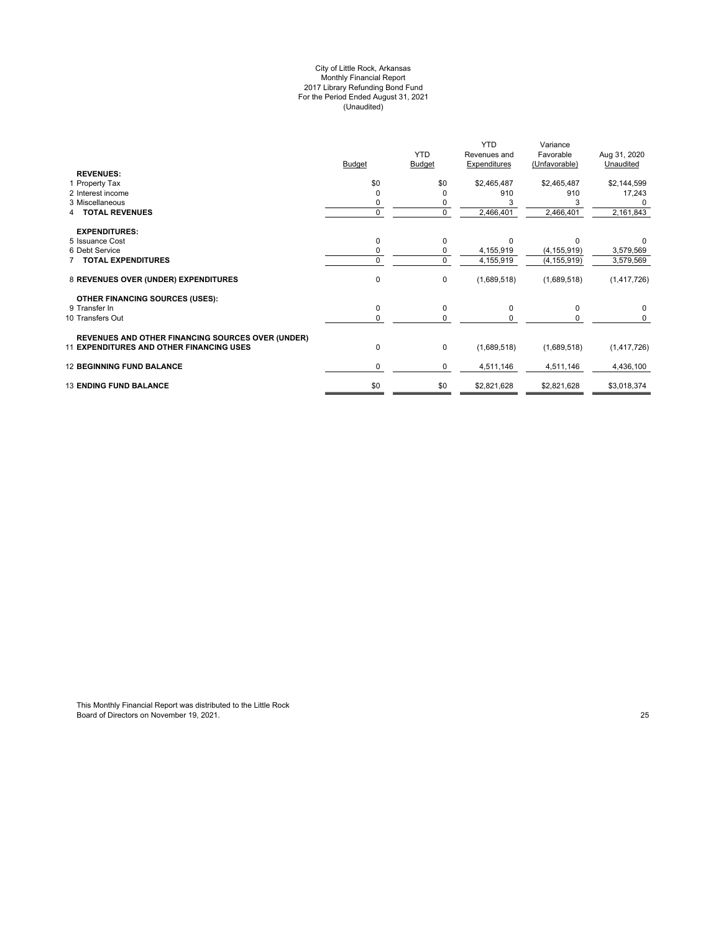#### City of Little Rock, Arkansas Monthly Financial Report 2017 Library Refunding Bond Fund For the Period Ended August 31, 2021 (Unaudited)

|                                                          |               | <b>YTD</b>    | <b>YTD</b>                   | Variance                   |                           |
|----------------------------------------------------------|---------------|---------------|------------------------------|----------------------------|---------------------------|
|                                                          | <b>Budget</b> | <b>Budget</b> | Revenues and<br>Expenditures | Favorable<br>(Unfavorable) | Aug 31, 2020<br>Unaudited |
| <b>REVENUES:</b>                                         |               |               |                              |                            |                           |
| 1 Property Tax                                           | \$0           | \$0           | \$2,465,487                  | \$2,465,487                | \$2,144,599               |
| 2 Interest income                                        |               |               | 910                          | 910                        | 17,243                    |
| 3 Miscellaneous                                          |               |               |                              |                            |                           |
| <b>TOTAL REVENUES</b>                                    | $\Omega$      | 0             | 2,466,401                    | 2,466,401                  | 2,161,843                 |
| <b>EXPENDITURES:</b>                                     |               |               |                              |                            |                           |
| 5 Issuance Cost                                          | 0             | 0             |                              | U                          |                           |
| 6 Debt Service                                           |               | 0             | 4,155,919                    | (4, 155, 919)              | 3,579,569                 |
| <b>TOTAL EXPENDITURES</b>                                | $\Omega$      | 0             | 4,155,919                    | (4, 155, 919)              | 3,579,569                 |
| 8 REVENUES OVER (UNDER) EXPENDITURES                     | $\mathbf 0$   | 0             | (1,689,518)                  | (1,689,518)                | (1, 417, 726)             |
| <b>OTHER FINANCING SOURCES (USES):</b>                   |               |               |                              |                            |                           |
| 9 Transfer In                                            | 0             | 0             | $\Omega$                     | $\Omega$                   | $\Omega$                  |
| 10 Transfers Out                                         | 0             | $\Omega$      |                              |                            |                           |
| <b>REVENUES AND OTHER FINANCING SOURCES OVER (UNDER)</b> |               |               |                              |                            |                           |
| <b>11 EXPENDITURES AND OTHER FINANCING USES</b>          | $\mathbf 0$   | 0             | (1,689,518)                  | (1,689,518)                | (1,417,726)               |
| <b>12 BEGINNING FUND BALANCE</b>                         | 0             | 0             | 4,511,146                    | 4,511,146                  | 4,436,100                 |
| <b>13 ENDING FUND BALANCE</b>                            | \$0           | \$0           | \$2,821,628                  | \$2,821,628                | \$3,018,374               |
|                                                          |               |               |                              |                            |                           |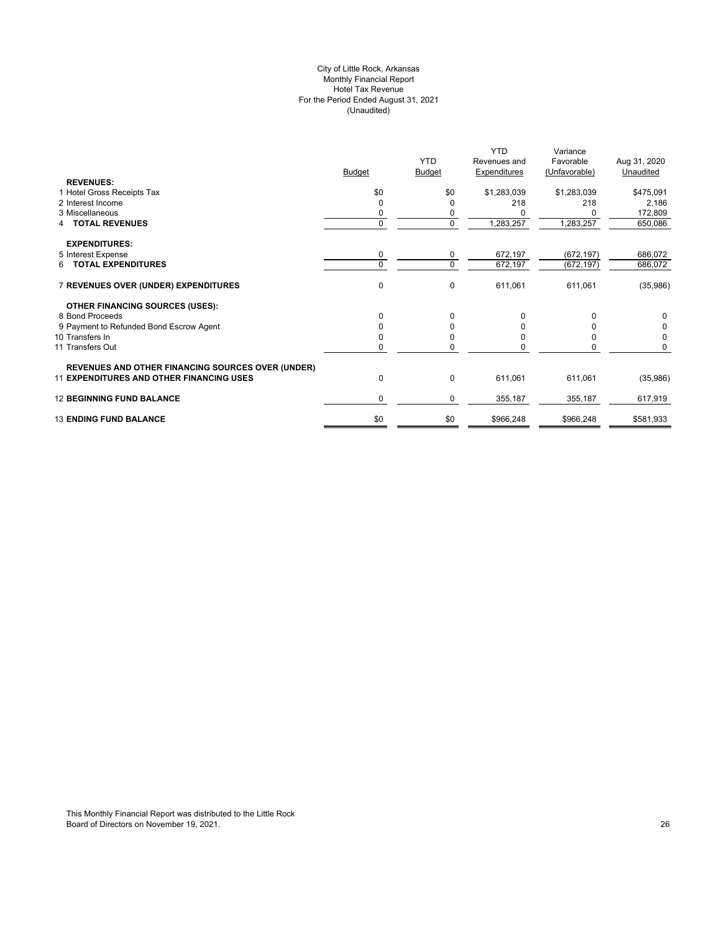# City of Little Rock, Arkansas Monthly Financial Report Hotel Tax Revenue For the Period Ended August 31, 2021 (Unaudited)

|                                                          |               |               | <b>YTD</b>   | Variance      |              |
|----------------------------------------------------------|---------------|---------------|--------------|---------------|--------------|
|                                                          |               | <b>YTD</b>    | Revenues and | Favorable     | Aug 31, 2020 |
|                                                          | <b>Budget</b> | <b>Budget</b> | Expenditures | (Unfavorable) | Unaudited    |
| <b>REVENUES:</b>                                         |               |               |              |               |              |
| 1 Hotel Gross Receipts Tax                               | \$0           | \$0           | \$1,283,039  | \$1,283,039   | \$475,091    |
| 2 Interest Income                                        | 0             | <sup>0</sup>  | 218          | 218           | 2,186        |
| 3 Miscellaneous                                          |               | 0             |              |               | 172,809      |
| <b>TOTAL REVENUES</b>                                    | $\Omega$      | $\mathbf 0$   | 1,283,257    | 1,283,257     | 650,086      |
| <b>EXPENDITURES:</b>                                     |               |               |              |               |              |
| 5 Interest Expense                                       | 0             | 0             | 672,197      | (672, 197)    | 686,072      |
| 6 TOTAL EXPENDITURES                                     | $\Omega$      | $\mathbf 0$   | 672,197      | (672, 197)    | 686,072      |
| 7 REVENUES OVER (UNDER) EXPENDITURES                     | 0             | $\mathbf 0$   | 611,061      | 611,061       | (35,986)     |
| OTHER FINANCING SOURCES (USES):                          |               |               |              |               |              |
| 8 Bond Proceeds                                          | $\Omega$      | $\Omega$      |              |               | 0            |
| 9 Payment to Refunded Bond Escrow Agent                  |               | $\Omega$      |              |               | 0            |
| 10 Transfers In                                          |               | <sup>0</sup>  |              |               | 0            |
| 11 Transfers Out                                         | 0             | $\Omega$      |              | U             | 0            |
| <b>REVENUES AND OTHER FINANCING SOURCES OVER (UNDER)</b> |               |               |              |               |              |
| <b>11 EXPENDITURES AND OTHER FINANCING USES</b>          | 0             | $\mathbf 0$   | 611,061      | 611,061       | (35,986)     |
| <b>12 BEGINNING FUND BALANCE</b>                         | 0             | $\mathbf 0$   | 355,187      | 355,187       | 617,919      |
| <b>13 ENDING FUND BALANCE</b>                            | \$0           | \$0           | \$966,248    | \$966,248     | \$581,933    |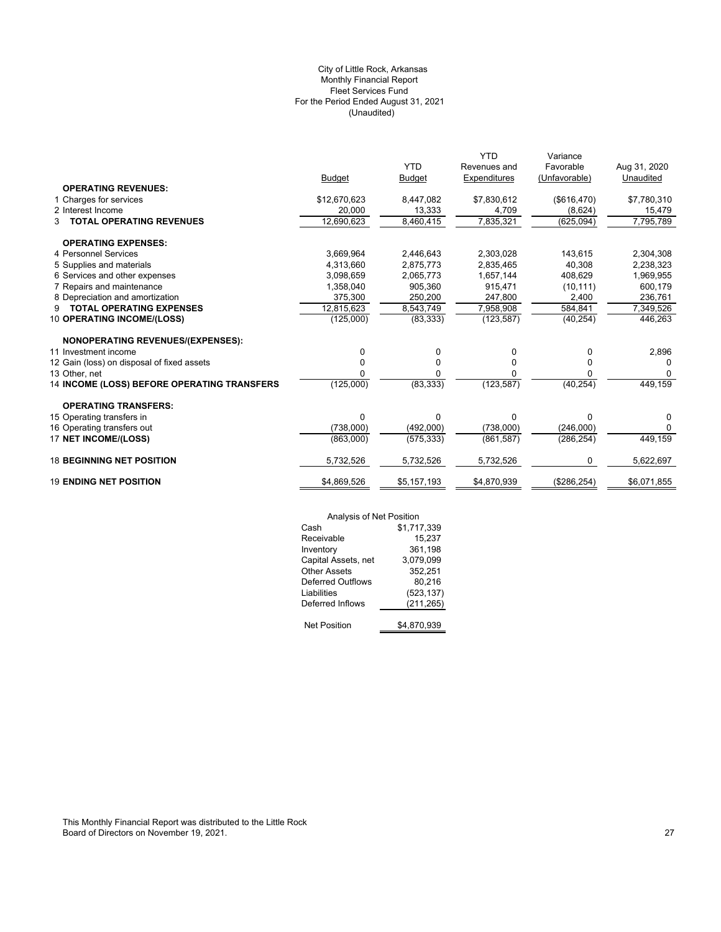# (Unaudited) City of Little Rock, Arkansas Monthly Financial Report Fleet Services Fund For the Period Ended August 31, 2021

|                                             |               |               | <b>YTD</b>   | Variance      |              |
|---------------------------------------------|---------------|---------------|--------------|---------------|--------------|
|                                             |               | <b>YTD</b>    | Revenues and | Favorable     | Aug 31, 2020 |
|                                             | <b>Budget</b> | <b>Budget</b> | Expenditures | (Unfavorable) | Unaudited    |
| <b>OPERATING REVENUES:</b>                  |               |               |              |               |              |
| 1 Charges for services                      | \$12,670,623  | 8,447,082     | \$7,830,612  | (\$616,470)   | \$7,780,310  |
| 2 Interest Income                           | 20.000        | 13,333        | 4,709        | (8,624)       | 15,479       |
| <b>TOTAL OPERATING REVENUES</b><br>3        | 12,690,623    | 8,460,415     | 7,835,321    | (625, 094)    | 7,795,789    |
| <b>OPERATING EXPENSES:</b>                  |               |               |              |               |              |
| 4 Personnel Services                        | 3,669,964     | 2,446,643     | 2,303,028    | 143,615       | 2,304,308    |
| 5 Supplies and materials                    | 4,313,660     | 2,875,773     | 2,835,465    | 40,308        | 2,238,323    |
| 6 Services and other expenses               | 3,098,659     | 2,065,773     | 1,657,144    | 408.629       | 1,969,955    |
| 7 Repairs and maintenance                   | 1,358,040     | 905.360       | 915.471      | (10, 111)     | 600,179      |
| 8 Depreciation and amortization             | 375,300       | 250,200       | 247,800      | 2,400         | 236,761      |
| <b>TOTAL OPERATING EXPENSES</b><br>9        | 12,815,623    | 8,543,749     | 7,958,908    | 584,841       | 7,349,526    |
| 10 OPERATING INCOME/(LOSS)                  | (125,000)     | (83, 333)     | (123, 587)   | (40, 254)     | 446,263      |
| <b>NONOPERATING REVENUES/(EXPENSES):</b>    |               |               |              |               |              |
| 11 Investment income                        | $\Omega$      | 0             | 0            | 0             | 2,896        |
| 12 Gain (loss) on disposal of fixed assets  | $\Omega$      | 0             | 0            | 0             | O            |
| 13 Other, net                               |               | U             | 0            | n             | 0            |
| 14 INCOME (LOSS) BEFORE OPERATING TRANSFERS | (125,000)     | (83, 333)     | (123, 587)   | (40, 254)     | 449,159      |
| <b>OPERATING TRANSFERS:</b>                 |               |               |              |               |              |
| 15 Operating transfers in                   | $\Omega$      | $\Omega$      | $\Omega$     | $\Omega$      | 0            |
| 16 Operating transfers out                  | (738,000)     | (492,000)     | (738,000)    | (246,000)     | $\Omega$     |
| 17 NET INCOME/(LOSS)                        | (863,000)     | (575, 333)    | (861, 587)   | (286, 254)    | 449,159      |
| <b>18 BEGINNING NET POSITION</b>            | 5,732,526     | 5,732,526     | 5,732,526    | 0             | 5,622,697    |
| <b>19 ENDING NET POSITION</b>               | \$4,869,526   | \$5,157,193   | \$4,870,939  | (\$286, 254)  | \$6,071,855  |
|                                             |               |               |              |               |              |

|                          | Analysis of Net Position |  |  |
|--------------------------|--------------------------|--|--|
| Cash                     | \$1,717,339              |  |  |
| Receivable               | 15,237                   |  |  |
| Inventory                | 361,198                  |  |  |
| Capital Assets, net      | 3,079,099                |  |  |
| <b>Other Assets</b>      | 352,251                  |  |  |
| <b>Deferred Outflows</b> | 80.216                   |  |  |
| Liabilities              | (523, 137)               |  |  |
| Deferred Inflows         | (211, 265)               |  |  |
|                          |                          |  |  |
| <b>Net Position</b>      | \$4.870.939              |  |  |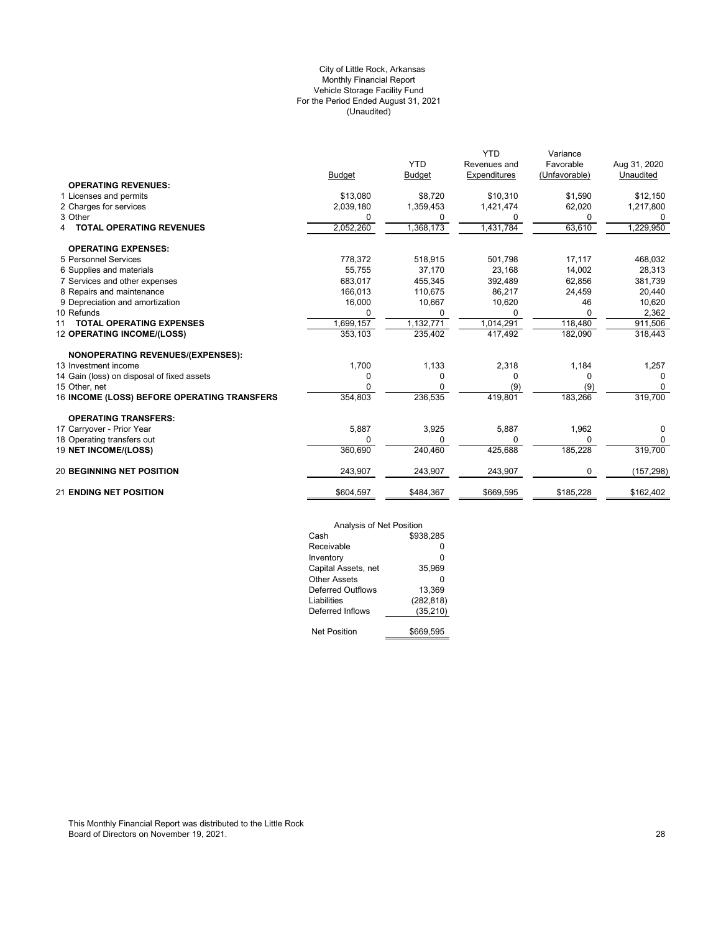# (Unaudited) City of Little Rock, Arkansas Monthly Financial Report Vehicle Storage Facility Fund For the Period Ended August 31, 2021

|                                             |               | <b>YTD</b>    | <b>YTD</b><br>Revenues and | Variance<br>Favorable | Aug 31, 2020 |
|---------------------------------------------|---------------|---------------|----------------------------|-----------------------|--------------|
|                                             | <b>Budget</b> | <b>Budget</b> | Expenditures               | (Unfavorable)         | Unaudited    |
| <b>OPERATING REVENUES:</b>                  |               |               |                            |                       |              |
| 1 Licenses and permits                      | \$13,080      | \$8,720       | \$10,310                   | \$1,590               | \$12,150     |
| 2 Charges for services                      | 2,039,180     | 1,359,453     | 1,421,474                  | 62,020                | 1,217,800    |
| 3 Other                                     | 0             | 0             | 0                          | 0                     | 0            |
| <b>TOTAL OPERATING REVENUES</b><br>4        | 2,052,260     | 1,368,173     | 1,431,784                  | 63,610                | 1,229,950    |
| <b>OPERATING EXPENSES:</b>                  |               |               |                            |                       |              |
| 5 Personnel Services                        | 778,372       | 518,915       | 501,798                    | 17,117                | 468,032      |
| 6 Supplies and materials                    | 55,755        | 37,170        | 23,168                     | 14,002                | 28,313       |
| 7 Services and other expenses               | 683,017       | 455,345       | 392,489                    | 62,856                | 381,739      |
| 8 Repairs and maintenance                   | 166,013       | 110.675       | 86,217                     | 24,459                | 20,440       |
| 9 Depreciation and amortization             | 16,000        | 10,667        | 10,620                     | 46                    | 10,620       |
| 10 Refunds                                  | 0             |               | 0                          | 0                     | 2,362        |
| <b>TOTAL OPERATING EXPENSES</b><br>11       | 1,699,157     | 1,132,771     | 1,014,291                  | 118,480               | 911,506      |
| 12 OPERATING INCOME/(LOSS)                  | 353,103       | 235,402       | 417,492                    | 182,090               | 318,443      |
| NONOPERATING REVENUES/(EXPENSES):           |               |               |                            |                       |              |
| 13 Investment income                        | 1,700         | 1,133         | 2,318                      | 1,184                 | 1,257        |
| 14 Gain (loss) on disposal of fixed assets  | 0             | 0             | 0                          | 0                     | $\Omega$     |
| 15 Other, net                               | 0             |               | (9)                        | (9)                   | $\Omega$     |
| 16 INCOME (LOSS) BEFORE OPERATING TRANSFERS | 354,803       | 236,535       | 419,801                    | 183,266               | 319,700      |
| <b>OPERATING TRANSFERS:</b>                 |               |               |                            |                       |              |
| 17 Carryover - Prior Year                   | 5,887         | 3,925         | 5,887                      | 1,962                 | 0            |
| 18 Operating transfers out                  | O             | 0             | 0                          | 0                     | 0            |
| 19 NET INCOME/(LOSS)                        | 360,690       | 240,460       | 425,688                    | 185,228               | 319,700      |
| <b>20 BEGINNING NET POSITION</b>            | 243,907       | 243,907       | 243,907                    | 0                     | (157, 298)   |
| <b>21 ENDING NET POSITION</b>               | \$604,597     | \$484,367     | \$669,595                  | \$185,228             | \$162,402    |

| Analysis of Net Position |            |  |  |  |
|--------------------------|------------|--|--|--|
| Cash                     | \$938.285  |  |  |  |
| Receivable               | ŋ          |  |  |  |
| Inventory                | 0          |  |  |  |
| Capital Assets, net      | 35.969     |  |  |  |
| Other Assets             | ŋ          |  |  |  |
| Deferred Outflows        | 13.369     |  |  |  |
| Liabilities              | (282, 818) |  |  |  |
| Deferred Inflows         | (35, 210)  |  |  |  |
|                          |            |  |  |  |
| <b>Net Position</b>      | \$669.595  |  |  |  |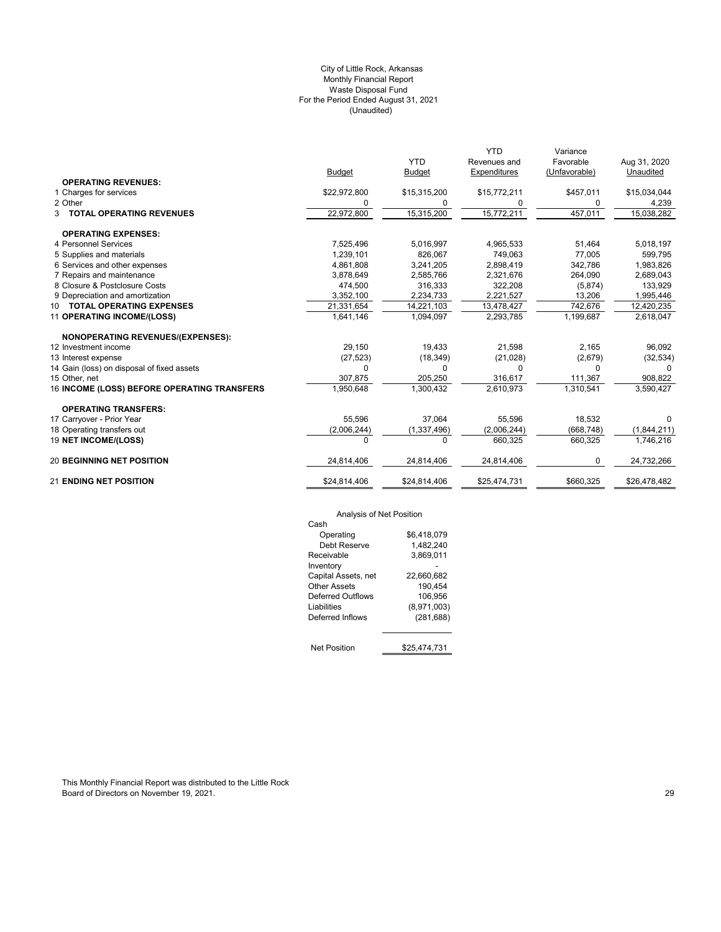# (Unaudited) City of Little Rock, Arkansas Monthly Financial Report Waste Disposal Fund For the Period Ended August 31, 2021

|                                                    | <b>Budget</b> | <b>YTD</b><br><b>Budget</b> | <b>YTD</b><br>Revenues and<br>Expenditures | Variance<br>Favorable<br>(Unfavorable) | Aug 31, 2020<br>Unaudited |
|----------------------------------------------------|---------------|-----------------------------|--------------------------------------------|----------------------------------------|---------------------------|
| <b>OPERATING REVENUES:</b>                         |               |                             |                                            |                                        |                           |
| 1 Charges for services                             | \$22,972,800  | \$15,315,200                | \$15,772,211                               | \$457,011                              | \$15,034,044              |
| 2 Other                                            | 0             | 0                           | 0                                          | 0                                      | 4,239                     |
| <b>3 TOTAL OPERATING REVENUES</b>                  | 22,972,800    | 15,315,200                  | 15,772,211                                 | 457,011                                | 15,038,282                |
| <b>OPERATING EXPENSES:</b>                         |               |                             |                                            |                                        |                           |
| 4 Personnel Services                               | 7,525,496     | 5,016,997                   | 4,965,533                                  | 51,464                                 | 5,018,197                 |
| 5 Supplies and materials                           | 1.239.101     | 826.067                     | 749.063                                    | 77.005                                 | 599,795                   |
| 6 Services and other expenses                      | 4,861,808     | 3,241,205                   | 2,898,419                                  | 342,786                                | 1,983,826                 |
| 7 Repairs and maintenance                          | 3,878,649     | 2,585,766                   | 2,321,676                                  | 264,090                                | 2,689,043                 |
| 8 Closure & Postclosure Costs                      | 474,500       | 316,333                     | 322,208                                    | (5,874)                                | 133,929                   |
| 9 Depreciation and amortization                    | 3,352,100     | 2,234,733                   | 2,221,527                                  | 13,206                                 | 1,995,446                 |
| 10 TOTAL OPERATING EXPENSES                        | 21,331,654    | 14,221,103                  | 13,478,427                                 | 742,676                                | 12,420,235                |
| 11 OPERATING INCOME/(LOSS)                         | 1,641,146     | 1,094,097                   | 2,293,785                                  | 1,199,687                              | 2,618,047                 |
| NONOPERATING REVENUES/(EXPENSES):                  |               |                             |                                            |                                        |                           |
| 12 Investment income                               | 29.150        | 19.433                      | 21,598                                     | 2.165                                  | 96,092                    |
| 13 Interest expense                                | (27, 523)     | (18, 349)                   | (21, 028)                                  | (2,679)                                | (32, 534)                 |
| 14 Gain (loss) on disposal of fixed assets         | 0             | 0                           | $\Omega$                                   | 0                                      | 0                         |
| 15 Other, net                                      | 307,875       | 205,250                     | 316,617                                    | 111,367                                | 908,822                   |
| <b>16 INCOME (LOSS) BEFORE OPERATING TRANSFERS</b> | 1,950,648     | 1,300,432                   | 2,610,973                                  | 1,310,541                              | 3,590,427                 |
| <b>OPERATING TRANSFERS:</b>                        |               |                             |                                            |                                        |                           |
| 17 Carryover - Prior Year                          | 55,596        | 37.064                      | 55,596                                     | 18,532                                 | <sup>0</sup>              |
| 18 Operating transfers out                         | (2,006,244)   | (1, 337, 496)               | (2,006,244)                                | (668, 748)                             | (1,844,211)               |
| <b>19 NET INCOME/(LOSS)</b>                        | <sup>n</sup>  | O                           | 660,325                                    | 660,325                                | 1,746,216                 |
| <b>20 BEGINNING NET POSITION</b>                   | 24,814,406    | 24,814,406                  | 24,814,406                                 | 0                                      | 24,732,266                |
| <b>21 ENDING NET POSITION</b>                      | \$24,814,406  | \$24,814,406                | \$25,474,731                               | \$660,325                              | \$26,478,482              |

# Analysis of Net Position

| Cash                |              |
|---------------------|--------------|
| Operating           | \$6,418,079  |
| Debt Reserve        | 1,482,240    |
| Receivable          | 3,869,011    |
| Inventory           |              |
| Capital Assets, net | 22,660,682   |
| Other Assets        | 190,454      |
| Deferred Outflows   | 106,956      |
| Liabilities         | (8,971,003)  |
| Deferred Inflows    | (281, 688)   |
|                     |              |
| <b>Net Position</b> | \$25.474.731 |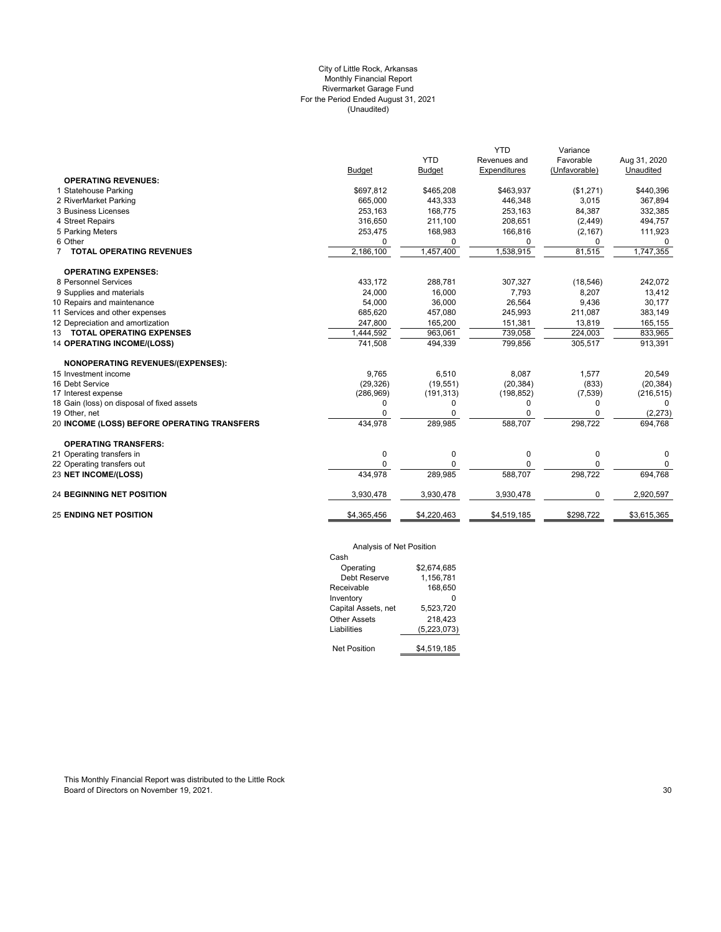# City of Little Rock, Arkansas Monthly Financial Report Rivermarket Garage Fund For the Period Ended August 31, 2021 (Unaudited)

|                                             |               |               | <b>YTD</b>          | Variance      |              |
|---------------------------------------------|---------------|---------------|---------------------|---------------|--------------|
|                                             |               | <b>YTD</b>    | Revenues and        | Favorable     | Aug 31, 2020 |
|                                             | <b>Budget</b> | <b>Budget</b> | <b>Expenditures</b> | (Unfavorable) | Unaudited    |
| <b>OPERATING REVENUES:</b>                  |               |               |                     |               |              |
| 1 Statehouse Parking                        | \$697,812     | \$465,208     | \$463,937           | (\$1,271)     | \$440,396    |
| 2 RiverMarket Parking                       | 665,000       | 443,333       | 446,348             | 3,015         | 367,894      |
| 3 Business Licenses                         | 253,163       | 168,775       | 253,163             | 84,387        | 332,385      |
| 4 Street Repairs                            | 316,650       | 211,100       | 208.651             | (2, 449)      | 494,757      |
| 5 Parking Meters                            | 253,475       | 168,983       | 166,816             | (2, 167)      | 111,923      |
| 6 Other                                     | 0             | 0             | $\Omega$            | 0             | 0            |
| <b>TOTAL OPERATING REVENUES</b>             | 2,186,100     | 1,457,400     | 1,538,915           | 81,515        | 1,747,355    |
| <b>OPERATING EXPENSES:</b>                  |               |               |                     |               |              |
| 8 Personnel Services                        | 433,172       | 288,781       | 307,327             | (18, 546)     | 242,072      |
| 9 Supplies and materials                    | 24,000        | 16,000        | 7,793               | 8,207         | 13,412       |
| 10 Repairs and maintenance                  | 54,000        | 36,000        | 26,564              | 9,436         | 30,177       |
| 11 Services and other expenses              | 685,620       | 457,080       | 245,993             | 211,087       | 383,149      |
| 12 Depreciation and amortization            | 247,800       | 165,200       | 151,381             | 13,819        | 165,155      |
| 13 TOTAL OPERATING EXPENSES                 | 1,444,592     | 963,061       | 739,058             | 224,003       | 833,965      |
| <b>14 OPERATING INCOME/(LOSS)</b>           | 741,508       | 494,339       | 799,856             | 305,517       | 913,391      |
| NONOPERATING REVENUES/(EXPENSES):           |               |               |                     |               |              |
| 15 Investment income                        | 9,765         | 6,510         | 8.087               | 1,577         | 20,549       |
| 16 Debt Service                             | (29, 326)     | (19, 551)     | (20, 384)           | (833)         | (20, 384)    |
| 17 Interest expense                         | (286, 969)    | (191, 313)    | (198, 852)          | (7,539)       | (216, 515)   |
| 18 Gain (loss) on disposal of fixed assets  | $\Omega$      | 0             | 0                   | 0             | $\Omega$     |
| 19 Other, net                               |               | $\Omega$      |                     | 0             | (2, 273)     |
| 20 INCOME (LOSS) BEFORE OPERATING TRANSFERS | 434,978       | 289,985       | 588,707             | 298,722       | 694,768      |
| <b>OPERATING TRANSFERS:</b>                 |               |               |                     |               |              |
| 21 Operating transfers in                   | $\mathbf 0$   | 0             | 0                   | 0             | 0            |
| 22 Operating transfers out                  | $\Omega$      | 0             | 0                   | 0             | 0            |
| 23 NET INCOME/(LOSS)                        | 434,978       | 289,985       | 588,707             | 298,722       | 694,768      |
|                                             |               |               |                     |               |              |
| <b>24 BEGINNING NET POSITION</b>            | 3,930,478     | 3,930,478     | 3,930,478           | 0             | 2,920,597    |
| <b>25 ENDING NET POSITION</b>               | \$4,365,456   | \$4,220,463   | \$4,519,185         | \$298,722     | \$3,615,365  |
|                                             |               |               |                     |               |              |

# Analysis of Net Position

| 1.41                |             |  |  |  |
|---------------------|-------------|--|--|--|
| Cash                |             |  |  |  |
| Operating           | \$2.674.685 |  |  |  |
| Debt Reserve        | 1,156,781   |  |  |  |
| Receivable          | 168,650     |  |  |  |
| Inventory           |             |  |  |  |
| Capital Assets, net | 5.523.720   |  |  |  |
| <b>Other Assets</b> | 218.423     |  |  |  |
| Liabilities         | (5,223,073) |  |  |  |
|                     |             |  |  |  |
| <b>Net Position</b> | \$4,519,185 |  |  |  |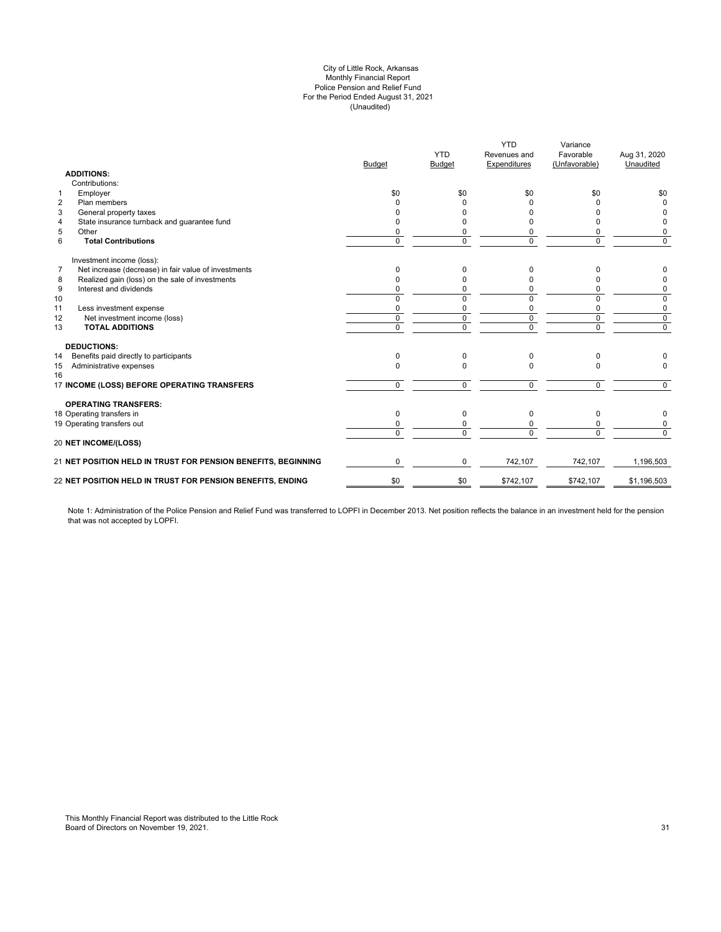# (Unaudited) City of Little Rock, Arkansas Monthly Financial Report Police Pension and Relief Fund For the Period Ended August 31, 2021

|                |                                                               | <b>Budget</b>  | <b>YTD</b><br>Budget | <b>YTD</b><br>Revenues and<br>Expenditures | Variance<br>Favorable<br>(Unfavorable) | Aug 31, 2020<br>Unaudited |
|----------------|---------------------------------------------------------------|----------------|----------------------|--------------------------------------------|----------------------------------------|---------------------------|
|                | <b>ADDITIONS:</b>                                             |                |                      |                                            |                                        |                           |
|                | Contributions:                                                |                |                      |                                            |                                        |                           |
| 1              | Employer                                                      | \$0            | \$0                  | \$0                                        | \$0                                    | \$0                       |
| $\overline{2}$ | Plan members                                                  | 0              | O                    | <sup>0</sup>                               |                                        | $\Omega$                  |
| 3              | General property taxes                                        | n              | n                    | <sup>0</sup>                               |                                        | 0                         |
| 4              | State insurance turnback and guarantee fund                   | ŋ              | O                    |                                            | ŋ                                      | 0                         |
| 5              | Other                                                         | 0              | 0                    | 0                                          | $\Omega$                               | 0                         |
| 6              | <b>Total Contributions</b>                                    | $\Omega$       | $\Omega$             | $\Omega$                                   | $\Omega$                               | $\mathbf 0$               |
|                | Investment income (loss):                                     |                |                      |                                            |                                        |                           |
| $\overline{7}$ | Net increase (decrease) in fair value of investments          | 0              | 0                    | $\Omega$                                   | $\Omega$                               |                           |
| 8              | Realized gain (loss) on the sale of investments               | O              | $\Omega$             | $\Omega$                                   |                                        | 0                         |
| 9              | Interest and dividends                                        | 0              | 0                    | 0                                          | $\Omega$                               | 0                         |
| 10             |                                                               | $\Omega$       | $\Omega$             | $\Omega$                                   | $\Omega$                               | $\mathbf 0$               |
| 11             | Less investment expense                                       | 0              | 0                    | 0                                          | 0                                      | 0                         |
| 12             | Net investment income (loss)                                  | $\mathbf 0$    | $\mathbf 0$          | $\mathbf 0$                                | $\mathbf 0$                            | $\mathsf 0$               |
| 13             | <b>TOTAL ADDITIONS</b>                                        | $\overline{0}$ | $\overline{0}$       | $\overline{0}$                             | $\overline{0}$                         | $\overline{0}$            |
|                | <b>DEDUCTIONS:</b>                                            |                |                      |                                            |                                        |                           |
| 14             | Benefits paid directly to participants                        | 0              | $\Omega$             | $\mathbf 0$                                | $\Omega$                               |                           |
| 15<br>16       | Administrative expenses                                       | $\Omega$       | $\Omega$             | $\Omega$                                   | $\Omega$                               | $\Omega$                  |
|                | 17 INCOME (LOSS) BEFORE OPERATING TRANSFERS                   | $\mathbf 0$    | $\Omega$             | $\Omega$                                   | $\Omega$                               | $\Omega$                  |
|                | <b>OPERATING TRANSFERS:</b>                                   |                |                      |                                            |                                        |                           |
|                | 18 Operating transfers in                                     | 0              | 0                    | $\mathbf 0$                                | 0                                      | 0                         |
|                | 19 Operating transfers out                                    | 0              | $\Omega$             | 0                                          | $\Omega$                               | 0                         |
|                |                                                               | $\Omega$       | $\Omega$             | $\Omega$                                   | $\Omega$                               | $\Omega$                  |
|                | <b>20 NET INCOME/(LOSS)</b>                                   |                |                      |                                            |                                        |                           |
|                | 21 NET POSITION HELD IN TRUST FOR PENSION BENEFITS, BEGINNING | $\Omega$       | $\Omega$             | 742,107                                    | 742,107                                | 1,196,503                 |
|                | 22 NET POSITION HELD IN TRUST FOR PENSION BENEFITS, ENDING    | \$0            | \$0                  | \$742,107                                  | \$742,107                              | \$1,196,503               |
|                |                                                               |                |                      |                                            |                                        |                           |

Note 1: Administration of the Police Pension and Relief Fund was transferred to LOPFI in December 2013. Net position reflects the balance in an investment held for the pension that was not accepted by LOPFI.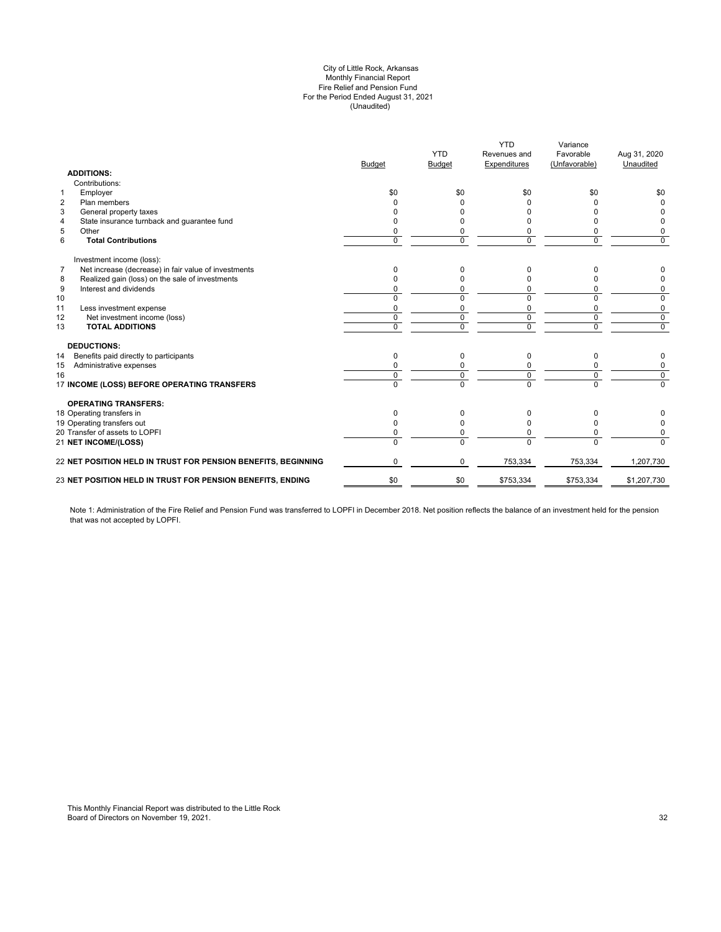# (Unaudited) City of Little Rock, Arkansas Monthly Financial Report Fire Relief and Pension Fund For the Period Ended August 31, 2021

| <b>ADDITIONS:</b>                                                      | <b>Budget</b> | <b>YTD</b><br><b>Budget</b> | <b>YTD</b><br>Revenues and<br><b>Expenditures</b> | Variance<br>Favorable<br>(Unfavorable) | Aug 31, 2020<br>Unaudited |
|------------------------------------------------------------------------|---------------|-----------------------------|---------------------------------------------------|----------------------------------------|---------------------------|
| Contributions:                                                         |               |                             |                                                   |                                        |                           |
| Employer<br>$\mathbf{1}$                                               | \$0           | \$0                         | \$0                                               | \$0                                    | \$0                       |
| $\overline{2}$<br>Plan members                                         |               |                             |                                                   |                                        | $\Omega$                  |
| 3<br>General property taxes                                            |               |                             |                                                   |                                        |                           |
| State insurance turnback and guarantee fund<br>4                       |               |                             |                                                   | n                                      | 0                         |
| 5<br>Other                                                             |               | 0                           | 0                                                 | 0                                      | 0                         |
| 6<br><b>Total Contributions</b>                                        | $\Omega$      | $\Omega$                    | $\Omega$                                          | $\Omega$                               | $\mathbf 0$               |
| Investment income (loss):                                              |               |                             |                                                   |                                        |                           |
| Net increase (decrease) in fair value of investments<br>$\overline{7}$ | 0             | O                           | <sup>0</sup>                                      | ი                                      | 0                         |
| Realized gain (loss) on the sale of investments<br>8                   |               | U                           | <sup>0</sup>                                      | 0                                      | 0                         |
| 9<br>Interest and dividends                                            |               | 0                           | 0                                                 | 0                                      | 0                         |
| 10                                                                     | $\Omega$      | 0                           | $\Omega$                                          | $\Omega$                               | 0                         |
| 11<br>Less investment expense                                          | 0             | 0                           | 0                                                 | $\mathbf 0$                            | 0                         |
| 12<br>Net investment income (loss)                                     | $\Omega$      | $\Omega$                    | $\Omega$                                          | $\mathbf 0$                            | $\mathbf 0$               |
| <b>TOTAL ADDITIONS</b><br>13                                           | $\Omega$      | 0                           | $\Omega$                                          | $\mathbf 0$                            | $\overline{0}$            |
| <b>DEDUCTIONS:</b>                                                     |               |                             |                                                   |                                        |                           |
| Benefits paid directly to participants<br>14                           | $\Omega$      | $\Omega$                    | $\Omega$                                          | 0                                      | 0                         |
| Administrative expenses<br>15                                          |               |                             |                                                   | 0                                      | 0                         |
| 16                                                                     | $\Omega$      | 0                           | $\Omega$                                          | $\mathbf 0$                            | $\overline{0}$            |
| 17 INCOME (LOSS) BEFORE OPERATING TRANSFERS                            | $\Omega$      | $\overline{0}$              | $\Omega$                                          | $\overline{0}$                         | $\Omega$                  |
| <b>OPERATING TRANSFERS:</b>                                            |               |                             |                                                   |                                        |                           |
| 18 Operating transfers in                                              | $\Omega$      | 0                           | <sup>0</sup>                                      | U                                      |                           |
| 19 Operating transfers out                                             |               | 0                           | $\Omega$                                          | 0                                      | 0                         |
| 20 Transfer of assets to LOPFI                                         |               | 0                           | $\Omega$                                          | 0                                      | 0                         |
| 21 NET INCOME/(LOSS)                                                   | $\Omega$      | $\Omega$                    | $\Omega$                                          | $\Omega$                               | $\Omega$                  |
| 22 NET POSITION HELD IN TRUST FOR PENSION BENEFITS, BEGINNING          | $\Omega$      | $\Omega$                    | 753,334                                           | 753,334                                | 1,207,730                 |
| 23 NET POSITION HELD IN TRUST FOR PENSION BENEFITS, ENDING             | \$0           | \$0                         | \$753,334                                         | \$753,334                              | \$1,207,730               |
|                                                                        |               |                             |                                                   |                                        |                           |

Note 1: Administration of the Fire Relief and Pension Fund was transferred to LOPFI in December 2018. Net position reflects the balance of an investment held for the pension that was not accepted by LOPFI.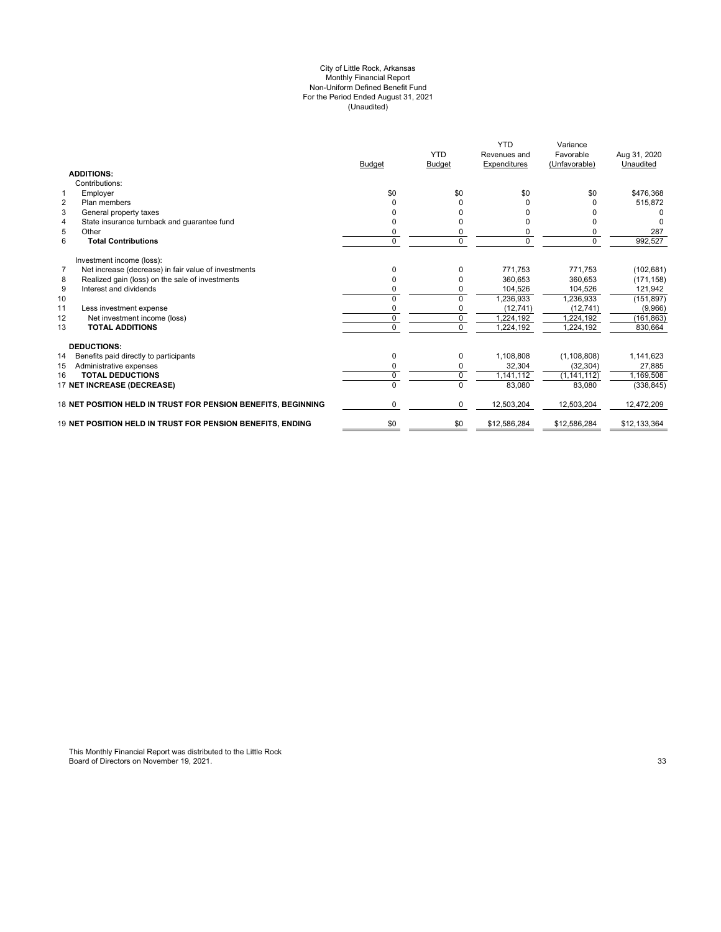#### (Unaudited) For the Period Ended August 31, 2021 City of Little Rock, Arkansas Monthly Financial Report Non-Uniform Defined Benefit Fund

|                                                                        | <b>Budget</b> | <b>YTD</b><br><b>Budget</b> | <b>YTD</b><br>Revenues and<br><b>Expenditures</b> | Variance<br>Favorable<br>(Unfavorable) | Aug 31, 2020<br>Unaudited |
|------------------------------------------------------------------------|---------------|-----------------------------|---------------------------------------------------|----------------------------------------|---------------------------|
| <b>ADDITIONS:</b>                                                      |               |                             |                                                   |                                        |                           |
| Contributions:                                                         |               |                             |                                                   |                                        |                           |
| Employer<br>$\mathbf 1$                                                | \$0           | \$0                         | \$0                                               | \$0                                    | \$476.368                 |
| Plan members<br>$\overline{2}$                                         |               | 0                           | 0                                                 |                                        | 515,872                   |
| 3<br>General property taxes                                            |               | n                           | <sup>0</sup>                                      |                                        |                           |
| State insurance turnback and guarantee fund<br>$\overline{4}$          |               | ŋ                           | $\Omega$                                          |                                        |                           |
| 5<br>Other                                                             | 0             | 0                           | 0                                                 | 0                                      | 287                       |
| 6<br><b>Total Contributions</b>                                        | $\Omega$      | 0                           | $\Omega$                                          | $\Omega$                               | 992,527                   |
| Investment income (loss):                                              |               |                             |                                                   |                                        |                           |
| $\overline{7}$<br>Net increase (decrease) in fair value of investments | $\Omega$      | $\Omega$                    | 771.753                                           | 771,753                                | (102, 681)                |
| Realized gain (loss) on the sale of investments<br>8                   | 0             | 0                           | 360.653                                           | 360.653                                | (171, 158)                |
| 9<br>Interest and dividends                                            | ŋ             | 0                           | 104,526                                           | 104,526                                | 121,942                   |
| 10                                                                     | 0             | 0                           | 1,236,933                                         | 1,236,933                              | (151, 897)                |
| 11<br>Less investment expense                                          | 0             | 0                           | (12, 741)                                         | (12, 741)                              | (9,966)                   |
| 12<br>Net investment income (loss)                                     | $\Omega$      | $\mathbf 0$                 | 1,224,192                                         | 1,224,192                              | (161, 863)                |
| <b>TOTAL ADDITIONS</b><br>13                                           | 0             | $\Omega$                    | 1,224,192                                         | 1,224,192                              | 830.664                   |
| <b>DEDUCTIONS:</b>                                                     |               |                             |                                                   |                                        |                           |
| 14<br>Benefits paid directly to participants                           | $\Omega$      | 0                           | 1.108.808                                         | (1, 108, 808)                          | 1,141,623                 |
| 15<br>Administrative expenses                                          | 0             | 0                           | 32,304                                            | (32, 304)                              | 27,885                    |
| <b>TOTAL DEDUCTIONS</b><br>16                                          | $\mathbf 0$   | $\mathbf 0$                 | 1,141,112                                         | (1, 141, 112)                          | 1,169,508                 |
| 17 NET INCREASE (DECREASE)                                             |               | 0                           | 83,080                                            | 83.080                                 | (338, 845)                |
| 18 NET POSITION HELD IN TRUST FOR PENSION BENEFITS, BEGINNING          | 0             | $\mathbf 0$                 | 12,503,204                                        | 12,503,204                             | 12,472,209                |
| 19 NET POSITION HELD IN TRUST FOR PENSION BENEFITS. ENDING             | \$0           | \$0                         | \$12,586,284                                      | \$12,586,284                           | \$12,133,364              |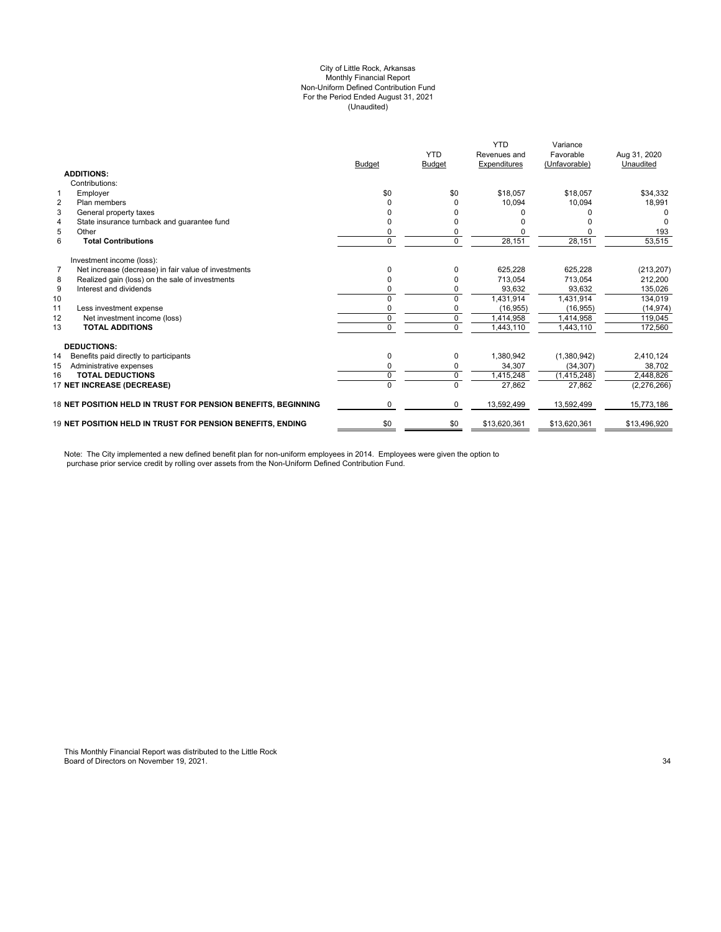### City of Little Rock, Arkansas (Unaudited) For the Period Ended August 31, 2021 Non-Uniform Defined Contribution Fund Monthly Financial Report

|                                                                        |                | <b>YTD</b>    | <b>YTD</b><br>Revenues and | Variance<br>Favorable | Aug 31, 2020 |
|------------------------------------------------------------------------|----------------|---------------|----------------------------|-----------------------|--------------|
|                                                                        | <b>Budget</b>  | <b>Budget</b> | Expenditures               | (Unfavorable)         | Unaudited    |
| <b>ADDITIONS:</b>                                                      |                |               |                            |                       |              |
| Contributions:                                                         |                |               |                            |                       |              |
| Employer<br>1                                                          | \$0            | \$0           | \$18,057                   | \$18,057              | \$34,332     |
| $\overline{2}$<br>Plan members                                         |                |               | 10,094                     | 10,094                | 18,991       |
| 3<br>General property taxes                                            |                |               |                            |                       | 0            |
| State insurance turnback and guarantee fund<br>$\overline{4}$          |                |               |                            |                       |              |
| 5<br>Other                                                             | 0              |               |                            |                       | 193          |
| 6<br><b>Total Contributions</b>                                        | $\mathbf 0$    | $\Omega$      | 28,151                     | 28,151                | 53,515       |
| Investment income (loss):                                              |                |               |                            |                       |              |
| $\overline{7}$<br>Net increase (decrease) in fair value of investments | <sup>0</sup>   |               | 625,228                    | 625,228               | (213, 207)   |
| Realized gain (loss) on the sale of investments<br>8                   | 0              |               | 713,054                    | 713,054               | 212,200      |
| 9<br>Interest and dividends                                            |                |               | 93,632                     | 93,632                | 135,026      |
| 10                                                                     | $\Omega$       | $\Omega$      | 1,431,914                  | 1,431,914             | 134,019      |
| 11<br>Less investment expense                                          | 0              |               | (16, 955)                  | (16, 955)             | (14, 974)    |
| 12<br>Net investment income (loss)                                     | 0              | 0             | 1,414,958                  | 1,414,958             | 119,045      |
| <b>TOTAL ADDITIONS</b><br>13                                           | $\Omega$       | $\Omega$      | 1,443,110                  | 1,443,110             | 172,560      |
| <b>DEDUCTIONS:</b>                                                     |                |               |                            |                       |              |
| 14<br>Benefits paid directly to participants                           | 0              | 0             | 1,380,942                  | (1,380,942)           | 2,410,124    |
| 15<br>Administrative expenses                                          | 0              | $\Omega$      | 34,307                     | (34, 307)             | 38,702       |
| 16<br><b>TOTAL DEDUCTIONS</b>                                          | 0              | 0             | 1,415,248                  | (1,415,248)           | 2,448,826    |
| 17 NET INCREASE (DECREASE)                                             | $\overline{0}$ | $\Omega$      | 27,862                     | 27,862                | (2,276,266)  |
| 18 NET POSITION HELD IN TRUST FOR PENSION BENEFITS, BEGINNING          | 0              | $\Omega$      | 13,592,499                 | 13,592,499            | 15,773,186   |
| <b>19 NET POSITION HELD IN TRUST FOR PENSION BENEFITS. ENDING</b>      | \$0            | \$0           | \$13,620,361               | \$13,620,361          | \$13,496,920 |

Note: The City implemented a new defined benefit plan for non-uniform employees in 2014. Employees were given the option to purchase prior service credit by rolling over assets from the Non-Uniform Defined Contribution Fund.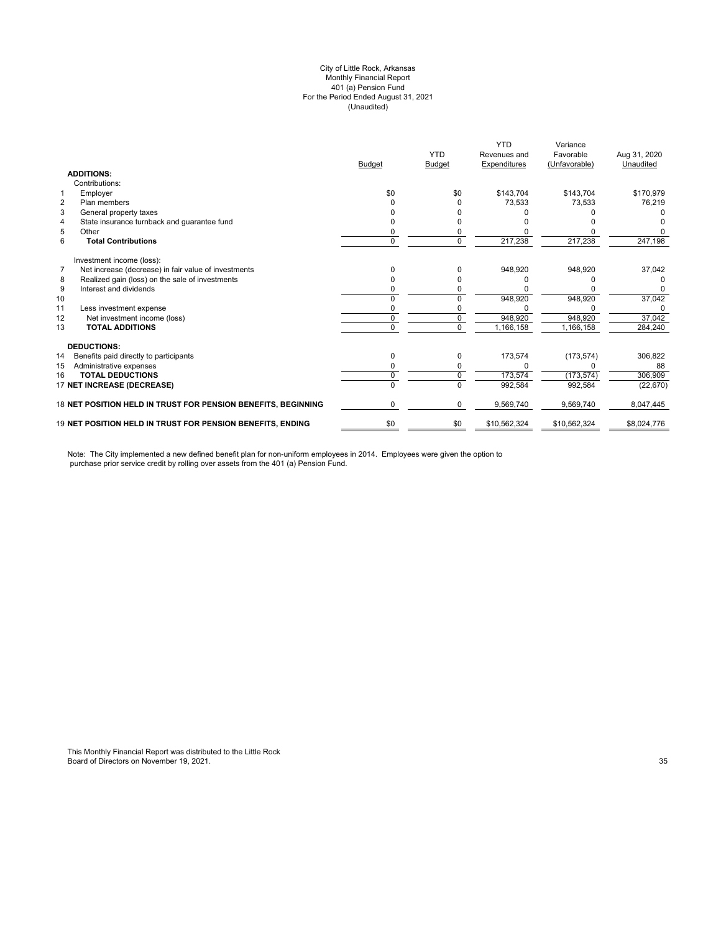## (Unaudited) City of Little Rock, Arkansas Monthly Financial Report 401 (a) Pension Fund For the Period Ended August 31, 2021

|                                                               |               | <b>YTD</b>    | <b>YTD</b><br>Revenues and | Variance<br>Favorable | Aug 31, 2020 |
|---------------------------------------------------------------|---------------|---------------|----------------------------|-----------------------|--------------|
|                                                               | <b>Budget</b> | <b>Budget</b> | Expenditures               | (Unfavorable)         | Unaudited    |
| <b>ADDITIONS:</b>                                             |               |               |                            |                       |              |
| Contributions:                                                |               |               |                            |                       |              |
| Employer<br>1                                                 | \$0           | \$0           | \$143.704                  | \$143.704             | \$170.979    |
| $\overline{2}$<br>Plan members                                |               |               | 73,533                     | 73.533                | 76,219       |
| 3<br>General property taxes                                   |               |               |                            |                       |              |
| State insurance turnback and quarantee fund<br>4              |               |               |                            |                       |              |
| 5<br>Other                                                    |               |               |                            |                       |              |
| 6<br><b>Total Contributions</b>                               | 0             |               | 217,238                    | 217,238               | 247,198      |
| Investment income (loss):                                     |               |               |                            |                       |              |
| Net increase (decrease) in fair value of investments<br>7     |               |               | 948,920                    | 948,920               | 37,042       |
| Realized gain (loss) on the sale of investments<br>8          |               |               |                            |                       |              |
| 9<br>Interest and dividends                                   |               |               |                            |                       |              |
| 10                                                            |               |               | 948,920                    | 948,920               | 37,042       |
| 11<br>Less investment expense                                 |               |               |                            |                       |              |
| 12<br>Net investment income (loss)                            | 0             | 0             | 948,920                    | 948,920               | 37,042       |
| 13<br><b>TOTAL ADDITIONS</b>                                  | U             | <sup>n</sup>  | 1,166,158                  | 1,166,158             | 284,240      |
| <b>DEDUCTIONS:</b>                                            |               |               |                            |                       |              |
| 14<br>Benefits paid directly to participants                  | 0             | 0             | 173,574                    | (173, 574)            | 306,822      |
| Administrative expenses<br>15                                 |               |               | 0                          | U                     | 88           |
| <b>TOTAL DEDUCTIONS</b><br>16                                 | $\Omega$      | 0             | 173,574                    | (173, 574)            | 306,909      |
| 17 NET INCREASE (DECREASE)                                    | $\Omega$      | $\Omega$      | 992,584                    | 992,584               | (22, 670)    |
| 18 NET POSITION HELD IN TRUST FOR PENSION BENEFITS, BEGINNING | 0             | $\Omega$      | 9,569,740                  | 9,569,740             | 8,047,445    |
| 19 NET POSITION HELD IN TRUST FOR PENSION BENEFITS, ENDING    | \$0           | \$0           | \$10,562,324               | \$10,562,324          | \$8,024,776  |

Note: The City implemented a new defined benefit plan for non-uniform employees in 2014. Employees were given the option to purchase prior service credit by rolling over assets from the 401 (a) Pension Fund.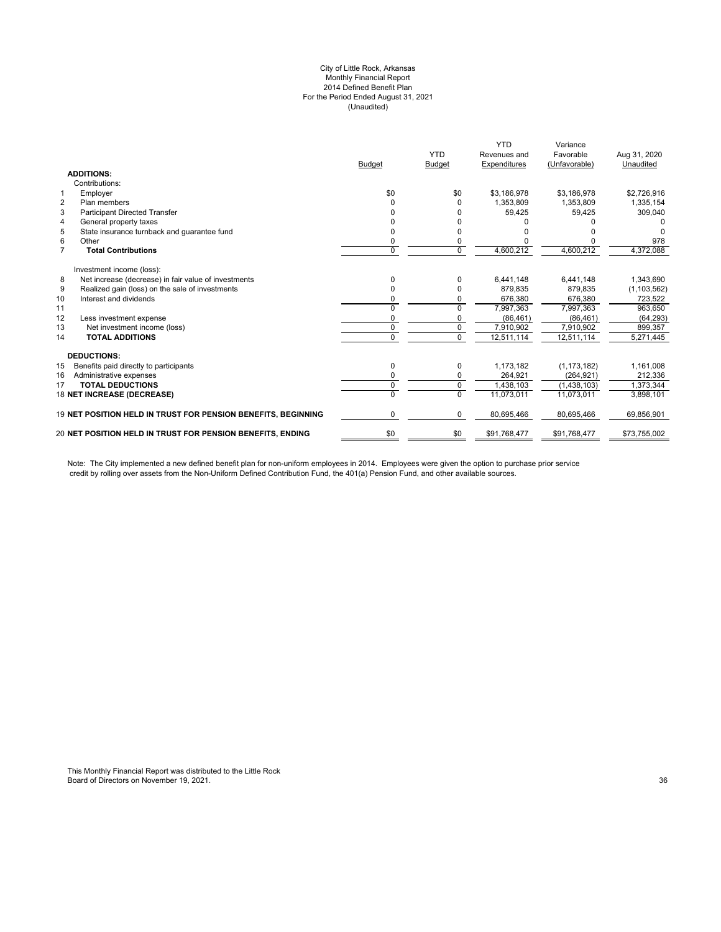## City of Little Rock, Arkansas Monthly Financial Report 2014 Defined Benefit Plan For the Period Ended August 31, 2021 (Unaudited)

|                | <b>ADDITIONS:</b>                                             | <b>Budget</b> | <b>YTD</b><br><b>Budget</b> | <b>YTD</b><br>Revenues and<br>Expenditures | Variance<br>Favorable<br>(Unfavorable) | Aug 31, 2020<br>Unaudited |
|----------------|---------------------------------------------------------------|---------------|-----------------------------|--------------------------------------------|----------------------------------------|---------------------------|
|                | Contributions:                                                |               |                             |                                            |                                        |                           |
| $\mathbf{1}$   | Employer                                                      | \$0           | \$0                         | \$3,186,978                                | \$3,186,978                            | \$2,726,916               |
| $\overline{2}$ | Plan members                                                  | U             | O                           | 1.353.809                                  | 1.353.809                              | 1,335,154                 |
| 3              | <b>Participant Directed Transfer</b>                          |               |                             | 59,425                                     | 59,425                                 | 309,040                   |
| $\overline{4}$ | General property taxes                                        |               |                             |                                            |                                        |                           |
| 5              | State insurance turnback and quarantee fund                   | n             |                             |                                            |                                        |                           |
| 6              | Other                                                         | 0             | 0                           |                                            |                                        | 978                       |
| $\overline{7}$ | <b>Total Contributions</b>                                    | 0             | $\Omega$                    | 4,600,212                                  | 4,600,212                              | 4,372,088                 |
|                | Investment income (loss):                                     |               |                             |                                            |                                        |                           |
| 8              | Net increase (decrease) in fair value of investments          | 0             | 0                           | 6,441,148                                  | 6,441,148                              | 1,343,690                 |
| 9              | Realized gain (loss) on the sale of investments               | n             | O                           | 879,835                                    | 879,835                                | (1, 103, 562)             |
| 10             | Interest and dividends                                        | 0             | 0                           | 676,380                                    | 676,380                                | 723,522                   |
| 11             |                                                               | 0             | $\Omega$                    | 7,997,363                                  | 7,997,363                              | 963,650                   |
| 12             | Less investment expense                                       | 0             | 0                           | (86, 461)                                  | (86, 461)                              | (64, 293)                 |
| 13             | Net investment income (loss)                                  | 0             | 0                           | 7,910,902                                  | 7,910,902                              | 899,357                   |
| 14             | <b>TOTAL ADDITIONS</b>                                        | 0             | $\Omega$                    | 12,511,114                                 | 12,511,114                             | 5,271,445                 |
|                | <b>DEDUCTIONS:</b>                                            |               |                             |                                            |                                        |                           |
| 15             | Benefits paid directly to participants                        | 0             | 0                           | 1,173,182                                  | (1, 173, 182)                          | 1,161,008                 |
| 16             | Administrative expenses                                       | 0             | 0                           | 264.921                                    | (264, 921)                             | 212,336                   |
| 17             | <b>TOTAL DEDUCTIONS</b>                                       | 0             | $\mathbf 0$                 | 1.438.103                                  | (1,438,103)                            | 1.373.344                 |
|                | 18 NET INCREASE (DECREASE)                                    | 0             | $\Omega$                    | 11,073,011                                 | 11,073,011                             | 3,898,101                 |
|                | 19 NET POSITION HELD IN TRUST FOR PENSION BENEFITS, BEGINNING | 0             | 0                           | 80,695,466                                 | 80,695,466                             | 69,856,901                |
|                | 20 NET POSITION HELD IN TRUST FOR PENSION BENEFITS, ENDING    | \$0           | \$0                         | \$91,768,477                               | \$91,768,477                           | \$73,755,002              |
|                |                                                               |               |                             |                                            |                                        |                           |

Note: The City implemented a new defined benefit plan for non-uniform employees in 2014. Employees were given the option to purchase prior service credit by rolling over assets from the Non-Uniform Defined Contribution Fund, the 401(a) Pension Fund, and other available sources.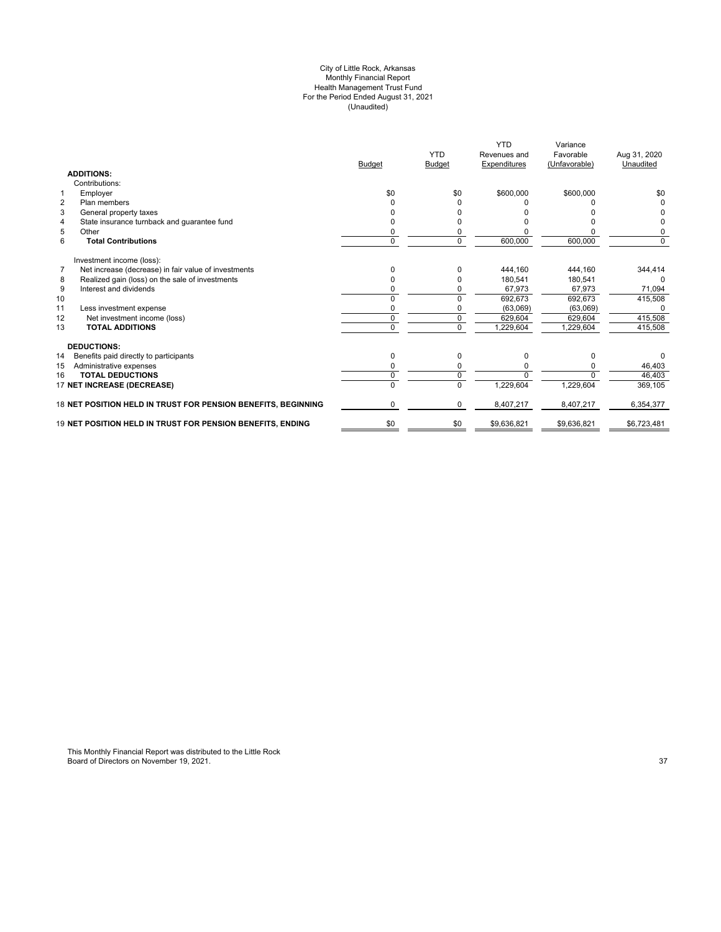#### City of Little Rock, Arkansas Monthly Financial Report Health Management Trust Fund For the Period Ended August 31, 2021 (Unaudited)

|                                                                        | <b>Budget</b> | <b>YTD</b><br><b>Budget</b> | <b>YTD</b><br>Revenues and<br>Expenditures | Variance<br>Favorable<br>(Unfavorable) | Aug 31, 2020<br>Unaudited |
|------------------------------------------------------------------------|---------------|-----------------------------|--------------------------------------------|----------------------------------------|---------------------------|
| <b>ADDITIONS:</b>                                                      |               |                             |                                            |                                        |                           |
| Contributions:                                                         |               |                             |                                            |                                        |                           |
| $\mathbf{1}$<br>Employer                                               | \$0           | \$0                         | \$600,000                                  | \$600,000                              | \$0                       |
| $\overline{2}$<br>Plan members                                         |               |                             |                                            |                                        | 0                         |
| 3<br>General property taxes                                            |               |                             |                                            |                                        |                           |
| State insurance turnback and guarantee fund<br>4                       |               |                             |                                            |                                        | 0                         |
| 5<br>Other                                                             |               |                             |                                            |                                        | 0                         |
| 6<br><b>Total Contributions</b>                                        | 0             | $\Omega$                    | 600,000                                    | 600,000                                | $\Omega$                  |
| Investment income (loss):                                              |               |                             |                                            |                                        |                           |
| Net increase (decrease) in fair value of investments<br>$\overline{7}$ | 0             |                             | 444.160                                    | 444.160                                | 344,414                   |
| Realized gain (loss) on the sale of investments<br>8                   | 0             |                             | 180.541                                    | 180.541                                |                           |
| 9<br>Interest and dividends                                            |               |                             | 67,973                                     | 67.973                                 | 71,094                    |
| 10                                                                     | ŋ             |                             | 692,673                                    | 692,673                                | 415,508                   |
| 11<br>Less investment expense                                          |               |                             | (63,069)                                   | (63,069)                               |                           |
| 12<br>Net investment income (loss)                                     | O             |                             | 629,604                                    | 629,604                                | 415,508                   |
| <b>TOTAL ADDITIONS</b><br>13                                           | 0             | $\Omega$                    | 1,229,604                                  | 1,229,604                              | 415,508                   |
| <b>DEDUCTIONS:</b>                                                     |               |                             |                                            |                                        |                           |
| 14<br>Benefits paid directly to participants                           | 0             | $\Omega$                    | 0                                          | <sup>0</sup>                           |                           |
| 15<br>Administrative expenses                                          |               |                             |                                            |                                        | 46,403                    |
| <b>TOTAL DEDUCTIONS</b><br>16                                          | ŋ             |                             | $\Omega$                                   |                                        | 46,403                    |
| 17 NET INCREASE (DECREASE)                                             |               |                             | 1,229,604                                  | 1,229,604                              | 369,105                   |
| 18 NET POSITION HELD IN TRUST FOR PENSION BENEFITS, BEGINNING          | 0             | $\Omega$                    | 8,407,217                                  | 8,407,217                              | 6,354,377                 |
| 19 NET POSITION HELD IN TRUST FOR PENSION BENEFITS, ENDING             | \$0           | \$0                         | \$9,636,821                                | \$9,636,821                            | \$6,723,481               |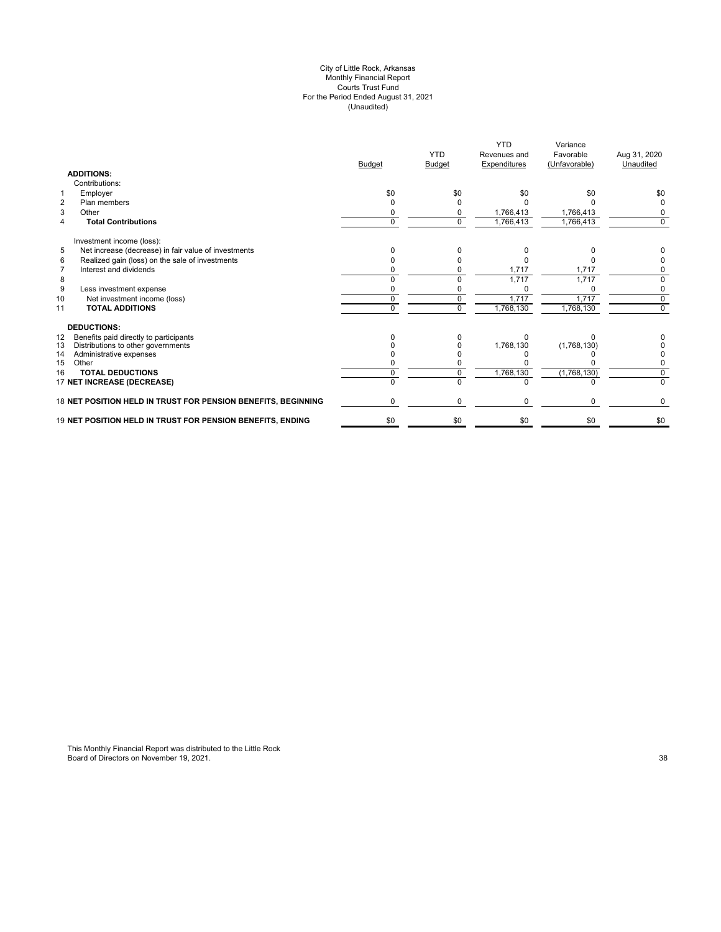#### City of Little Rock, Arkansas Monthly Financial Report Courts Trust Fund For the Period Ended August 31, 2021 (Unaudited)

|                                                               | <b>Budget</b> | <b>YTD</b><br><b>Budget</b> | <b>YTD</b><br>Revenues and<br>Expenditures | Variance<br>Favorable<br>(Unfavorable) | Aug 31, 2020<br>Unaudited |
|---------------------------------------------------------------|---------------|-----------------------------|--------------------------------------------|----------------------------------------|---------------------------|
| <b>ADDITIONS:</b>                                             |               |                             |                                            |                                        |                           |
| Contributions:                                                |               |                             |                                            |                                        |                           |
| Employer<br>1                                                 | \$0           | \$0                         | \$0                                        | \$0                                    | \$0                       |
| Plan members<br>$\overline{2}$                                |               |                             |                                            |                                        |                           |
| 3<br>Other                                                    |               |                             | 1,766,413                                  | 1,766,413                              |                           |
| <b>Total Contributions</b><br>4                               | U             | 0                           | 1,766,413                                  | 1,766,413                              | $\Omega$                  |
| Investment income (loss):                                     |               |                             |                                            |                                        |                           |
| 5<br>Net increase (decrease) in fair value of investments     |               |                             | ŋ                                          |                                        |                           |
| 6<br>Realized gain (loss) on the sale of investments          |               |                             |                                            |                                        |                           |
| Interest and dividends<br>$\overline{7}$                      |               |                             | 1,717                                      | 1,717                                  | 0                         |
| 8                                                             |               |                             | 1,717                                      | 1,717                                  | <sup>0</sup>              |
| 9<br>Less investment expense                                  |               |                             |                                            |                                        | 0                         |
| 10<br>Net investment income (loss)                            | 0             | 0                           | 1,717                                      | 1,717                                  | $\mathbf 0$               |
| <b>TOTAL ADDITIONS</b><br>11                                  | $\Omega$      | $\Omega$                    | 1,768,130                                  | 1,768,130                              | $\Omega$                  |
| <b>DEDUCTIONS:</b>                                            |               |                             |                                            |                                        |                           |
| Benefits paid directly to participants<br>12                  |               |                             | n                                          |                                        |                           |
| 13<br>Distributions to other governments                      |               |                             | 1,768,130                                  | (1,768,130)                            |                           |
| 14<br>Administrative expenses                                 |               |                             |                                            |                                        |                           |
| 15<br>Other                                                   |               |                             |                                            |                                        |                           |
| <b>TOTAL DEDUCTIONS</b><br>16                                 |               |                             | 1,768,130                                  | (1,768,130)                            | $\Omega$                  |
| 17 NET INCREASE (DECREASE)                                    | U             | U                           | $\Omega$                                   | <sup>n</sup>                           | $\Omega$                  |
| 18 NET POSITION HELD IN TRUST FOR PENSION BENEFITS, BEGINNING | U             | $\Omega$                    | 0                                          | 0                                      | 0                         |
| 19 NET POSITION HELD IN TRUST FOR PENSION BENEFITS, ENDING    | \$0           | \$0                         | \$0                                        | \$0                                    | \$0                       |
|                                                               |               |                             |                                            |                                        |                           |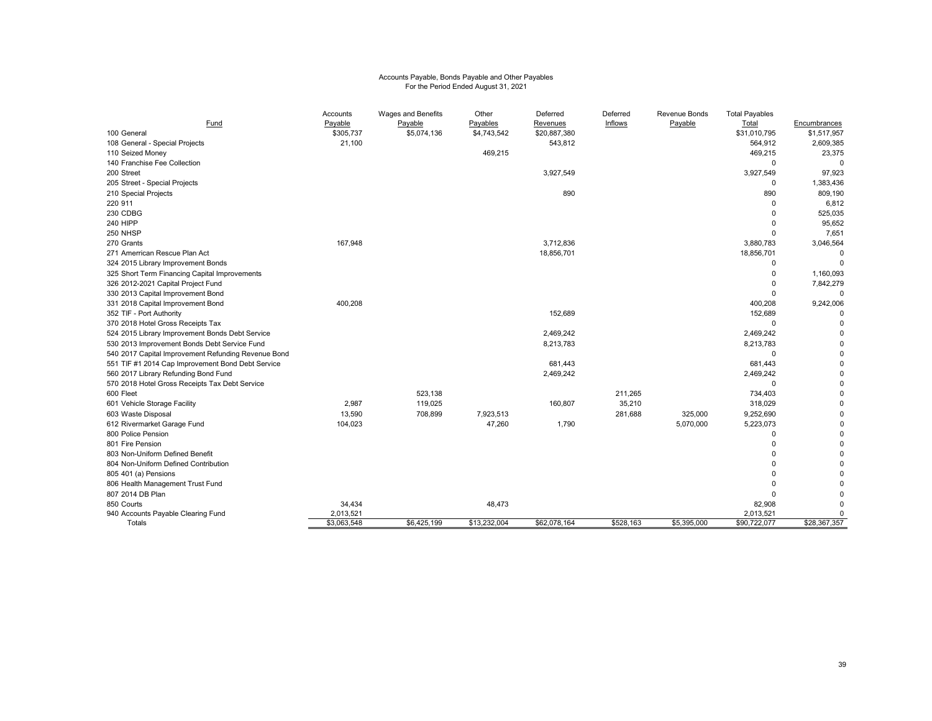# Accounts Payable, Bonds Payable and Other Payables For the Period Ended August 31, 2021

| Fund                                                | Accounts<br>Payable | Wages and Benefits<br>Payable | Other<br>Payables | Deferred<br>Revenues | Deferred<br>Inflows | <b>Revenue Bonds</b><br>Payable | <b>Total Payables</b><br>Total | Encumbrances |
|-----------------------------------------------------|---------------------|-------------------------------|-------------------|----------------------|---------------------|---------------------------------|--------------------------------|--------------|
| 100 General                                         | \$305,737           | \$5,074,136                   | \$4,743,542       | \$20,887,380         |                     |                                 | \$31,010,795                   | \$1,517,957  |
| 108 General - Special Projects                      | 21,100              |                               |                   | 543,812              |                     |                                 | 564,912                        | 2,609,385    |
| 110 Seized Money                                    |                     |                               | 469,215           |                      |                     |                                 | 469,215                        | 23,375       |
| 140 Franchise Fee Collection                        |                     |                               |                   |                      |                     |                                 | $\Omega$                       | $\Omega$     |
| 200 Street                                          |                     |                               |                   | 3,927,549            |                     |                                 | 3,927,549                      | 97,923       |
| 205 Street - Special Projects                       |                     |                               |                   |                      |                     |                                 | 0                              | 1,383,436    |
| 210 Special Projects                                |                     |                               |                   | 890                  |                     |                                 | 890                            | 809,190      |
| 220 911                                             |                     |                               |                   |                      |                     |                                 | $\Omega$                       | 6,812        |
| 230 CDBG                                            |                     |                               |                   |                      |                     |                                 | $\Omega$                       | 525,035      |
| <b>240 HIPP</b>                                     |                     |                               |                   |                      |                     |                                 | $\Omega$                       | 95,652       |
| 250 NHSP                                            |                     |                               |                   |                      |                     |                                 | $\Omega$                       | 7,651        |
| 270 Grants                                          | 167,948             |                               |                   | 3,712,836            |                     |                                 | 3,880,783                      | 3,046,564    |
| 271 Amerrican Rescue Plan Act                       |                     |                               |                   | 18,856,701           |                     |                                 | 18,856,701                     | $\Omega$     |
| 324 2015 Library Improvement Bonds                  |                     |                               |                   |                      |                     |                                 | $\mathbf 0$                    | $\mathbf 0$  |
| 325 Short Term Financing Capital Improvements       |                     |                               |                   |                      |                     |                                 | $\Omega$                       | 1,160,093    |
| 326 2012-2021 Capital Project Fund                  |                     |                               |                   |                      |                     |                                 | $\mathbf 0$                    | 7,842,279    |
| 330 2013 Capital Improvement Bond                   |                     |                               |                   |                      |                     |                                 | $\Omega$                       | $\Omega$     |
| 331 2018 Capital Improvement Bond                   | 400,208             |                               |                   |                      |                     |                                 | 400,208                        | 9,242,006    |
| 352 TIF - Port Authority                            |                     |                               |                   | 152,689              |                     |                                 | 152,689                        | $\Omega$     |
| 370 2018 Hotel Gross Receipts Tax                   |                     |                               |                   |                      |                     |                                 | $\mathbf 0$                    |              |
| 524 2015 Library Improvement Bonds Debt Service     |                     |                               |                   | 2,469,242            |                     |                                 | 2,469,242                      |              |
| 530 2013 Improvement Bonds Debt Service Fund        |                     |                               |                   | 8,213,783            |                     |                                 | 8,213,783                      |              |
| 540 2017 Capital Improvement Refunding Revenue Bond |                     |                               |                   |                      |                     |                                 | $\Omega$                       |              |
| 551 TIF #1 2014 Cap Improvement Bond Debt Service   |                     |                               |                   | 681,443              |                     |                                 | 681,443                        |              |
| 560 2017 Library Refunding Bond Fund                |                     |                               |                   | 2,469,242            |                     |                                 | 2,469,242                      |              |
| 570 2018 Hotel Gross Receipts Tax Debt Service      |                     |                               |                   |                      |                     |                                 | $\Omega$                       |              |
| 600 Fleet                                           |                     | 523,138                       |                   |                      | 211,265             |                                 | 734,403                        |              |
| 601 Vehicle Storage Facility                        | 2,987               | 119,025                       |                   | 160,807              | 35,210              |                                 | 318,029                        |              |
| 603 Waste Disposal                                  | 13,590              | 708,899                       | 7,923,513         |                      | 281,688             | 325,000                         | 9,252,690                      |              |
| 612 Rivermarket Garage Fund                         | 104,023             |                               | 47,260            | 1,790                |                     | 5,070,000                       | 5,223,073                      |              |
| 800 Police Pension                                  |                     |                               |                   |                      |                     |                                 | $\Omega$                       |              |
| 801 Fire Pension                                    |                     |                               |                   |                      |                     |                                 | $\Omega$                       |              |
| 803 Non-Uniform Defined Benefit                     |                     |                               |                   |                      |                     |                                 |                                |              |
| 804 Non-Uniform Defined Contribution                |                     |                               |                   |                      |                     |                                 |                                |              |
| 805 401 (a) Pensions                                |                     |                               |                   |                      |                     |                                 |                                |              |
| 806 Health Management Trust Fund                    |                     |                               |                   |                      |                     |                                 |                                |              |
| 807 2014 DB Plan                                    |                     |                               |                   |                      |                     |                                 | $\Omega$                       |              |
| 850 Courts                                          | 34,434              |                               | 48,473            |                      |                     |                                 | 82,908                         | $\Omega$     |
| 940 Accounts Payable Clearing Fund                  | 2,013,521           |                               |                   |                      |                     |                                 | 2,013,521                      | $\Omega$     |
| Totals                                              | \$3,063,548         | \$6,425,199                   | \$13,232,004      | \$62,078,164         | \$528,163           | \$5,395,000                     | \$90,722,077                   | \$28,367,357 |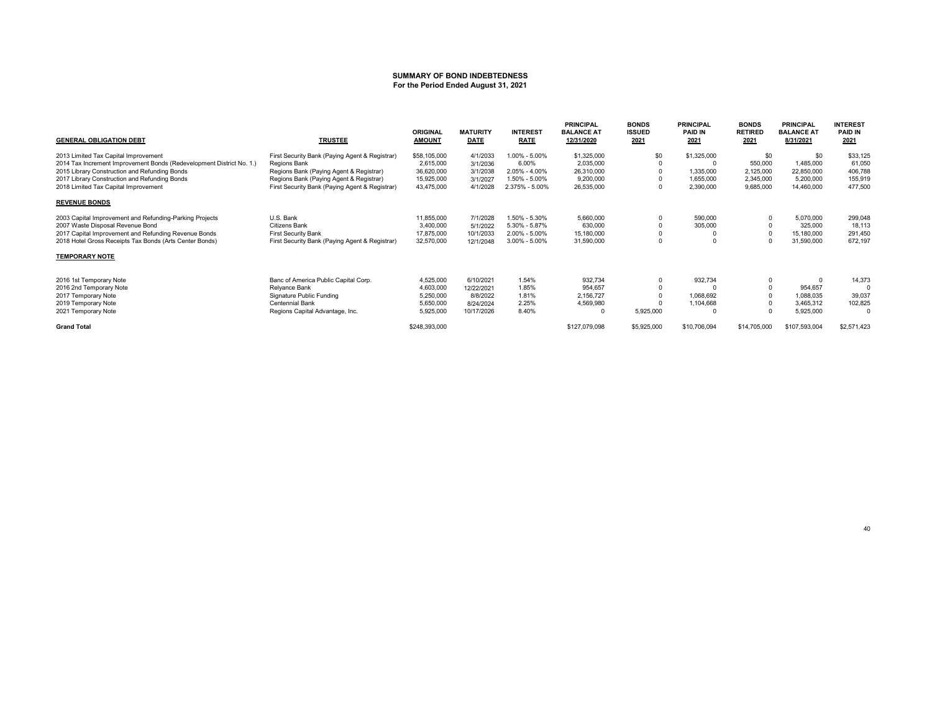#### **SUMMARY OF BOND INDEBTEDNESSFor the Period Ended August 31, 2021**

| <b>GENERAL OBLIGATION DEBT</b>                                       | <b>TRUSTEE</b>                                 | <b>ORIGINAL</b><br><b>AMOUNT</b> | <b>MATURITY</b><br><b>DATE</b> | <b>INTEREST</b><br><b>RATE</b> | <b>PRINCIPAL</b><br><b>BALANCE AT</b><br>12/31/2020 | <b>BONDS</b><br><b>ISSUED</b><br>2021 | <b>PRINCIPAL</b><br><b>PAID IN</b><br>2021 | <b>BONDS</b><br><b>RETIRED</b><br>2021 | <b>PRINCIPAL</b><br><b>BALANCE AT</b><br>8/31/2021 | <b>INTEREST</b><br><b>PAID IN</b><br>2021 |
|----------------------------------------------------------------------|------------------------------------------------|----------------------------------|--------------------------------|--------------------------------|-----------------------------------------------------|---------------------------------------|--------------------------------------------|----------------------------------------|----------------------------------------------------|-------------------------------------------|
| 2013 Limited Tax Capital Improvement                                 | First Security Bank (Paying Agent & Registrar) | \$58,105,000                     | 4/1/2033                       | 1.00% - 5.00%                  | \$1,325,000                                         | \$0                                   | \$1,325,000                                | \$0                                    | \$0                                                | \$33,125                                  |
| 2014 Tax Increment Improvement Bonds (Redevelopment District No. 1.) | Regions Bank                                   | 2,615,000                        | 3/1/2036                       | 6.00%                          | 2,035,000                                           |                                       |                                            | 550,000                                | 1,485,000                                          | 61,050                                    |
| 2015 Library Construction and Refunding Bonds                        | Regions Bank (Paying Agent & Registrar)        | 36,620,000                       | 3/1/2038                       | $2.05\% - 4.00\%$              | 26,310,000                                          |                                       | 1,335,000                                  | 2,125,000                              | 22,850,000                                         | 406,788                                   |
| 2017 Library Construction and Refunding Bonds                        | Regions Bank (Paying Agent & Registrar)        | 15,925,000                       | 3/1/2027                       | 1.50% - 5.00%                  | 9,200,000                                           |                                       | 1,655,000                                  | 2,345,000                              | 5,200,000                                          | 155,919                                   |
| 2018 Limited Tax Capital Improvement                                 | First Security Bank (Paying Agent & Registrar) | 43,475,000                       | 4/1/2028                       | 2.375% - 5.00%                 | 26,535,000                                          |                                       | 2,390,000                                  | 9,685,000                              | 14,460,000                                         | 477,500                                   |
| <b>REVENUE BONDS</b>                                                 |                                                |                                  |                                |                                |                                                     |                                       |                                            |                                        |                                                    |                                           |
| 2003 Capital Improvement and Refunding-Parking Projects              | U.S. Bank                                      | 11,855,000                       | 7/1/2028                       | 1.50% - 5.30%                  | 5,660,000                                           |                                       | 590,000                                    | $\Omega$                               | 5,070,000                                          | 299,048                                   |
| 2007 Waste Disposal Revenue Bond                                     | <b>Citizens Bank</b>                           | 3,400,000                        | 5/1/2022                       | 5.30% - 5.87%                  | 630,000                                             |                                       | 305,000                                    |                                        | 325,000                                            | 18,113                                    |
| 2017 Capital Improvement and Refunding Revenue Bonds                 | First Security Bank                            | 17,875,000                       | 10/1/2033                      | 2.00% - 5.00%                  | 15,180,000                                          |                                       |                                            | $\Omega$                               | 15,180,000                                         | 291,450                                   |
| 2018 Hotel Gross Receipts Tax Bonds (Arts Center Bonds)              | First Security Bank (Paying Agent & Registrar) | 32,570,000                       | 12/1/2048                      | 3.00% - 5.00%                  | 31,590,000                                          |                                       |                                            | $\Omega$                               | 31,590,000                                         | 672,197                                   |
| <b>TEMPORARY NOTE</b>                                                |                                                |                                  |                                |                                |                                                     |                                       |                                            |                                        |                                                    |                                           |
| 2016 1st Temporary Note                                              | Banc of America Public Capital Corp.           | 4,525,000                        | 6/10/2021                      | 1.54%                          | 932,734                                             |                                       | 932,734                                    | 0                                      |                                                    | 14,373                                    |
| 2016 2nd Temporary Note                                              | Relyance Bank                                  | 4,603,000                        | 12/22/2021                     | 1.85%                          | 954,657                                             |                                       |                                            |                                        | 954,657                                            |                                           |
| 2017 Temporary Note                                                  | Signature Public Funding                       | 5,250,000                        | 8/8/2022                       | 1.81%                          | 2,156,727                                           |                                       | 1,068,692                                  |                                        | 1,088,035                                          | 39,037                                    |
| 2019 Temporary Note                                                  | <b>Centennial Bank</b>                         | 5,650,000                        | 8/24/2024                      | 2.25%                          | 4,569,980                                           |                                       | 1,104,668                                  | $\Omega$                               | 3,465,312                                          | 102,825                                   |
| 2021 Temporary Note                                                  | Regions Capital Advantage, Inc.                | 5,925,000                        | 10/17/2026                     | 8.40%                          |                                                     | 5,925,000                             |                                            | $\Omega$                               | 5,925,000                                          | 0                                         |
| <b>Grand Total</b>                                                   |                                                | \$248,393,000                    |                                |                                | \$127,079,098                                       | \$5,925,000                           | \$10,706,094                               | \$14,705,000                           | \$107,593,004                                      | \$2,571,423                               |